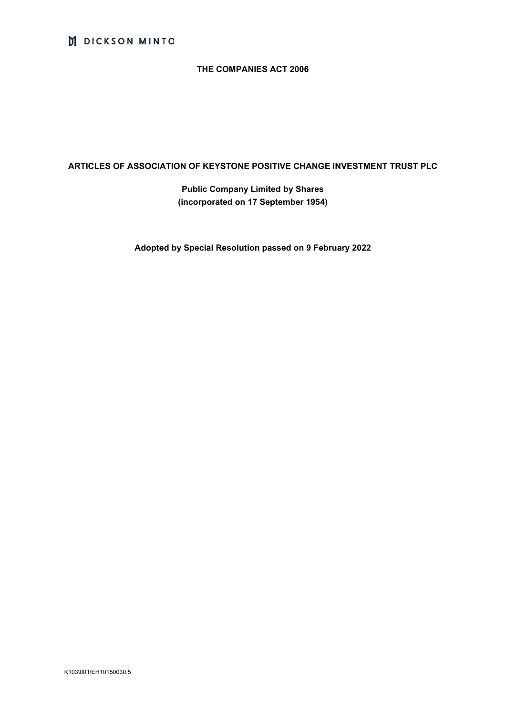# M DICKSON MINTO

## **THE COMPANIES ACT 2006**

## **ARTICLES OF ASSOCIATION OF KEYSTONE POSITIVE CHANGE INVESTMENT TRUST PLC**

**Public Company Limited by Shares (incorporated on 17 September 1954)**

**Adopted by Special Resolution passed on 9 February 2022**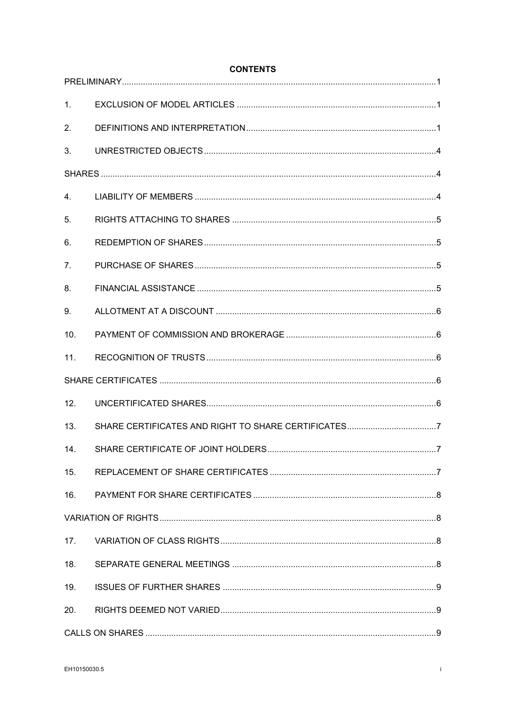| 1 <sub>1</sub> |  |
|----------------|--|
| 2.             |  |
| 3.             |  |
|                |  |
| 4.             |  |
| 5.             |  |
| 6.             |  |
| 7 <sub>1</sub> |  |
| 8.             |  |
| 9.             |  |
| 10.            |  |
| 11.            |  |
|                |  |
| 12.            |  |
| 13.            |  |
| 14.            |  |
| 15.            |  |
| 16.            |  |
|                |  |
| 17.            |  |
| 18.            |  |
| 19.            |  |
| 20.            |  |
|                |  |

## **CONTENTS**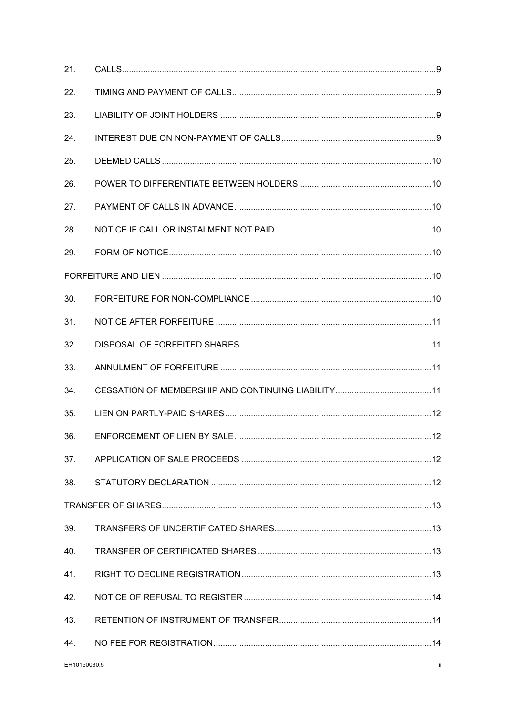| 21.          |     |
|--------------|-----|
| 22.          |     |
| 23.          |     |
| 24.          |     |
| 25.          |     |
| 26.          |     |
| 27.          |     |
| 28.          |     |
| 29.          |     |
|              |     |
| 30.          |     |
| 31.          |     |
| 32.          |     |
| 33.          |     |
| 34.          |     |
| 35.          |     |
| 36.          |     |
| 37.          |     |
| 38.          |     |
|              |     |
| 39.          |     |
| 40.          |     |
| 41.          |     |
| 42.          |     |
| 43.          |     |
| 44.          |     |
| EH10150030.5 | ii. |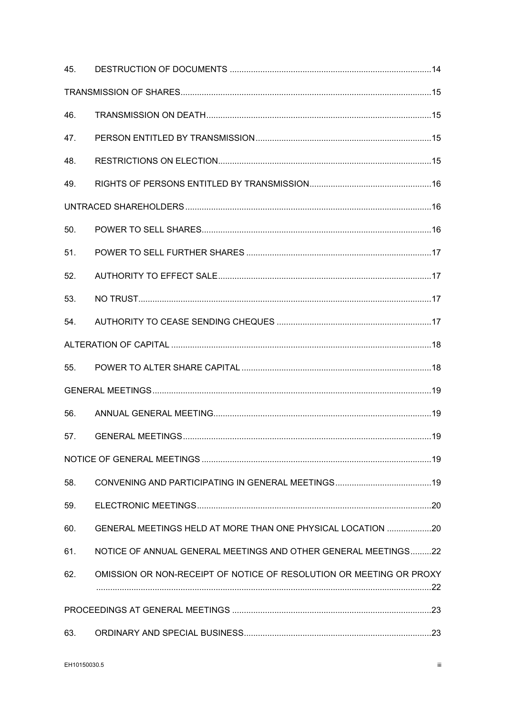| 45. |                                                                     |  |
|-----|---------------------------------------------------------------------|--|
|     |                                                                     |  |
| 46. |                                                                     |  |
| 47. |                                                                     |  |
| 48. |                                                                     |  |
| 49. |                                                                     |  |
|     |                                                                     |  |
| 50. |                                                                     |  |
| 51. |                                                                     |  |
| 52. |                                                                     |  |
| 53. |                                                                     |  |
| 54. |                                                                     |  |
|     |                                                                     |  |
| 55. |                                                                     |  |
|     |                                                                     |  |
| 56. |                                                                     |  |
| 57. |                                                                     |  |
|     |                                                                     |  |
| 58. |                                                                     |  |
| 59. |                                                                     |  |
| 60. | GENERAL MEETINGS HELD AT MORE THAN ONE PHYSICAL LOCATION 20         |  |
| 61. | NOTICE OF ANNUAL GENERAL MEETINGS AND OTHER GENERAL MEETINGS22      |  |
| 62. | OMISSION OR NON-RECEIPT OF NOTICE OF RESOLUTION OR MEETING OR PROXY |  |
|     |                                                                     |  |
| 63. |                                                                     |  |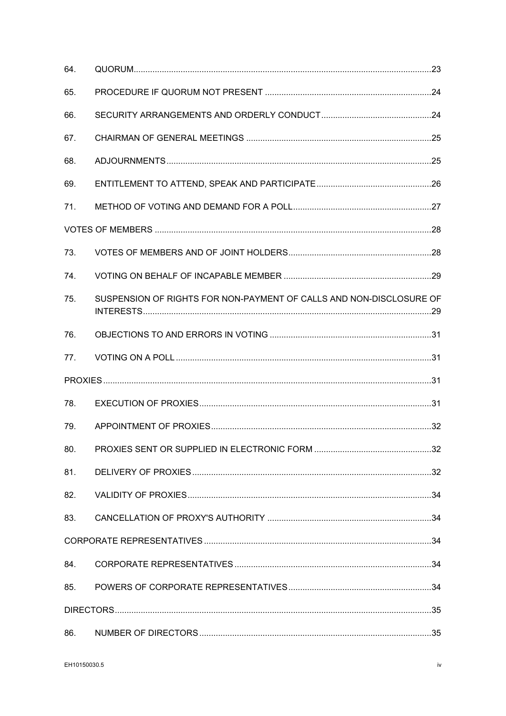| 64. |                                                                     |  |
|-----|---------------------------------------------------------------------|--|
| 65. |                                                                     |  |
| 66. |                                                                     |  |
| 67. |                                                                     |  |
| 68. |                                                                     |  |
| 69. |                                                                     |  |
| 71. |                                                                     |  |
|     |                                                                     |  |
| 73. |                                                                     |  |
| 74. |                                                                     |  |
| 75. | SUSPENSION OF RIGHTS FOR NON-PAYMENT OF CALLS AND NON-DISCLOSURE OF |  |
| 76. |                                                                     |  |
| 77. |                                                                     |  |
|     |                                                                     |  |
| 78. |                                                                     |  |
| 79. |                                                                     |  |
| 80. |                                                                     |  |
| 81. |                                                                     |  |
| 82. |                                                                     |  |
| 83. |                                                                     |  |
|     |                                                                     |  |
| 84. |                                                                     |  |
| 85. |                                                                     |  |
|     |                                                                     |  |
| 86. |                                                                     |  |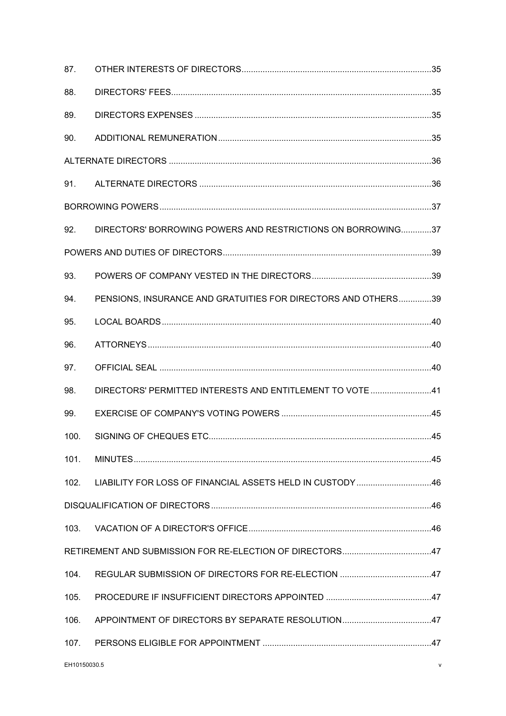| 87.          |                                                               |   |
|--------------|---------------------------------------------------------------|---|
| 88.          |                                                               |   |
| 89.          |                                                               |   |
| 90.          |                                                               |   |
|              |                                                               |   |
| 91.          |                                                               |   |
|              |                                                               |   |
| 92.          | DIRECTORS' BORROWING POWERS AND RESTRICTIONS ON BORROWING37   |   |
|              |                                                               |   |
| 93.          |                                                               |   |
| 94.          | PENSIONS, INSURANCE AND GRATUITIES FOR DIRECTORS AND OTHERS39 |   |
| 95.          |                                                               |   |
| 96.          |                                                               |   |
| 97.          |                                                               |   |
| 98.          | DIRECTORS' PERMITTED INTERESTS AND ENTITLEMENT TO VOTE 41     |   |
| 99.          |                                                               |   |
| 100.         |                                                               |   |
| 101.         |                                                               |   |
| 102.         | LIABILITY FOR LOSS OF FINANCIAL ASSETS HELD IN CUSTODY 46     |   |
|              |                                                               |   |
| 103.         |                                                               |   |
|              |                                                               |   |
| 104.         |                                                               |   |
| 105.         |                                                               |   |
| 106.         |                                                               |   |
| 107.         |                                                               |   |
| EH10150030.5 |                                                               | v |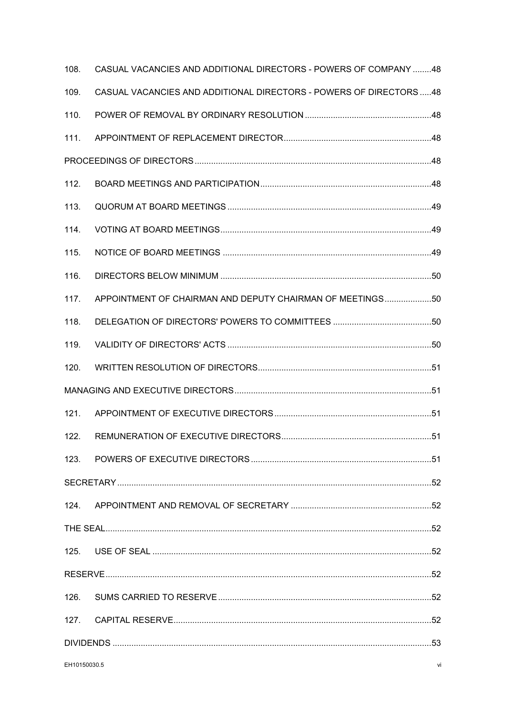| 108.             | CASUAL VACANCIES AND ADDITIONAL DIRECTORS - POWERS OF COMPANY 48  |  |  |
|------------------|-------------------------------------------------------------------|--|--|
| 109.             | CASUAL VACANCIES AND ADDITIONAL DIRECTORS - POWERS OF DIRECTORS48 |  |  |
| 110.             |                                                                   |  |  |
| 111.             |                                                                   |  |  |
|                  |                                                                   |  |  |
| 112.             |                                                                   |  |  |
| 113.             |                                                                   |  |  |
| 114.             |                                                                   |  |  |
| 115.             |                                                                   |  |  |
| 116.             |                                                                   |  |  |
| 117.             | APPOINTMENT OF CHAIRMAN AND DEPUTY CHAIRMAN OF MEETINGS50         |  |  |
| 118.             |                                                                   |  |  |
| 119.             |                                                                   |  |  |
| 120.             |                                                                   |  |  |
|                  |                                                                   |  |  |
| 121.             |                                                                   |  |  |
| 122.             |                                                                   |  |  |
|                  |                                                                   |  |  |
|                  |                                                                   |  |  |
| 124.             |                                                                   |  |  |
|                  |                                                                   |  |  |
| 125.             |                                                                   |  |  |
|                  |                                                                   |  |  |
| 126.             |                                                                   |  |  |
| 127 <sub>1</sub> |                                                                   |  |  |
|                  |                                                                   |  |  |
|                  | EH10150030.5<br>vi                                                |  |  |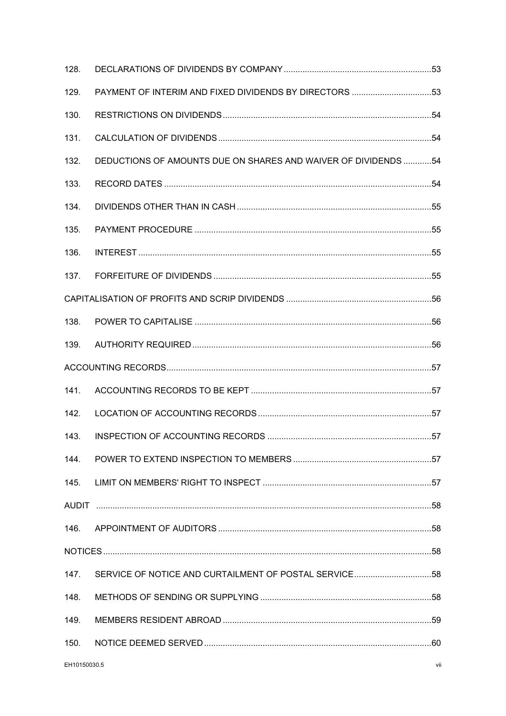| 128. |                                                                |  |
|------|----------------------------------------------------------------|--|
| 129. | PAYMENT OF INTERIM AND FIXED DIVIDENDS BY DIRECTORS 53         |  |
| 130. |                                                                |  |
| 131. |                                                                |  |
| 132. | DEDUCTIONS OF AMOUNTS DUE ON SHARES AND WAIVER OF DIVIDENDS 54 |  |
| 133. |                                                                |  |
| 134. |                                                                |  |
| 135. |                                                                |  |
| 136. |                                                                |  |
| 137. |                                                                |  |
|      |                                                                |  |
| 138. |                                                                |  |
| 139. |                                                                |  |
|      |                                                                |  |
| 141. |                                                                |  |
| 142. |                                                                |  |
| 143. |                                                                |  |
|      |                                                                |  |
|      |                                                                |  |
|      |                                                                |  |
| 146. |                                                                |  |
|      |                                                                |  |
| 147. |                                                                |  |
| 148. |                                                                |  |
| 149. |                                                                |  |
| 150. |                                                                |  |
|      |                                                                |  |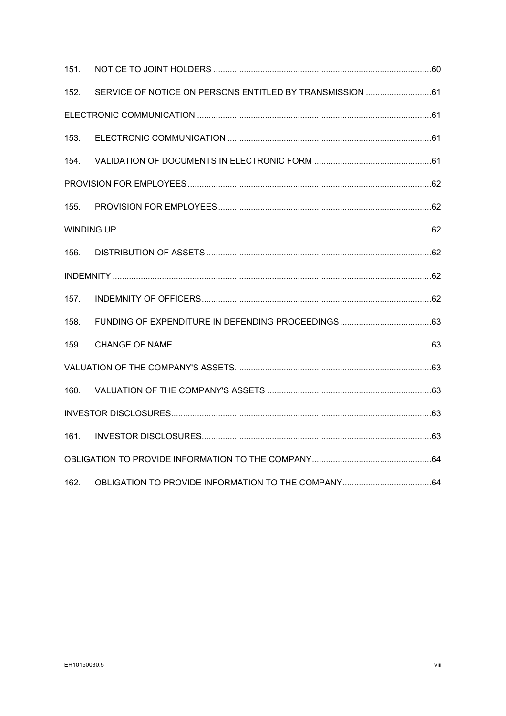| 151. |  |  |  |  |
|------|--|--|--|--|
| 152. |  |  |  |  |
|      |  |  |  |  |
| 153. |  |  |  |  |
| 154. |  |  |  |  |
|      |  |  |  |  |
| 155. |  |  |  |  |
|      |  |  |  |  |
| 156. |  |  |  |  |
|      |  |  |  |  |
| 157. |  |  |  |  |
| 158. |  |  |  |  |
| 159. |  |  |  |  |
|      |  |  |  |  |
| 160. |  |  |  |  |
|      |  |  |  |  |
| 161. |  |  |  |  |
|      |  |  |  |  |
| 162. |  |  |  |  |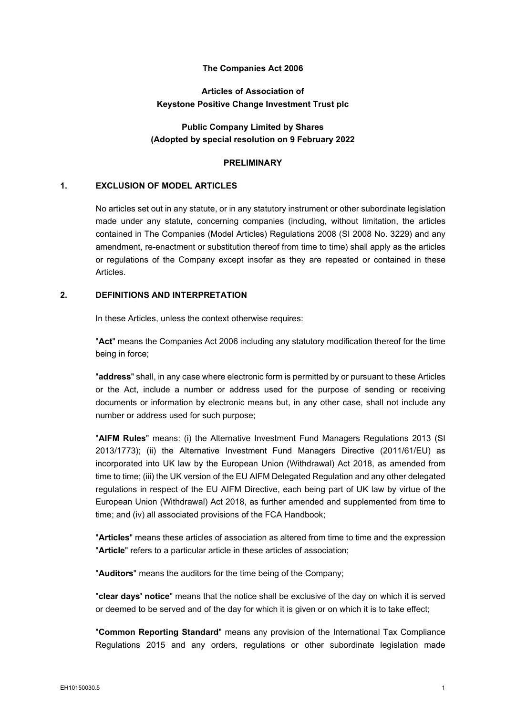## **The Companies Act 2006**

## **Articles of Association of Keystone Positive Change Investment Trust plc**

## **Public Company Limited by Shares (Adopted by special resolution on 9 February 2022**

#### **PRELIMINARY**

### <span id="page-9-1"></span><span id="page-9-0"></span>**1. EXCLUSION OF MODEL ARTICLES**

No articles set out in any statute, or in any statutory instrument or other subordinate legislation made under any statute, concerning companies (including, without limitation, the articles contained in The Companies (Model Articles) Regulations 2008 (SI 2008 No. 3229) and any amendment, re-enactment or substitution thereof from time to time) shall apply as the articles or regulations of the Company except insofar as they are repeated or contained in these Articles.

## <span id="page-9-2"></span>**2. DEFINITIONS AND INTERPRETATION**

In these Articles, unless the context otherwise requires:

"**Act**" means the Companies Act 2006 including any statutory modification thereof for the time being in force;

"**address**" shall, in any case where electronic form is permitted by or pursuant to these Articles or the Act, include a number or address used for the purpose of sending or receiving documents or information by electronic means but, in any other case, shall not include any number or address used for such purpose;

"**AIFM Rules**" means: (i) the Alternative Investment Fund Managers Regulations 2013 (SI 2013/1773); (ii) the Alternative Investment Fund Managers Directive (2011/61/EU) as incorporated into UK law by the European Union (Withdrawal) Act 2018, as amended from time to time; (iii) the UK version of the EU AIFM Delegated Regulation and any other delegated regulations in respect of the EU AIFM Directive, each being part of UK law by virtue of the European Union (Withdrawal) Act 2018, as further amended and supplemented from time to time; and (iv) all associated provisions of the FCA Handbook;

"**Articles**" means these articles of association as altered from time to time and the expression "**Article**" refers to a particular article in these articles of association;

"**Auditors**" means the auditors for the time being of the Company;

"**clear days' notice**" means that the notice shall be exclusive of the day on which it is served or deemed to be served and of the day for which it is given or on which it is to take effect;

"**Common Reporting Standard**" means any provision of the International Tax Compliance Regulations 2015 and any orders, regulations or other subordinate legislation made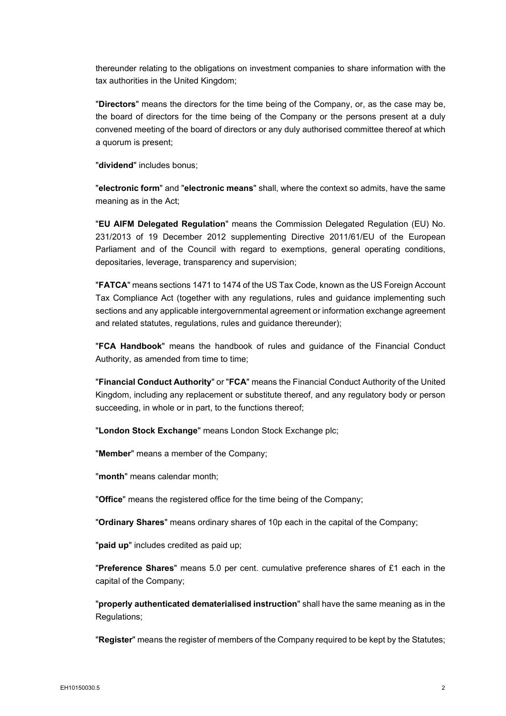thereunder relating to the obligations on investment companies to share information with the tax authorities in the United Kingdom;

"**Directors**" means the directors for the time being of the Company, or, as the case may be, the board of directors for the time being of the Company or the persons present at a duly convened meeting of the board of directors or any duly authorised committee thereof at which a quorum is present;

"**dividend**" includes bonus;

"**electronic form**" and "**electronic means**" shall, where the context so admits, have the same meaning as in the Act;

"**EU AIFM Delegated Regulation**" means the Commission Delegated Regulation (EU) No. 231/2013 of 19 December 2012 supplementing Directive 2011/61/EU of the European Parliament and of the Council with regard to exemptions, general operating conditions, depositaries, leverage, transparency and supervision;

"**FATCA**" means sections 1471 to 1474 of the US Tax Code, known as the US Foreign Account Tax Compliance Act (together with any regulations, rules and guidance implementing such sections and any applicable intergovernmental agreement or information exchange agreement and related statutes, regulations, rules and guidance thereunder);

"**FCA Handbook**" means the handbook of rules and guidance of the Financial Conduct Authority, as amended from time to time;

"**Financial Conduct Authority**" or "**FCA**" means the Financial Conduct Authority of the United Kingdom, including any replacement or substitute thereof, and any regulatory body or person succeeding, in whole or in part, to the functions thereof;

"**London Stock Exchange**" means London Stock Exchange plc;

"**Member**" means a member of the Company;

"**month**" means calendar month;

"**Office**" means the registered office for the time being of the Company;

"**Ordinary Shares**" means ordinary shares of 10p each in the capital of the Company;

"**paid up**" includes credited as paid up;

"**Preference Shares**" means 5.0 per cent. cumulative preference shares of £1 each in the capital of the Company;

"**properly authenticated dematerialised instruction**" shall have the same meaning as in the Regulations;

"**Register**" means the register of members of the Company required to be kept by the Statutes;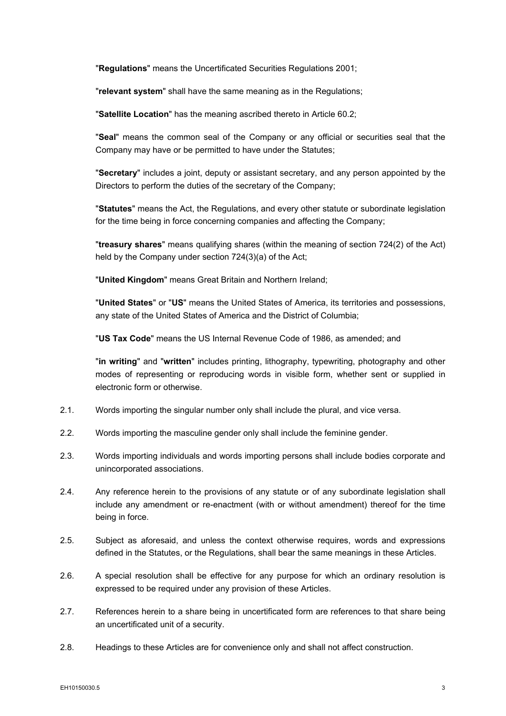"**Regulations**" means the Uncertificated Securities Regulations 2001;

"**relevant system**" shall have the same meaning as in the Regulations;

"**Satellite Location**" has the meaning ascribed thereto in Article 60.2;

"**Seal**" means the common seal of the Company or any official or securities seal that the Company may have or be permitted to have under the Statutes;

"**Secretary**" includes a joint, deputy or assistant secretary, and any person appointed by the Directors to perform the duties of the secretary of the Company;

"**Statutes**" means the Act, the Regulations, and every other statute or subordinate legislation for the time being in force concerning companies and affecting the Company;

"**treasury shares**" means qualifying shares (within the meaning of section 724(2) of the Act) held by the Company under section 724(3)(a) of the Act;

"**United Kingdom**" means Great Britain and Northern Ireland;

"**United States**" or "**US**" means the United States of America, its territories and possessions, any state of the United States of America and the District of Columbia;

"**US Tax Code**" means the US Internal Revenue Code of 1986, as amended; and

"**in writing**" and "**written**" includes printing, lithography, typewriting, photography and other modes of representing or reproducing words in visible form, whether sent or supplied in electronic form or otherwise.

- 2.1. Words importing the singular number only shall include the plural, and vice versa.
- 2.2. Words importing the masculine gender only shall include the feminine gender.
- 2.3. Words importing individuals and words importing persons shall include bodies corporate and unincorporated associations.
- 2.4. Any reference herein to the provisions of any statute or of any subordinate legislation shall include any amendment or re-enactment (with or without amendment) thereof for the time being in force.
- 2.5. Subject as aforesaid, and unless the context otherwise requires, words and expressions defined in the Statutes, or the Regulations, shall bear the same meanings in these Articles.
- 2.6. A special resolution shall be effective for any purpose for which an ordinary resolution is expressed to be required under any provision of these Articles.
- 2.7. References herein to a share being in uncertificated form are references to that share being an uncertificated unit of a security.
- 2.8. Headings to these Articles are for convenience only and shall not affect construction.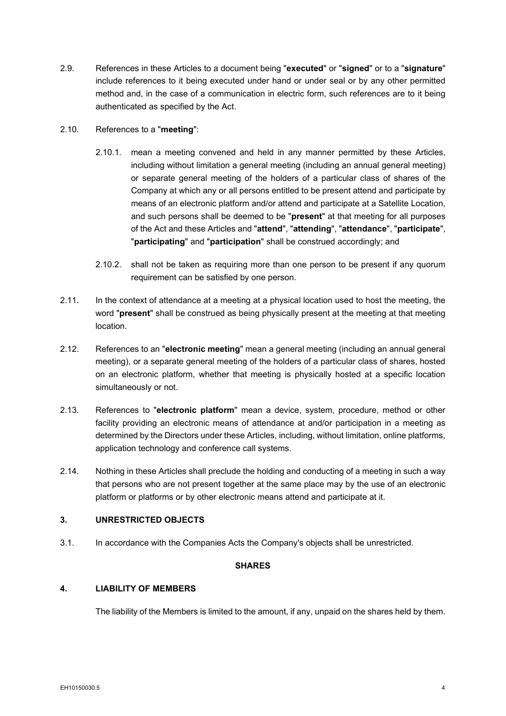- 2.9. References in these Articles to a document being "**executed**" or "**signed**" or to a "**signature**" include references to it being executed under hand or under seal or by any other permitted method and, in the case of a communication in electric form, such references are to it being authenticated as specified by the Act.
- 2.10. References to a "**meeting**":
	- 2.10.1. mean a meeting convened and held in any manner permitted by these Articles, including without limitation a general meeting (including an annual general meeting) or separate general meeting of the holders of a particular class of shares of the Company at which any or all persons entitled to be present attend and participate by means of an electronic platform and/or attend and participate at a Satellite Location, and such persons shall be deemed to be "**present**" at that meeting for all purposes of the Act and these Articles and "**attend**", "**attending**", "**attendance**", "**participate**", "**participating**" and "**participation**" shall be construed accordingly; and
	- 2.10.2. shall not be taken as requiring more than one person to be present if any quorum requirement can be satisfied by one person.
- 2.11. In the context of attendance at a meeting at a physical location used to host the meeting, the word "**present**" shall be construed as being physically present at the meeting at that meeting location.
- 2.12. References to an "**electronic meeting**" mean a general meeting (including an annual general meeting), or a separate general meeting of the holders of a particular class of shares, hosted on an electronic platform, whether that meeting is physically hosted at a specific location simultaneously or not.
- 2.13. References to "**electronic platform**" mean a device, system, procedure, method or other facility providing an electronic means of attendance at and/or participation in a meeting as determined by the Directors under these Articles, including, without limitation, online platforms, application technology and conference call systems.
- 2.14. Nothing in these Articles shall preclude the holding and conducting of a meeting in such a way that persons who are not present together at the same place may by the use of an electronic platform or platforms or by other electronic means attend and participate at it.

## <span id="page-12-0"></span>**3. UNRESTRICTED OBJECTS**

<span id="page-12-1"></span>3.1. In accordance with the Companies Acts the Company's objects shall be unrestricted.

## **SHARES**

## <span id="page-12-2"></span>**4. LIABILITY OF MEMBERS**

The liability of the Members is limited to the amount, if any, unpaid on the shares held by them.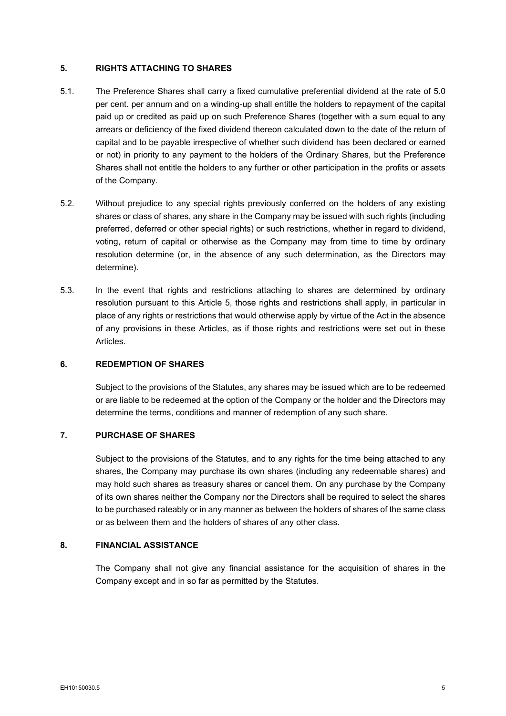## <span id="page-13-0"></span>**5. RIGHTS ATTACHING TO SHARES**

- 5.1. The Preference Shares shall carry a fixed cumulative preferential dividend at the rate of 5.0 per cent. per annum and on a winding-up shall entitle the holders to repayment of the capital paid up or credited as paid up on such Preference Shares (together with a sum equal to any arrears or deficiency of the fixed dividend thereon calculated down to the date of the return of capital and to be payable irrespective of whether such dividend has been declared or earned or not) in priority to any payment to the holders of the Ordinary Shares, but the Preference Shares shall not entitle the holders to any further or other participation in the profits or assets of the Company.
- 5.2. Without prejudice to any special rights previously conferred on the holders of any existing shares or class of shares, any share in the Company may be issued with such rights (including preferred, deferred or other special rights) or such restrictions, whether in regard to dividend, voting, return of capital or otherwise as the Company may from time to time by ordinary resolution determine (or, in the absence of any such determination, as the Directors may determine).
- 5.3. In the event that rights and restrictions attaching to shares are determined by ordinary resolution pursuant to this Article [5,](#page-13-0) those rights and restrictions shall apply, in particular in place of any rights or restrictions that would otherwise apply by virtue of the Act in the absence of any provisions in these Articles, as if those rights and restrictions were set out in these Articles.

#### <span id="page-13-1"></span>**6. REDEMPTION OF SHARES**

Subject to the provisions of the Statutes, any shares may be issued which are to be redeemed or are liable to be redeemed at the option of the Company or the holder and the Directors may determine the terms, conditions and manner of redemption of any such share.

#### <span id="page-13-2"></span>**7. PURCHASE OF SHARES**

Subject to the provisions of the Statutes, and to any rights for the time being attached to any shares, the Company may purchase its own shares (including any redeemable shares) and may hold such shares as treasury shares or cancel them. On any purchase by the Company of its own shares neither the Company nor the Directors shall be required to select the shares to be purchased rateably or in any manner as between the holders of shares of the same class or as between them and the holders of shares of any other class.

## <span id="page-13-3"></span>**8. FINANCIAL ASSISTANCE**

The Company shall not give any financial assistance for the acquisition of shares in the Company except and in so far as permitted by the Statutes.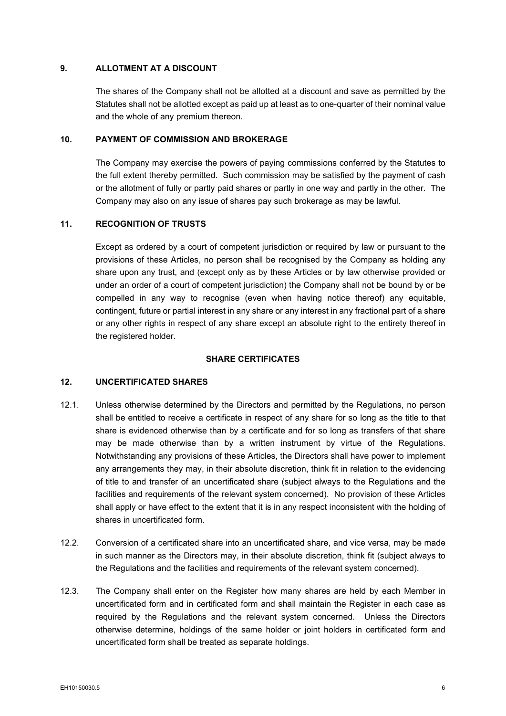## <span id="page-14-0"></span>**9. ALLOTMENT AT A DISCOUNT**

The shares of the Company shall not be allotted at a discount and save as permitted by the Statutes shall not be allotted except as paid up at least as to one-quarter of their nominal value and the whole of any premium thereon.

### <span id="page-14-1"></span>**10. PAYMENT OF COMMISSION AND BROKERAGE**

The Company may exercise the powers of paying commissions conferred by the Statutes to the full extent thereby permitted. Such commission may be satisfied by the payment of cash or the allotment of fully or partly paid shares or partly in one way and partly in the other. The Company may also on any issue of shares pay such brokerage as may be lawful.

## <span id="page-14-2"></span>**11. RECOGNITION OF TRUSTS**

Except as ordered by a court of competent jurisdiction or required by law or pursuant to the provisions of these Articles, no person shall be recognised by the Company as holding any share upon any trust, and (except only as by these Articles or by law otherwise provided or under an order of a court of competent jurisdiction) the Company shall not be bound by or be compelled in any way to recognise (even when having notice thereof) any equitable, contingent, future or partial interest in any share or any interest in any fractional part of a share or any other rights in respect of any share except an absolute right to the entirety thereof in the registered holder.

## **SHARE CERTIFICATES**

## <span id="page-14-4"></span><span id="page-14-3"></span>**12. UNCERTIFICATED SHARES**

- <span id="page-14-5"></span>12.1. Unless otherwise determined by the Directors and permitted by the Regulations, no person shall be entitled to receive a certificate in respect of any share for so long as the title to that share is evidenced otherwise than by a certificate and for so long as transfers of that share may be made otherwise than by a written instrument by virtue of the Regulations. Notwithstanding any provisions of these Articles, the Directors shall have power to implement any arrangements they may, in their absolute discretion, think fit in relation to the evidencing of title to and transfer of an uncertificated share (subject always to the Regulations and the facilities and requirements of the relevant system concerned). No provision of these Articles shall apply or have effect to the extent that it is in any respect inconsistent with the holding of shares in uncertificated form.
- 12.2. Conversion of a certificated share into an uncertificated share, and vice versa, may be made in such manner as the Directors may, in their absolute discretion, think fit (subject always to the Regulations and the facilities and requirements of the relevant system concerned).
- 12.3. The Company shall enter on the Register how many shares are held by each Member in uncertificated form and in certificated form and shall maintain the Register in each case as required by the Regulations and the relevant system concerned. Unless the Directors otherwise determine, holdings of the same holder or joint holders in certificated form and uncertificated form shall be treated as separate holdings.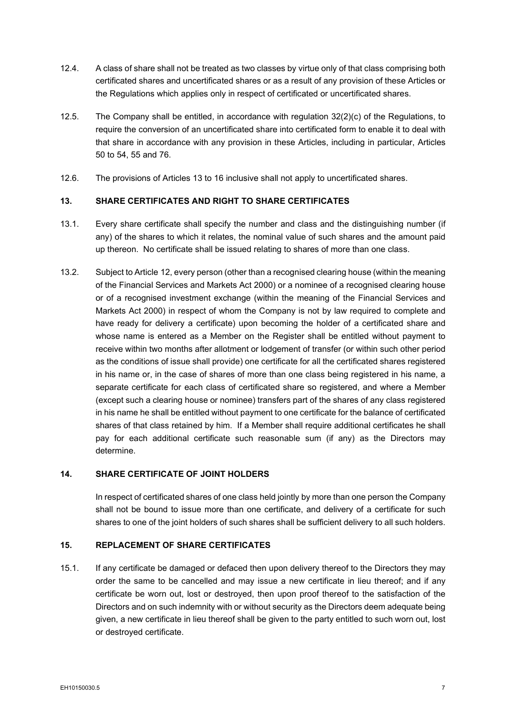- 12.4. A class of share shall not be treated as two classes by virtue only of that class comprising both certificated shares and uncertificated shares or as a result of any provision of these Articles or the Regulations which applies only in respect of certificated or uncertificated shares.
- 12.5. The Company shall be entitled, in accordance with regulation  $32(2)(c)$  of the Regulations, to require the conversion of an uncertificated share into certificated form to enable it to deal with that share in accordance with any provision in these Articles, including in particular, Articles [50](#page-24-2) to [54,](#page-25-3) [55](#page-26-1) and [76.](#page-37-1)
- 12.6. The provisions of Articles [13](#page-15-0) to [16](#page-16-0) inclusive shall not apply to uncertificated shares.

## <span id="page-15-0"></span>**13. SHARE CERTIFICATES AND RIGHT TO SHARE CERTIFICATES**

- 13.1. Every share certificate shall specify the number and class and the distinguishing number (if any) of the shares to which it relates, the nominal value of such shares and the amount paid up thereon. No certificate shall be issued relating to shares of more than one class.
- 13.2. Subject to Article [12,](#page-14-4) every person (other than a recognised clearing house (within the meaning of the Financial Services and Markets Act 2000) or a nominee of a recognised clearing house or of a recognised investment exchange (within the meaning of the Financial Services and Markets Act 2000) in respect of whom the Company is not by law required to complete and have ready for delivery a certificate) upon becoming the holder of a certificated share and whose name is entered as a Member on the Register shall be entitled without payment to receive within two months after allotment or lodgement of transfer (or within such other period as the conditions of issue shall provide) one certificate for all the certificated shares registered in his name or, in the case of shares of more than one class being registered in his name, a separate certificate for each class of certificated share so registered, and where a Member (except such a clearing house or nominee) transfers part of the shares of any class registered in his name he shall be entitled without payment to one certificate for the balance of certificated shares of that class retained by him. If a Member shall require additional certificates he shall pay for each additional certificate such reasonable sum (if any) as the Directors may determine.

## <span id="page-15-1"></span>**14. SHARE CERTIFICATE OF JOINT HOLDERS**

In respect of certificated shares of one class held jointly by more than one person the Company shall not be bound to issue more than one certificate, and delivery of a certificate for such shares to one of the joint holders of such shares shall be sufficient delivery to all such holders.

## <span id="page-15-2"></span>**15. REPLACEMENT OF SHARE CERTIFICATES**

15.1. If any certificate be damaged or defaced then upon delivery thereof to the Directors they may order the same to be cancelled and may issue a new certificate in lieu thereof; and if any certificate be worn out, lost or destroyed, then upon proof thereof to the satisfaction of the Directors and on such indemnity with or without security as the Directors deem adequate being given, a new certificate in lieu thereof shall be given to the party entitled to such worn out, lost or destroyed certificate.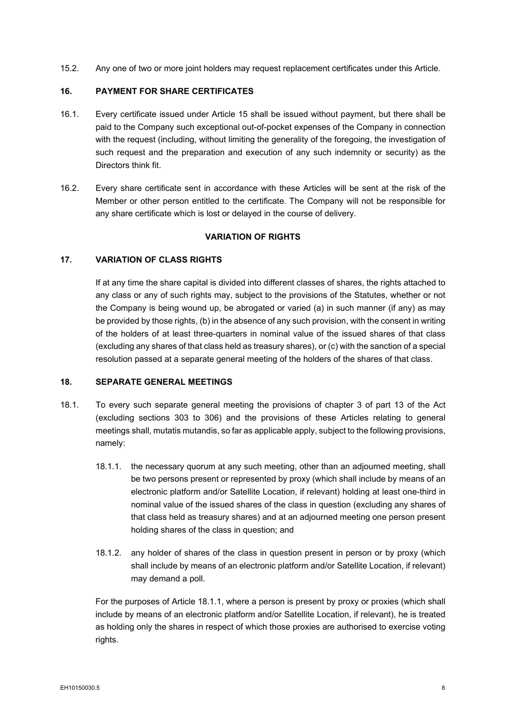15.2. Any one of two or more joint holders may request replacement certificates under this Article.

#### <span id="page-16-0"></span>**16. PAYMENT FOR SHARE CERTIFICATES**

- 16.1. Every certificate issued under Article [15](#page-15-2) shall be issued without payment, but there shall be paid to the Company such exceptional out-of-pocket expenses of the Company in connection with the request (including, without limiting the generality of the foregoing, the investigation of such request and the preparation and execution of any such indemnity or security) as the Directors think fit.
- 16.2. Every share certificate sent in accordance with these Articles will be sent at the risk of the Member or other person entitled to the certificate. The Company will not be responsible for any share certificate which is lost or delayed in the course of delivery.

## **VARIATION OF RIGHTS**

#### <span id="page-16-2"></span><span id="page-16-1"></span>**17. VARIATION OF CLASS RIGHTS**

If at any time the share capital is divided into different classes of shares, the rights attached to any class or any of such rights may, subject to the provisions of the Statutes, whether or not the Company is being wound up, be abrogated or varied (a) in such manner (if any) as may be provided by those rights, (b) in the absence of any such provision, with the consent in writing of the holders of at least three-quarters in nominal value of the issued shares of that class (excluding any shares of that class held as treasury shares), or (c) with the sanction of a special resolution passed at a separate general meeting of the holders of the shares of that class.

#### <span id="page-16-3"></span>**18. SEPARATE GENERAL MEETINGS**

- <span id="page-16-4"></span>18.1. To every such separate general meeting the provisions of chapter 3 of part 13 of the Act (excluding sections 303 to 306) and the provisions of these Articles relating to general meetings shall, mutatis mutandis, so far as applicable apply, subject to the following provisions, namely:
	- 18.1.1. the necessary quorum at any such meeting, other than an adjourned meeting, shall be two persons present or represented by proxy (which shall include by means of an electronic platform and/or Satellite Location, if relevant) holding at least one-third in nominal value of the issued shares of the class in question (excluding any shares of that class held as treasury shares) and at an adjourned meeting one person present holding shares of the class in question; and
	- 18.1.2. any holder of shares of the class in question present in person or by proxy (which shall include by means of an electronic platform and/or Satellite Location, if relevant) may demand a poll.

For the purposes of Article [18.1.1,](#page-16-4) where a person is present by proxy or proxies (which shall include by means of an electronic platform and/or Satellite Location, if relevant), he is treated as holding only the shares in respect of which those proxies are authorised to exercise voting rights.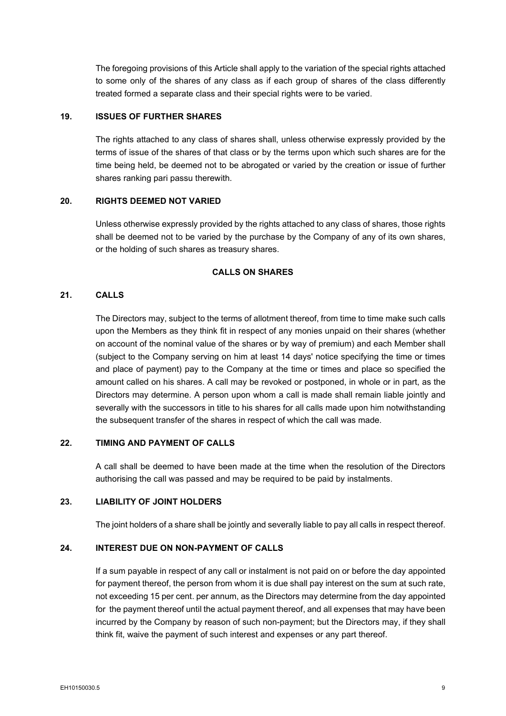The foregoing provisions of this Article shall apply to the variation of the special rights attached to some only of the shares of any class as if each group of shares of the class differently treated formed a separate class and their special rights were to be varied.

## <span id="page-17-0"></span>**19. ISSUES OF FURTHER SHARES**

The rights attached to any class of shares shall, unless otherwise expressly provided by the terms of issue of the shares of that class or by the terms upon which such shares are for the time being held, be deemed not to be abrogated or varied by the creation or issue of further shares ranking pari passu therewith.

## <span id="page-17-1"></span>**20. RIGHTS DEEMED NOT VARIED**

Unless otherwise expressly provided by the rights attached to any class of shares, those rights shall be deemed not to be varied by the purchase by the Company of any of its own shares, or the holding of such shares as treasury shares.

#### **CALLS ON SHARES**

## <span id="page-17-3"></span><span id="page-17-2"></span>**21. CALLS**

The Directors may, subject to the terms of allotment thereof, from time to time make such calls upon the Members as they think fit in respect of any monies unpaid on their shares (whether on account of the nominal value of the shares or by way of premium) and each Member shall (subject to the Company serving on him at least 14 days' notice specifying the time or times and place of payment) pay to the Company at the time or times and place so specified the amount called on his shares. A call may be revoked or postponed, in whole or in part, as the Directors may determine. A person upon whom a call is made shall remain liable jointly and severally with the successors in title to his shares for all calls made upon him notwithstanding the subsequent transfer of the shares in respect of which the call was made.

## <span id="page-17-4"></span>**22. TIMING AND PAYMENT OF CALLS**

A call shall be deemed to have been made at the time when the resolution of the Directors authorising the call was passed and may be required to be paid by instalments.

#### <span id="page-17-5"></span>**23. LIABILITY OF JOINT HOLDERS**

The joint holders of a share shall be jointly and severally liable to pay all calls in respect thereof.

## <span id="page-17-6"></span>**24. INTEREST DUE ON NON-PAYMENT OF CALLS**

If a sum payable in respect of any call or instalment is not paid on or before the day appointed for payment thereof, the person from whom it is due shall pay interest on the sum at such rate, not exceeding 15 per cent. per annum, as the Directors may determine from the day appointed for the payment thereof until the actual payment thereof, and all expenses that may have been incurred by the Company by reason of such non-payment; but the Directors may, if they shall think fit, waive the payment of such interest and expenses or any part thereof.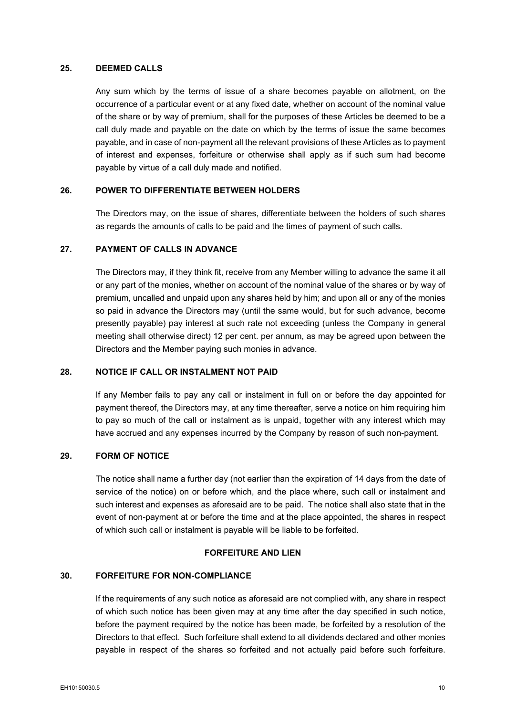## <span id="page-18-0"></span>**25. DEEMED CALLS**

Any sum which by the terms of issue of a share becomes payable on allotment, on the occurrence of a particular event or at any fixed date, whether on account of the nominal value of the share or by way of premium, shall for the purposes of these Articles be deemed to be a call duly made and payable on the date on which by the terms of issue the same becomes payable, and in case of non-payment all the relevant provisions of these Articles as to payment of interest and expenses, forfeiture or otherwise shall apply as if such sum had become payable by virtue of a call duly made and notified.

#### <span id="page-18-1"></span>**26. POWER TO DIFFERENTIATE BETWEEN HOLDERS**

The Directors may, on the issue of shares, differentiate between the holders of such shares as regards the amounts of calls to be paid and the times of payment of such calls.

### <span id="page-18-2"></span>**27. PAYMENT OF CALLS IN ADVANCE**

The Directors may, if they think fit, receive from any Member willing to advance the same it all or any part of the monies, whether on account of the nominal value of the shares or by way of premium, uncalled and unpaid upon any shares held by him; and upon all or any of the monies so paid in advance the Directors may (until the same would, but for such advance, become presently payable) pay interest at such rate not exceeding (unless the Company in general meeting shall otherwise direct) 12 per cent. per annum, as may be agreed upon between the Directors and the Member paying such monies in advance.

## <span id="page-18-3"></span>**28. NOTICE IF CALL OR INSTALMENT NOT PAID**

If any Member fails to pay any call or instalment in full on or before the day appointed for payment thereof, the Directors may, at any time thereafter, serve a notice on him requiring him to pay so much of the call or instalment as is unpaid, together with any interest which may have accrued and any expenses incurred by the Company by reason of such non-payment.

#### <span id="page-18-4"></span>**29. FORM OF NOTICE**

The notice shall name a further day (not earlier than the expiration of 14 days from the date of service of the notice) on or before which, and the place where, such call or instalment and such interest and expenses as aforesaid are to be paid. The notice shall also state that in the event of non-payment at or before the time and at the place appointed, the shares in respect of which such call or instalment is payable will be liable to be forfeited.

### **FORFEITURE AND LIEN**

#### <span id="page-18-6"></span><span id="page-18-5"></span>**30. FORFEITURE FOR NON-COMPLIANCE**

If the requirements of any such notice as aforesaid are not complied with, any share in respect of which such notice has been given may at any time after the day specified in such notice, before the payment required by the notice has been made, be forfeited by a resolution of the Directors to that effect. Such forfeiture shall extend to all dividends declared and other monies payable in respect of the shares so forfeited and not actually paid before such forfeiture.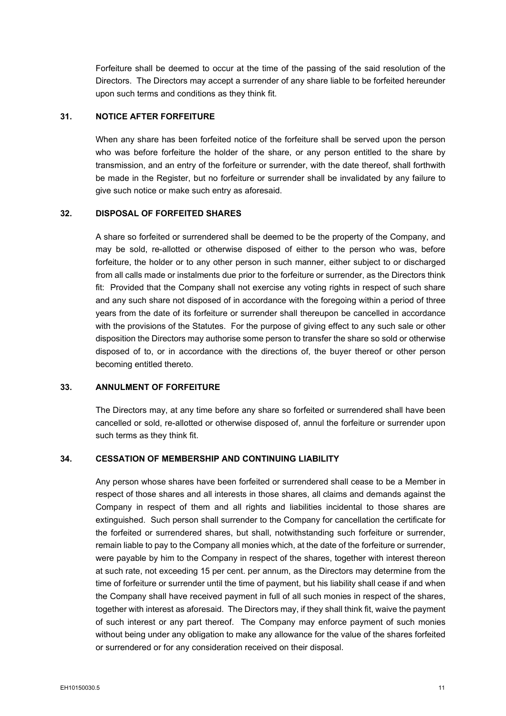Forfeiture shall be deemed to occur at the time of the passing of the said resolution of the Directors. The Directors may accept a surrender of any share liable to be forfeited hereunder upon such terms and conditions as they think fit.

## <span id="page-19-0"></span>**31. NOTICE AFTER FORFEITURE**

When any share has been forfeited notice of the forfeiture shall be served upon the person who was before forfeiture the holder of the share, or any person entitled to the share by transmission, and an entry of the forfeiture or surrender, with the date thereof, shall forthwith be made in the Register, but no forfeiture or surrender shall be invalidated by any failure to give such notice or make such entry as aforesaid.

### <span id="page-19-1"></span>**32. DISPOSAL OF FORFEITED SHARES**

A share so forfeited or surrendered shall be deemed to be the property of the Company, and may be sold, re-allotted or otherwise disposed of either to the person who was, before forfeiture, the holder or to any other person in such manner, either subject to or discharged from all calls made or instalments due prior to the forfeiture or surrender, as the Directors think fit: Provided that the Company shall not exercise any voting rights in respect of such share and any such share not disposed of in accordance with the foregoing within a period of three years from the date of its forfeiture or surrender shall thereupon be cancelled in accordance with the provisions of the Statutes. For the purpose of giving effect to any such sale or other disposition the Directors may authorise some person to transfer the share so sold or otherwise disposed of to, or in accordance with the directions of, the buyer thereof or other person becoming entitled thereto.

### <span id="page-19-2"></span>**33. ANNULMENT OF FORFEITURE**

The Directors may, at any time before any share so forfeited or surrendered shall have been cancelled or sold, re-allotted or otherwise disposed of, annul the forfeiture or surrender upon such terms as they think fit.

#### <span id="page-19-3"></span>**34. CESSATION OF MEMBERSHIP AND CONTINUING LIABILITY**

Any person whose shares have been forfeited or surrendered shall cease to be a Member in respect of those shares and all interests in those shares, all claims and demands against the Company in respect of them and all rights and liabilities incidental to those shares are extinguished. Such person shall surrender to the Company for cancellation the certificate for the forfeited or surrendered shares, but shall, notwithstanding such forfeiture or surrender, remain liable to pay to the Company all monies which, at the date of the forfeiture or surrender, were payable by him to the Company in respect of the shares, together with interest thereon at such rate, not exceeding 15 per cent. per annum, as the Directors may determine from the time of forfeiture or surrender until the time of payment, but his liability shall cease if and when the Company shall have received payment in full of all such monies in respect of the shares, together with interest as aforesaid. The Directors may, if they shall think fit, waive the payment of such interest or any part thereof. The Company may enforce payment of such monies without being under any obligation to make any allowance for the value of the shares forfeited or surrendered or for any consideration received on their disposal.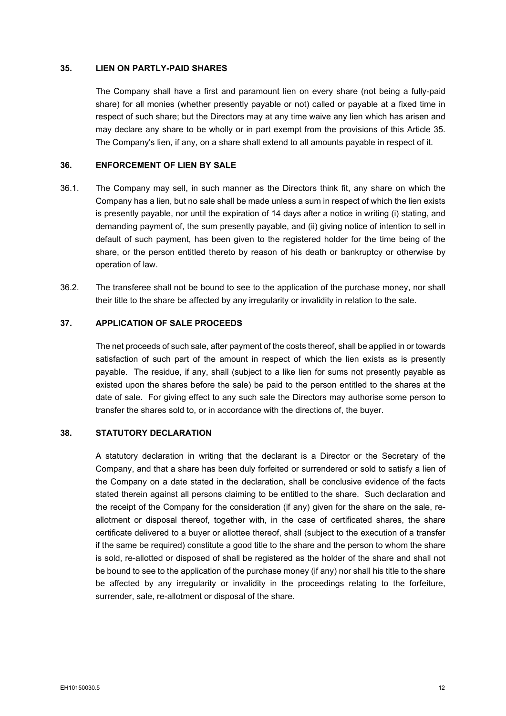#### <span id="page-20-0"></span>**35. LIEN ON PARTLY-PAID SHARES**

The Company shall have a first and paramount lien on every share (not being a fully-paid share) for all monies (whether presently payable or not) called or payable at a fixed time in respect of such share; but the Directors may at any time waive any lien which has arisen and may declare any share to be wholly or in part exempt from the provisions of this Article [35.](#page-20-0) The Company's lien, if any, on a share shall extend to all amounts payable in respect of it.

## <span id="page-20-1"></span>**36. ENFORCEMENT OF LIEN BY SALE**

- 36.1. The Company may sell, in such manner as the Directors think fit, any share on which the Company has a lien, but no sale shall be made unless a sum in respect of which the lien exists is presently payable, nor until the expiration of 14 days after a notice in writing (i) stating, and demanding payment of, the sum presently payable, and (ii) giving notice of intention to sell in default of such payment, has been given to the registered holder for the time being of the share, or the person entitled thereto by reason of his death or bankruptcy or otherwise by operation of law.
- 36.2. The transferee shall not be bound to see to the application of the purchase money, nor shall their title to the share be affected by any irregularity or invalidity in relation to the sale.

#### <span id="page-20-2"></span>**37. APPLICATION OF SALE PROCEEDS**

The net proceeds of such sale, after payment of the costs thereof, shall be applied in or towards satisfaction of such part of the amount in respect of which the lien exists as is presently payable. The residue, if any, shall (subject to a like lien for sums not presently payable as existed upon the shares before the sale) be paid to the person entitled to the shares at the date of sale. For giving effect to any such sale the Directors may authorise some person to transfer the shares sold to, or in accordance with the directions of, the buyer.

## <span id="page-20-3"></span>**38. STATUTORY DECLARATION**

A statutory declaration in writing that the declarant is a Director or the Secretary of the Company, and that a share has been duly forfeited or surrendered or sold to satisfy a lien of the Company on a date stated in the declaration, shall be conclusive evidence of the facts stated therein against all persons claiming to be entitled to the share. Such declaration and the receipt of the Company for the consideration (if any) given for the share on the sale, reallotment or disposal thereof, together with, in the case of certificated shares, the share certificate delivered to a buyer or allottee thereof, shall (subject to the execution of a transfer if the same be required) constitute a good title to the share and the person to whom the share is sold, re-allotted or disposed of shall be registered as the holder of the share and shall not be bound to see to the application of the purchase money (if any) nor shall his title to the share be affected by any irregularity or invalidity in the proceedings relating to the forfeiture, surrender, sale, re-allotment or disposal of the share.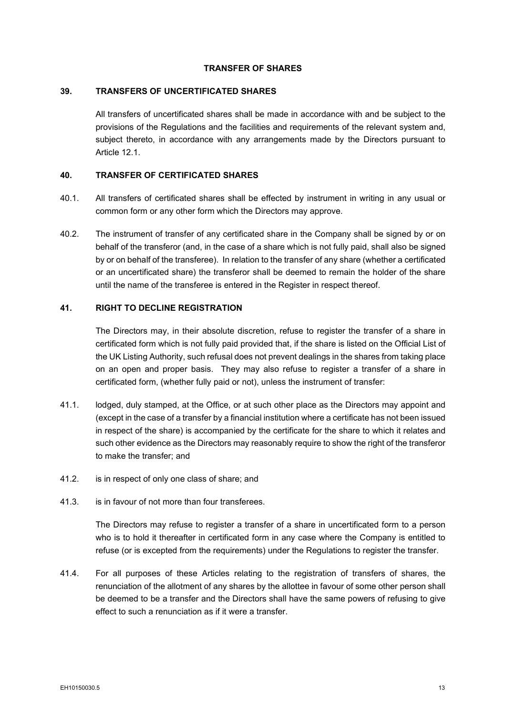### **TRANSFER OF SHARES**

#### <span id="page-21-1"></span><span id="page-21-0"></span>**39. TRANSFERS OF UNCERTIFICATED SHARES**

All transfers of uncertificated shares shall be made in accordance with and be subject to the provisions of the Regulations and the facilities and requirements of the relevant system and, subject thereto, in accordance with any arrangements made by the Directors pursuant to Article [12.1.](#page-14-5)

#### <span id="page-21-2"></span>**40. TRANSFER OF CERTIFICATED SHARES**

- 40.1. All transfers of certificated shares shall be effected by instrument in writing in any usual or common form or any other form which the Directors may approve.
- 40.2. The instrument of transfer of any certificated share in the Company shall be signed by or on behalf of the transferor (and, in the case of a share which is not fully paid, shall also be signed by or on behalf of the transferee). In relation to the transfer of any share (whether a certificated or an uncertificated share) the transferor shall be deemed to remain the holder of the share until the name of the transferee is entered in the Register in respect thereof.

## <span id="page-21-3"></span>**41. RIGHT TO DECLINE REGISTRATION**

The Directors may, in their absolute discretion, refuse to register the transfer of a share in certificated form which is not fully paid provided that, if the share is listed on the Official List of the UK Listing Authority, such refusal does not prevent dealings in the shares from taking place on an open and proper basis. They may also refuse to register a transfer of a share in certificated form, (whether fully paid or not), unless the instrument of transfer:

- 41.1. lodged, duly stamped, at the Office, or at such other place as the Directors may appoint and (except in the case of a transfer by a financial institution where a certificate has not been issued in respect of the share) is accompanied by the certificate for the share to which it relates and such other evidence as the Directors may reasonably require to show the right of the transferor to make the transfer; and
- 41.2. is in respect of only one class of share; and
- 41.3. is in favour of not more than four transferees.

The Directors may refuse to register a transfer of a share in uncertificated form to a person who is to hold it thereafter in certificated form in any case where the Company is entitled to refuse (or is excepted from the requirements) under the Regulations to register the transfer.

41.4. For all purposes of these Articles relating to the registration of transfers of shares, the renunciation of the allotment of any shares by the allottee in favour of some other person shall be deemed to be a transfer and the Directors shall have the same powers of refusing to give effect to such a renunciation as if it were a transfer.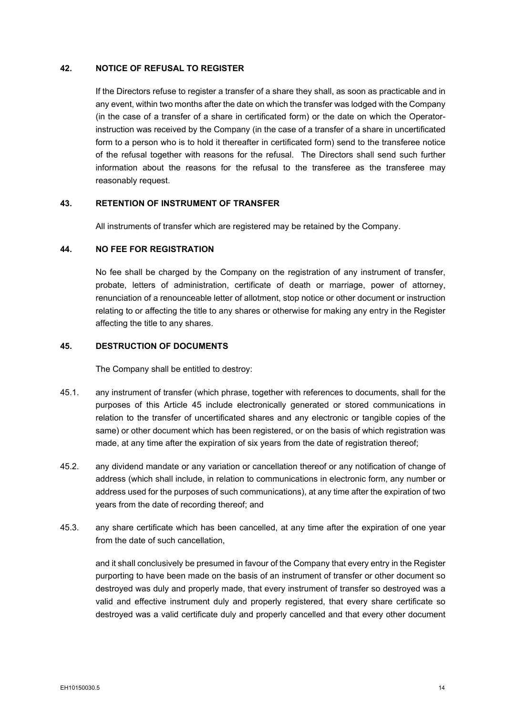#### <span id="page-22-0"></span>**42. NOTICE OF REFUSAL TO REGISTER**

If the Directors refuse to register a transfer of a share they shall, as soon as practicable and in any event, within two months after the date on which the transfer was lodged with the Company (in the case of a transfer of a share in certificated form) or the date on which the Operatorinstruction was received by the Company (in the case of a transfer of a share in uncertificated form to a person who is to hold it thereafter in certificated form) send to the transferee notice of the refusal together with reasons for the refusal. The Directors shall send such further information about the reasons for the refusal to the transferee as the transferee may reasonably request.

#### <span id="page-22-1"></span>**43. RETENTION OF INSTRUMENT OF TRANSFER**

All instruments of transfer which are registered may be retained by the Company.

#### <span id="page-22-2"></span>**44. NO FEE FOR REGISTRATION**

No fee shall be charged by the Company on the registration of any instrument of transfer, probate, letters of administration, certificate of death or marriage, power of attorney, renunciation of a renounceable letter of allotment, stop notice or other document or instruction relating to or affecting the title to any shares or otherwise for making any entry in the Register affecting the title to any shares.

#### <span id="page-22-3"></span>**45. DESTRUCTION OF DOCUMENTS**

The Company shall be entitled to destroy:

- 45.1. any instrument of transfer (which phrase, together with references to documents, shall for the purposes of this Article [45](#page-22-3) include electronically generated or stored communications in relation to the transfer of uncertificated shares and any electronic or tangible copies of the same) or other document which has been registered, or on the basis of which registration was made, at any time after the expiration of six years from the date of registration thereof;
- 45.2. any dividend mandate or any variation or cancellation thereof or any notification of change of address (which shall include, in relation to communications in electronic form, any number or address used for the purposes of such communications), at any time after the expiration of two years from the date of recording thereof; and
- 45.3. any share certificate which has been cancelled, at any time after the expiration of one year from the date of such cancellation,

and it shall conclusively be presumed in favour of the Company that every entry in the Register purporting to have been made on the basis of an instrument of transfer or other document so destroyed was duly and properly made, that every instrument of transfer so destroyed was a valid and effective instrument duly and properly registered, that every share certificate so destroyed was a valid certificate duly and properly cancelled and that every other document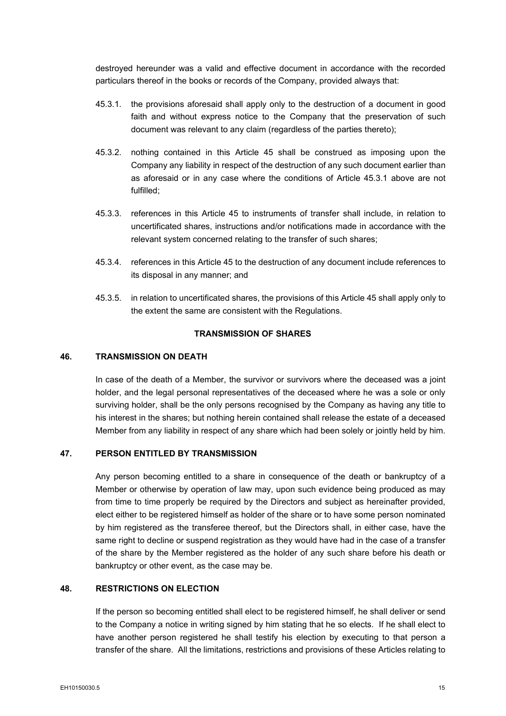destroyed hereunder was a valid and effective document in accordance with the recorded particulars thereof in the books or records of the Company, provided always that:

- <span id="page-23-4"></span>45.3.1. the provisions aforesaid shall apply only to the destruction of a document in good faith and without express notice to the Company that the preservation of such document was relevant to any claim (regardless of the parties thereto);
- 45.3.2. nothing contained in this Article [45](#page-22-3) shall be construed as imposing upon the Company any liability in respect of the destruction of any such document earlier than as aforesaid or in any case where the conditions of Article [45.3.1](#page-23-4) above are not fulfilled;
- 45.3.3. references in this Article [45](#page-22-3) to instruments of transfer shall include, in relation to uncertificated shares, instructions and/or notifications made in accordance with the relevant system concerned relating to the transfer of such shares;
- 45.3.4. references in this Article [45](#page-22-3) to the destruction of any document include references to its disposal in any manner; and
- 45.3.5. in relation to uncertificated shares, the provisions of this Article [45](#page-22-3) shall apply only to the extent the same are consistent with the Regulations.

## **TRANSMISSION OF SHARES**

#### <span id="page-23-1"></span><span id="page-23-0"></span>**46. TRANSMISSION ON DEATH**

In case of the death of a Member, the survivor or survivors where the deceased was a joint holder, and the legal personal representatives of the deceased where he was a sole or only surviving holder, shall be the only persons recognised by the Company as having any title to his interest in the shares; but nothing herein contained shall release the estate of a deceased Member from any liability in respect of any share which had been solely or jointly held by him.

## <span id="page-23-2"></span>**47. PERSON ENTITLED BY TRANSMISSION**

Any person becoming entitled to a share in consequence of the death or bankruptcy of a Member or otherwise by operation of law may, upon such evidence being produced as may from time to time properly be required by the Directors and subject as hereinafter provided, elect either to be registered himself as holder of the share or to have some person nominated by him registered as the transferee thereof, but the Directors shall, in either case, have the same right to decline or suspend registration as they would have had in the case of a transfer of the share by the Member registered as the holder of any such share before his death or bankruptcy or other event, as the case may be.

## <span id="page-23-3"></span>**48. RESTRICTIONS ON ELECTION**

If the person so becoming entitled shall elect to be registered himself, he shall deliver or send to the Company a notice in writing signed by him stating that he so elects. If he shall elect to have another person registered he shall testify his election by executing to that person a transfer of the share. All the limitations, restrictions and provisions of these Articles relating to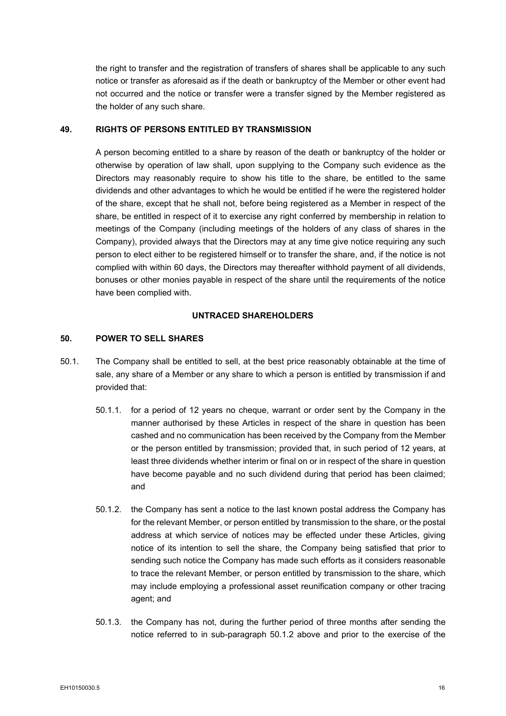the right to transfer and the registration of transfers of shares shall be applicable to any such notice or transfer as aforesaid as if the death or bankruptcy of the Member or other event had not occurred and the notice or transfer were a transfer signed by the Member registered as the holder of any such share.

#### <span id="page-24-0"></span>**49. RIGHTS OF PERSONS ENTITLED BY TRANSMISSION**

A person becoming entitled to a share by reason of the death or bankruptcy of the holder or otherwise by operation of law shall, upon supplying to the Company such evidence as the Directors may reasonably require to show his title to the share, be entitled to the same dividends and other advantages to which he would be entitled if he were the registered holder of the share, except that he shall not, before being registered as a Member in respect of the share, be entitled in respect of it to exercise any right conferred by membership in relation to meetings of the Company (including meetings of the holders of any class of shares in the Company), provided always that the Directors may at any time give notice requiring any such person to elect either to be registered himself or to transfer the share, and, if the notice is not complied with within 60 days, the Directors may thereafter withhold payment of all dividends, bonuses or other monies payable in respect of the share until the requirements of the notice have been complied with.

## **UNTRACED SHAREHOLDERS**

#### <span id="page-24-2"></span><span id="page-24-1"></span>**50. POWER TO SELL SHARES**

- <span id="page-24-5"></span><span id="page-24-4"></span><span id="page-24-3"></span>50.1. The Company shall be entitled to sell, at the best price reasonably obtainable at the time of sale, any share of a Member or any share to which a person is entitled by transmission if and provided that:
	- 50.1.1. for a period of 12 years no cheque, warrant or order sent by the Company in the manner authorised by these Articles in respect of the share in question has been cashed and no communication has been received by the Company from the Member or the person entitled by transmission; provided that, in such period of 12 years, at least three dividends whether interim or final on or in respect of the share in question have become payable and no such dividend during that period has been claimed; and
	- 50.1.2. the Company has sent a notice to the last known postal address the Company has for the relevant Member, or person entitled by transmission to the share, or the postal address at which service of notices may be effected under these Articles, giving notice of its intention to sell the share, the Company being satisfied that prior to sending such notice the Company has made such efforts as it considers reasonable to trace the relevant Member, or person entitled by transmission to the share, which may include employing a professional asset reunification company or other tracing agent; and
	- 50.1.3. the Company has not, during the further period of three months after sending the notice referred to in sub-paragraph [50.1.2](#page-24-3) above and prior to the exercise of the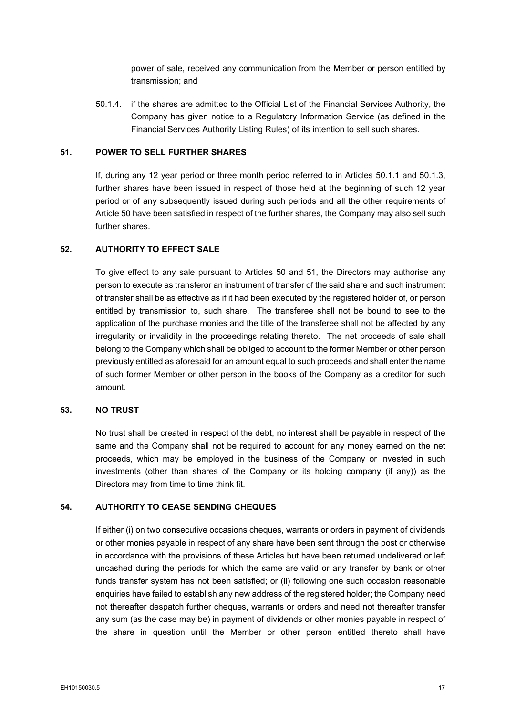power of sale, received any communication from the Member or person entitled by transmission; and

50.1.4. if the shares are admitted to the Official List of the Financial Services Authority, the Company has given notice to a Regulatory Information Service (as defined in the Financial Services Authority Listing Rules) of its intention to sell such shares.

#### <span id="page-25-0"></span>**51. POWER TO SELL FURTHER SHARES**

If, during any 12 year period or three month period referred to in Articles [50.1.1](#page-24-4) and [50.1.3,](#page-24-5) further shares have been issued in respect of those held at the beginning of such 12 year period or of any subsequently issued during such periods and all the other requirements of Articl[e 50](#page-24-2) have been satisfied in respect of the further shares, the Company may also sell such further shares.

### <span id="page-25-1"></span>**52. AUTHORITY TO EFFECT SALE**

To give effect to any sale pursuant to Articles [50](#page-24-2) and [51,](#page-25-0) the Directors may authorise any person to execute as transferor an instrument of transfer of the said share and such instrument of transfer shall be as effective as if it had been executed by the registered holder of, or person entitled by transmission to, such share. The transferee shall not be bound to see to the application of the purchase monies and the title of the transferee shall not be affected by any irregularity or invalidity in the proceedings relating thereto. The net proceeds of sale shall belong to the Company which shall be obliged to account to the former Member or other person previously entitled as aforesaid for an amount equal to such proceeds and shall enter the name of such former Member or other person in the books of the Company as a creditor for such amount.

#### <span id="page-25-2"></span>**53. NO TRUST**

No trust shall be created in respect of the debt, no interest shall be payable in respect of the same and the Company shall not be required to account for any money earned on the net proceeds, which may be employed in the business of the Company or invested in such investments (other than shares of the Company or its holding company (if any)) as the Directors may from time to time think fit.

## <span id="page-25-3"></span>**54. AUTHORITY TO CEASE SENDING CHEQUES**

If either (i) on two consecutive occasions cheques, warrants or orders in payment of dividends or other monies payable in respect of any share have been sent through the post or otherwise in accordance with the provisions of these Articles but have been returned undelivered or left uncashed during the periods for which the same are valid or any transfer by bank or other funds transfer system has not been satisfied; or (ii) following one such occasion reasonable enquiries have failed to establish any new address of the registered holder; the Company need not thereafter despatch further cheques, warrants or orders and need not thereafter transfer any sum (as the case may be) in payment of dividends or other monies payable in respect of the share in question until the Member or other person entitled thereto shall have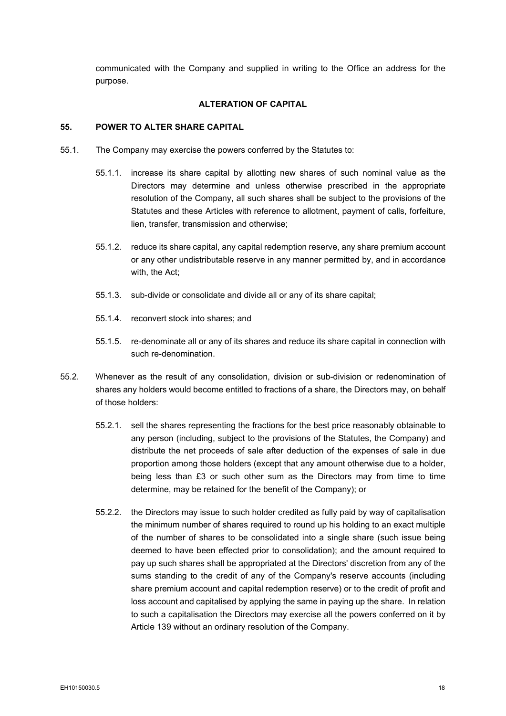communicated with the Company and supplied in writing to the Office an address for the purpose.

#### **ALTERATION OF CAPITAL**

#### <span id="page-26-1"></span><span id="page-26-0"></span>**55. POWER TO ALTER SHARE CAPITAL**

- 55.1. The Company may exercise the powers conferred by the Statutes to:
	- 55.1.1. increase its share capital by allotting new shares of such nominal value as the Directors may determine and unless otherwise prescribed in the appropriate resolution of the Company, all such shares shall be subject to the provisions of the Statutes and these Articles with reference to allotment, payment of calls, forfeiture, lien, transfer, transmission and otherwise;
	- 55.1.2. reduce its share capital, any capital redemption reserve, any share premium account or any other undistributable reserve in any manner permitted by, and in accordance with, the Act;
	- 55.1.3. sub-divide or consolidate and divide all or any of its share capital;
	- 55.1.4. reconvert stock into shares; and
	- 55.1.5. re-denominate all or any of its shares and reduce its share capital in connection with such re-denomination.
- 55.2. Whenever as the result of any consolidation, division or sub-division or redenomination of shares any holders would become entitled to fractions of a share, the Directors may, on behalf of those holders:
	- 55.2.1. sell the shares representing the fractions for the best price reasonably obtainable to any person (including, subject to the provisions of the Statutes, the Company) and distribute the net proceeds of sale after deduction of the expenses of sale in due proportion among those holders (except that any amount otherwise due to a holder, being less than £3 or such other sum as the Directors may from time to time determine, may be retained for the benefit of the Company); or
	- 55.2.2. the Directors may issue to such holder credited as fully paid by way of capitalisation the minimum number of shares required to round up his holding to an exact multiple of the number of shares to be consolidated into a single share (such issue being deemed to have been effected prior to consolidation); and the amount required to pay up such shares shall be appropriated at the Directors' discretion from any of the sums standing to the credit of any of the Company's reserve accounts (including share premium account and capital redemption reserve) or to the credit of profit and loss account and capitalised by applying the same in paying up the share. In relation to such a capitalisation the Directors may exercise all the powers conferred on it by Article [139](#page-64-1) without an ordinary resolution of the Company.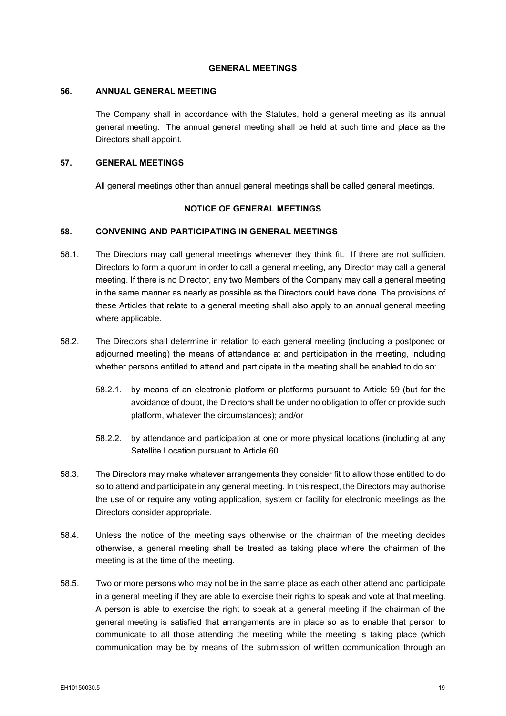#### **GENERAL MEETINGS**

#### <span id="page-27-1"></span><span id="page-27-0"></span>**56. ANNUAL GENERAL MEETING**

The Company shall in accordance with the Statutes, hold a general meeting as its annual general meeting. The annual general meeting shall be held at such time and place as the Directors shall appoint.

## <span id="page-27-2"></span>**57. GENERAL MEETINGS**

All general meetings other than annual general meetings shall be called general meetings.

#### **NOTICE OF GENERAL MEETINGS**

### <span id="page-27-4"></span><span id="page-27-3"></span>**58. CONVENING AND PARTICIPATING IN GENERAL MEETINGS**

- 58.1. The Directors may call general meetings whenever they think fit. If there are not sufficient Directors to form a quorum in order to call a general meeting, any Director may call a general meeting. If there is no Director, any two Members of the Company may call a general meeting in the same manner as nearly as possible as the Directors could have done. The provisions of these Articles that relate to a general meeting shall also apply to an annual general meeting where applicable.
- 58.2. The Directors shall determine in relation to each general meeting (including a postponed or adjourned meeting) the means of attendance at and participation in the meeting, including whether persons entitled to attend and participate in the meeting shall be enabled to do so:
	- 58.2.1. by means of an electronic platform or platforms pursuant to Article [59](#page-28-0) (but for the avoidance of doubt, the Directors shall be under no obligation to offer or provide such platform, whatever the circumstances); and/or
	- 58.2.2. by attendance and participation at one or more physical locations (including at any Satellite Location pursuant to Article [60.](#page-28-1)
- 58.3. The Directors may make whatever arrangements they consider fit to allow those entitled to do so to attend and participate in any general meeting. In this respect, the Directors may authorise the use of or require any voting application, system or facility for electronic meetings as the Directors consider appropriate.
- 58.4. Unless the notice of the meeting says otherwise or the chairman of the meeting decides otherwise, a general meeting shall be treated as taking place where the chairman of the meeting is at the time of the meeting.
- 58.5. Two or more persons who may not be in the same place as each other attend and participate in a general meeting if they are able to exercise their rights to speak and vote at that meeting. A person is able to exercise the right to speak at a general meeting if the chairman of the general meeting is satisfied that arrangements are in place so as to enable that person to communicate to all those attending the meeting while the meeting is taking place (which communication may be by means of the submission of written communication through an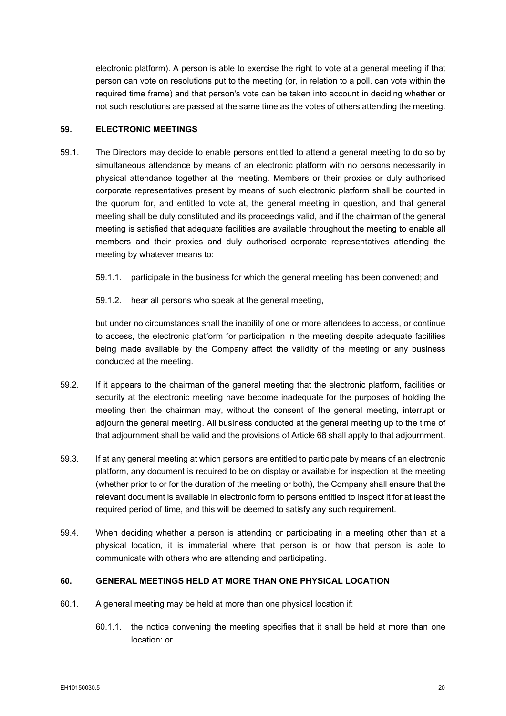electronic platform). A person is able to exercise the right to vote at a general meeting if that person can vote on resolutions put to the meeting (or, in relation to a poll, can vote within the required time frame) and that person's vote can be taken into account in deciding whether or not such resolutions are passed at the same time as the votes of others attending the meeting.

### <span id="page-28-0"></span>**59. ELECTRONIC MEETINGS**

- 59.1. The Directors may decide to enable persons entitled to attend a general meeting to do so by simultaneous attendance by means of an electronic platform with no persons necessarily in physical attendance together at the meeting. Members or their proxies or duly authorised corporate representatives present by means of such electronic platform shall be counted in the quorum for, and entitled to vote at, the general meeting in question, and that general meeting shall be duly constituted and its proceedings valid, and if the chairman of the general meeting is satisfied that adequate facilities are available throughout the meeting to enable all members and their proxies and duly authorised corporate representatives attending the meeting by whatever means to:
	- 59.1.1. participate in the business for which the general meeting has been convened; and
	- 59.1.2. hear all persons who speak at the general meeting,

but under no circumstances shall the inability of one or more attendees to access, or continue to access, the electronic platform for participation in the meeting despite adequate facilities being made available by the Company affect the validity of the meeting or any business conducted at the meeting.

- 59.2. If it appears to the chairman of the general meeting that the electronic platform, facilities or security at the electronic meeting have become inadequate for the purposes of holding the meeting then the chairman may, without the consent of the general meeting, interrupt or adjourn the general meeting. All business conducted at the general meeting up to the time of that adjournment shall be valid and the provisions of Article [68](#page-33-0) shall apply to that adjournment.
- 59.3. If at any general meeting at which persons are entitled to participate by means of an electronic platform, any document is required to be on display or available for inspection at the meeting (whether prior to or for the duration of the meeting or both), the Company shall ensure that the relevant document is available in electronic form to persons entitled to inspect it for at least the required period of time, and this will be deemed to satisfy any such requirement.
- 59.4. When deciding whether a person is attending or participating in a meeting other than at a physical location, it is immaterial where that person is or how that person is able to communicate with others who are attending and participating.

## <span id="page-28-1"></span>**60. GENERAL MEETINGS HELD AT MORE THAN ONE PHYSICAL LOCATION**

- 60.1. A general meeting may be held at more than one physical location if:
	- 60.1.1. the notice convening the meeting specifies that it shall be held at more than one location: or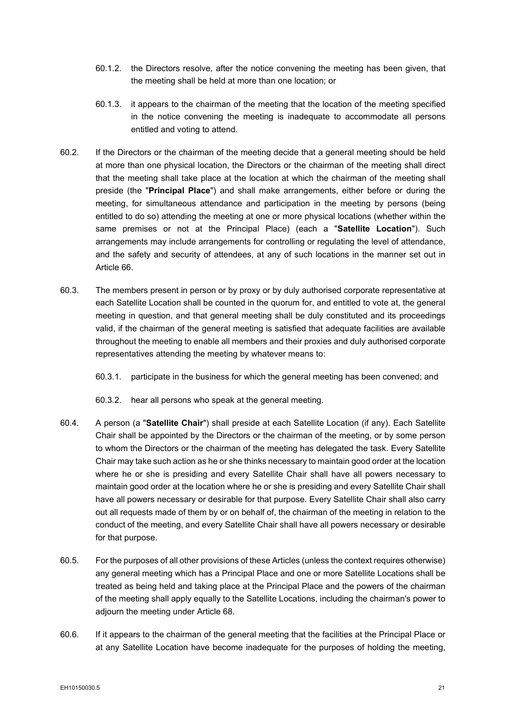- 60.1.2. the Directors resolve, after the notice convening the meeting has been given, that the meeting shall be held at more than one location; or
- 60.1.3. it appears to the chairman of the meeting that the location of the meeting specified in the notice convening the meeting is inadequate to accommodate all persons entitled and voting to attend.
- 60.2. If the Directors or the chairman of the meeting decide that a general meeting should be held at more than one physical location, the Directors or the chairman of the meeting shall direct that the meeting shall take place at the location at which the chairman of the meeting shall preside (the "**Principal Place**") and shall make arrangements, either before or during the meeting, for simultaneous attendance and participation in the meeting by persons (being entitled to do so) attending the meeting at one or more physical locations (whether within the same premises or not at the Principal Place) (each a "**Satellite Location**"). Such arrangements may include arrangements for controlling or regulating the level of attendance, and the safety and security of attendees, at any of such locations in the manner set out in Article [66.](#page-32-0)
- 60.3. The members present in person or by proxy or by duly authorised corporate representative at each Satellite Location shall be counted in the quorum for, and entitled to vote at, the general meeting in question, and that general meeting shall be duly constituted and its proceedings valid, if the chairman of the general meeting is satisfied that adequate facilities are available throughout the meeting to enable all members and their proxies and duly authorised corporate representatives attending the meeting by whatever means to:
	- 60.3.1. participate in the business for which the general meeting has been convened; and
	- 60.3.2. hear all persons who speak at the general meeting.
- 60.4. A person (a "**Satellite Chair**") shall preside at each Satellite Location (if any). Each Satellite Chair shall be appointed by the Directors or the chairman of the meeting, or by some person to whom the Directors or the chairman of the meeting has delegated the task. Every Satellite Chair may take such action as he or she thinks necessary to maintain good order at the location where he or she is presiding and every Satellite Chair shall have all powers necessary to maintain good order at the location where he or she is presiding and every Satellite Chair shall have all powers necessary or desirable for that purpose. Every Satellite Chair shall also carry out all requests made of them by or on behalf of, the chairman of the meeting in relation to the conduct of the meeting, and every Satellite Chair shall have all powers necessary or desirable for that purpose.
- 60.5. For the purposes of all other provisions of these Articles (unless the context requires otherwise) any general meeting which has a Principal Place and one or more Satellite Locations shall be treated as being held and taking place at the Principal Place and the powers of the chairman of the meeting shall apply equally to the Satellite Locations, including the chairman's power to adjourn the meeting under Article [68.](#page-33-0)
- 60.6. If it appears to the chairman of the general meeting that the facilities at the Principal Place or at any Satellite Location have become inadequate for the purposes of holding the meeting,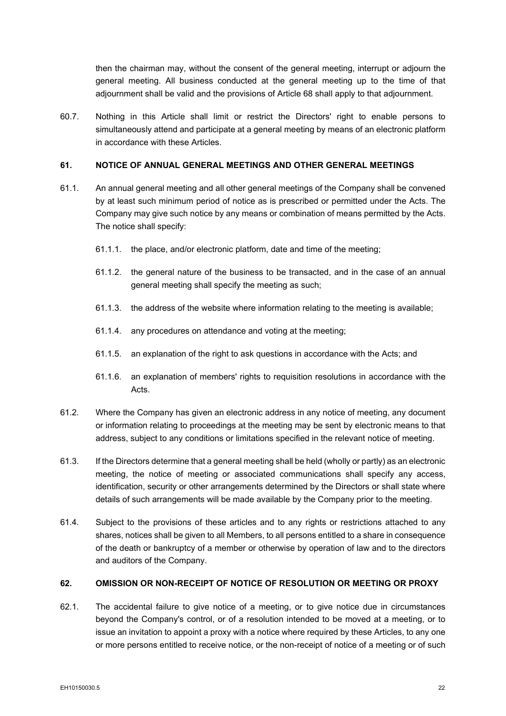then the chairman may, without the consent of the general meeting, interrupt or adjourn the general meeting. All business conducted at the general meeting up to the time of that adjournment shall be valid and the provisions of Article [68](#page-33-0) shall apply to that adjournment.

60.7. Nothing in this Article shall limit or restrict the Directors' right to enable persons to simultaneously attend and participate at a general meeting by means of an electronic platform in accordance with these Articles.

## <span id="page-30-0"></span>**61. NOTICE OF ANNUAL GENERAL MEETINGS AND OTHER GENERAL MEETINGS**

- 61.1. An annual general meeting and all other general meetings of the Company shall be convened by at least such minimum period of notice as is prescribed or permitted under the Acts. The Company may give such notice by any means or combination of means permitted by the Acts. The notice shall specify:
	- 61.1.1. the place, and/or electronic platform, date and time of the meeting;
	- 61.1.2. the general nature of the business to be transacted, and in the case of an annual general meeting shall specify the meeting as such;
	- 61.1.3. the address of the website where information relating to the meeting is available;
	- 61.1.4. any procedures on attendance and voting at the meeting;
	- 61.1.5. an explanation of the right to ask questions in accordance with the Acts; and
	- 61.1.6. an explanation of members' rights to requisition resolutions in accordance with the Acts.
- 61.2. Where the Company has given an electronic address in any notice of meeting, any document or information relating to proceedings at the meeting may be sent by electronic means to that address, subject to any conditions or limitations specified in the relevant notice of meeting.
- 61.3. If the Directors determine that a general meeting shall be held (wholly or partly) as an electronic meeting, the notice of meeting or associated communications shall specify any access, identification, security or other arrangements determined by the Directors or shall state where details of such arrangements will be made available by the Company prior to the meeting.
- 61.4. Subject to the provisions of these articles and to any rights or restrictions attached to any shares, notices shall be given to all Members, to all persons entitled to a share in consequence of the death or bankruptcy of a member or otherwise by operation of law and to the directors and auditors of the Company.

## <span id="page-30-1"></span>**62. OMISSION OR NON-RECEIPT OF NOTICE OF RESOLUTION OR MEETING OR PROXY**

62.1. The accidental failure to give notice of a meeting, or to give notice due in circumstances beyond the Company's control, or of a resolution intended to be moved at a meeting, or to issue an invitation to appoint a proxy with a notice where required by these Articles, to any one or more persons entitled to receive notice, or the non-receipt of notice of a meeting or of such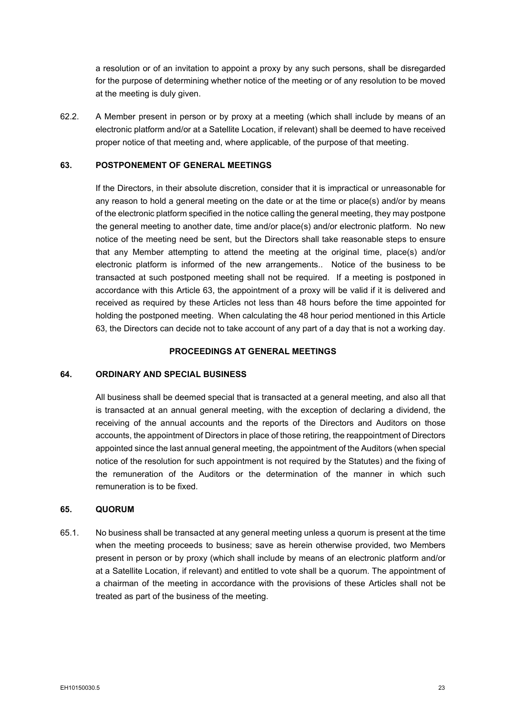a resolution or of an invitation to appoint a proxy by any such persons, shall be disregarded for the purpose of determining whether notice of the meeting or of any resolution to be moved at the meeting is duly given.

62.2. A Member present in person or by proxy at a meeting (which shall include by means of an electronic platform and/or at a Satellite Location, if relevant) shall be deemed to have received proper notice of that meeting and, where applicable, of the purpose of that meeting.

### <span id="page-31-3"></span>**63. POSTPONEMENT OF GENERAL MEETINGS**

If the Directors, in their absolute discretion, consider that it is impractical or unreasonable for any reason to hold a general meeting on the date or at the time or place(s) and/or by means of the electronic platform specified in the notice calling the general meeting, they may postpone the general meeting to another date, time and/or place(s) and/or electronic platform. No new notice of the meeting need be sent, but the Directors shall take reasonable steps to ensure that any Member attempting to attend the meeting at the original time, place(s) and/or electronic platform is informed of the new arrangements.. Notice of the business to be transacted at such postponed meeting shall not be required. If a meeting is postponed in accordance with this Article [63,](#page-31-3) the appointment of a proxy will be valid if it is delivered and received as required by these Articles not less than 48 hours before the time appointed for holding the postponed meeting. When calculating the 48 hour period mentioned in this Article [63,](#page-31-3) the Directors can decide not to take account of any part of a day that is not a working day.

#### **PROCEEDINGS AT GENERAL MEETINGS**

#### <span id="page-31-1"></span><span id="page-31-0"></span>**64. ORDINARY AND SPECIAL BUSINESS**

All business shall be deemed special that is transacted at a general meeting, and also all that is transacted at an annual general meeting, with the exception of declaring a dividend, the receiving of the annual accounts and the reports of the Directors and Auditors on those accounts, the appointment of Directors in place of those retiring, the reappointment of Directors appointed since the last annual general meeting, the appointment of the Auditors (when special notice of the resolution for such appointment is not required by the Statutes) and the fixing of the remuneration of the Auditors or the determination of the manner in which such remuneration is to be fixed.

### <span id="page-31-2"></span>**65. QUORUM**

65.1. No business shall be transacted at any general meeting unless a quorum is present at the time when the meeting proceeds to business; save as herein otherwise provided, two Members present in person or by proxy (which shall include by means of an electronic platform and/or at a Satellite Location, if relevant) and entitled to vote shall be a quorum. The appointment of a chairman of the meeting in accordance with the provisions of these Articles shall not be treated as part of the business of the meeting.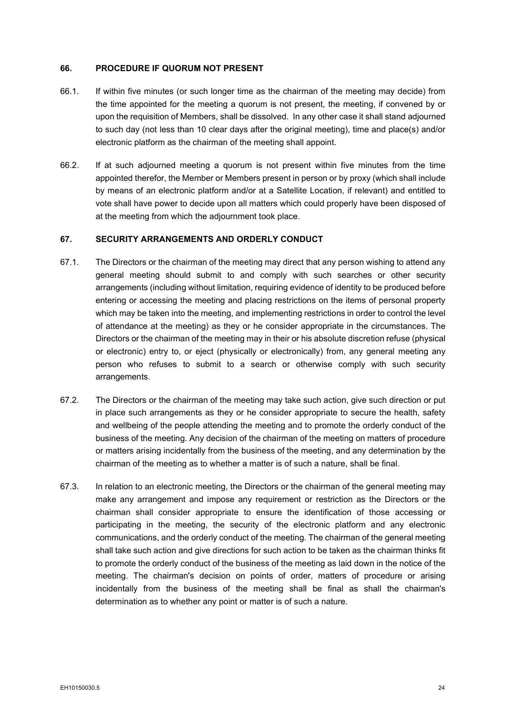#### <span id="page-32-0"></span>**66. PROCEDURE IF QUORUM NOT PRESENT**

- 66.1. If within five minutes (or such longer time as the chairman of the meeting may decide) from the time appointed for the meeting a quorum is not present, the meeting, if convened by or upon the requisition of Members, shall be dissolved. In any other case it shall stand adjourned to such day (not less than 10 clear days after the original meeting), time and place(s) and/or electronic platform as the chairman of the meeting shall appoint.
- 66.2. If at such adjourned meeting a quorum is not present within five minutes from the time appointed therefor, the Member or Members present in person or by proxy (which shall include by means of an electronic platform and/or at a Satellite Location, if relevant) and entitled to vote shall have power to decide upon all matters which could properly have been disposed of at the meeting from which the adjournment took place.

#### <span id="page-32-1"></span>**67. SECURITY ARRANGEMENTS AND ORDERLY CONDUCT**

- 67.1. The Directors or the chairman of the meeting may direct that any person wishing to attend any general meeting should submit to and comply with such searches or other security arrangements (including without limitation, requiring evidence of identity to be produced before entering or accessing the meeting and placing restrictions on the items of personal property which may be taken into the meeting, and implementing restrictions in order to control the level of attendance at the meeting) as they or he consider appropriate in the circumstances. The Directors or the chairman of the meeting may in their or his absolute discretion refuse (physical or electronic) entry to, or eject (physically or electronically) from, any general meeting any person who refuses to submit to a search or otherwise comply with such security arrangements.
- 67.2. The Directors or the chairman of the meeting may take such action, give such direction or put in place such arrangements as they or he consider appropriate to secure the health, safety and wellbeing of the people attending the meeting and to promote the orderly conduct of the business of the meeting. Any decision of the chairman of the meeting on matters of procedure or matters arising incidentally from the business of the meeting, and any determination by the chairman of the meeting as to whether a matter is of such a nature, shall be final.
- 67.3. In relation to an electronic meeting, the Directors or the chairman of the general meeting may make any arrangement and impose any requirement or restriction as the Directors or the chairman shall consider appropriate to ensure the identification of those accessing or participating in the meeting, the security of the electronic platform and any electronic communications, and the orderly conduct of the meeting. The chairman of the general meeting shall take such action and give directions for such action to be taken as the chairman thinks fit to promote the orderly conduct of the business of the meeting as laid down in the notice of the meeting. The chairman's decision on points of order, matters of procedure or arising incidentally from the business of the meeting shall be final as shall the chairman's determination as to whether any point or matter is of such a nature.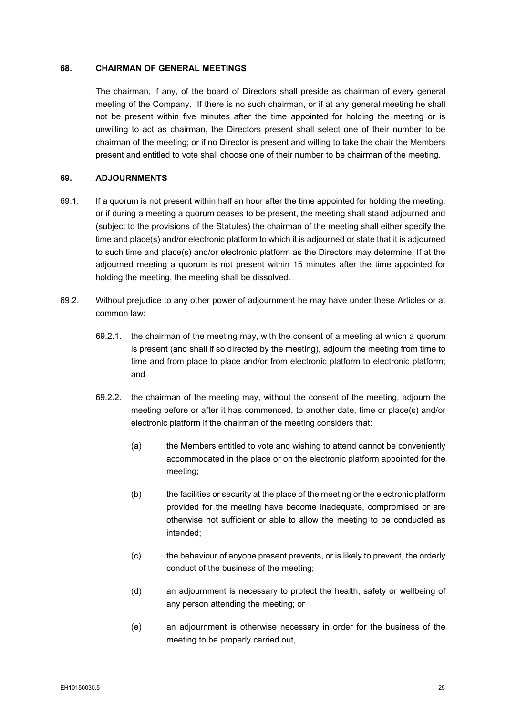#### <span id="page-33-0"></span>**68. CHAIRMAN OF GENERAL MEETINGS**

The chairman, if any, of the board of Directors shall preside as chairman of every general meeting of the Company. If there is no such chairman, or if at any general meeting he shall not be present within five minutes after the time appointed for holding the meeting or is unwilling to act as chairman, the Directors present shall select one of their number to be chairman of the meeting; or if no Director is present and willing to take the chair the Members present and entitled to vote shall choose one of their number to be chairman of the meeting.

#### <span id="page-33-1"></span>**69. ADJOURNMENTS**

- 69.1. If a quorum is not present within half an hour after the time appointed for holding the meeting, or if during a meeting a quorum ceases to be present, the meeting shall stand adjourned and (subject to the provisions of the Statutes) the chairman of the meeting shall either specify the time and place(s) and/or electronic platform to which it is adjourned or state that it is adjourned to such time and place(s) and/or electronic platform as the Directors may determine. If at the adjourned meeting a quorum is not present within 15 minutes after the time appointed for holding the meeting, the meeting shall be dissolved.
- 69.2. Without prejudice to any other power of adjournment he may have under these Articles or at common law:
	- 69.2.1. the chairman of the meeting may, with the consent of a meeting at which a quorum is present (and shall if so directed by the meeting), adjourn the meeting from time to time and from place to place and/or from electronic platform to electronic platform; and
	- 69.2.2. the chairman of the meeting may, without the consent of the meeting, adjourn the meeting before or after it has commenced, to another date, time or place(s) and/or electronic platform if the chairman of the meeting considers that:
		- (a) the Members entitled to vote and wishing to attend cannot be conveniently accommodated in the place or on the electronic platform appointed for the meeting;
		- (b) the facilities or security at the place of the meeting or the electronic platform provided for the meeting have become inadequate, compromised or are otherwise not sufficient or able to allow the meeting to be conducted as intended;
		- (c) the behaviour of anyone present prevents, or is likely to prevent, the orderly conduct of the business of the meeting;
		- (d) an adjournment is necessary to protect the health, safety or wellbeing of any person attending the meeting; or
		- (e) an adjournment is otherwise necessary in order for the business of the meeting to be properly carried out,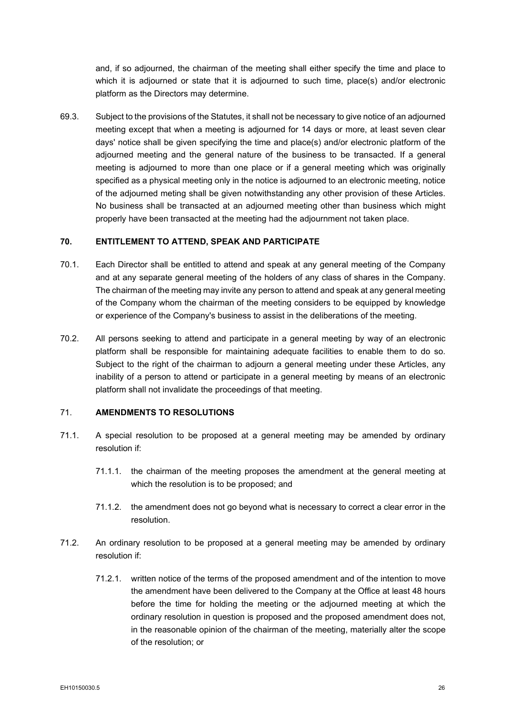and, if so adjourned, the chairman of the meeting shall either specify the time and place to which it is adjourned or state that it is adjourned to such time, place(s) and/or electronic platform as the Directors may determine.

69.3. Subject to the provisions of the Statutes, it shall not be necessary to give notice of an adjourned meeting except that when a meeting is adjourned for 14 days or more, at least seven clear days' notice shall be given specifying the time and place(s) and/or electronic platform of the adjourned meeting and the general nature of the business to be transacted. If a general meeting is adjourned to more than one place or if a general meeting which was originally specified as a physical meeting only in the notice is adjourned to an electronic meeting, notice of the adjourned meting shall be given notwithstanding any other provision of these Articles. No business shall be transacted at an adjourned meeting other than business which might properly have been transacted at the meeting had the adjournment not taken place.

#### <span id="page-34-0"></span>**70. ENTITLEMENT TO ATTEND, SPEAK AND PARTICIPATE**

- 70.1. Each Director shall be entitled to attend and speak at any general meeting of the Company and at any separate general meeting of the holders of any class of shares in the Company. The chairman of the meeting may invite any person to attend and speak at any general meeting of the Company whom the chairman of the meeting considers to be equipped by knowledge or experience of the Company's business to assist in the deliberations of the meeting.
- 70.2. All persons seeking to attend and participate in a general meeting by way of an electronic platform shall be responsible for maintaining adequate facilities to enable them to do so. Subject to the right of the chairman to adjourn a general meeting under these Articles, any inability of a person to attend or participate in a general meeting by means of an electronic platform shall not invalidate the proceedings of that meeting.

### 71. **AMENDMENTS TO RESOLUTIONS**

- 71.1. A special resolution to be proposed at a general meeting may be amended by ordinary resolution if:
	- 71.1.1. the chairman of the meeting proposes the amendment at the general meeting at which the resolution is to be proposed; and
	- 71.1.2. the amendment does not go beyond what is necessary to correct a clear error in the resolution.
- 71.2. An ordinary resolution to be proposed at a general meeting may be amended by ordinary resolution if:
	- 71.2.1. written notice of the terms of the proposed amendment and of the intention to move the amendment have been delivered to the Company at the Office at least 48 hours before the time for holding the meeting or the adjourned meeting at which the ordinary resolution in question is proposed and the proposed amendment does not, in the reasonable opinion of the chairman of the meeting, materially alter the scope of the resolution; or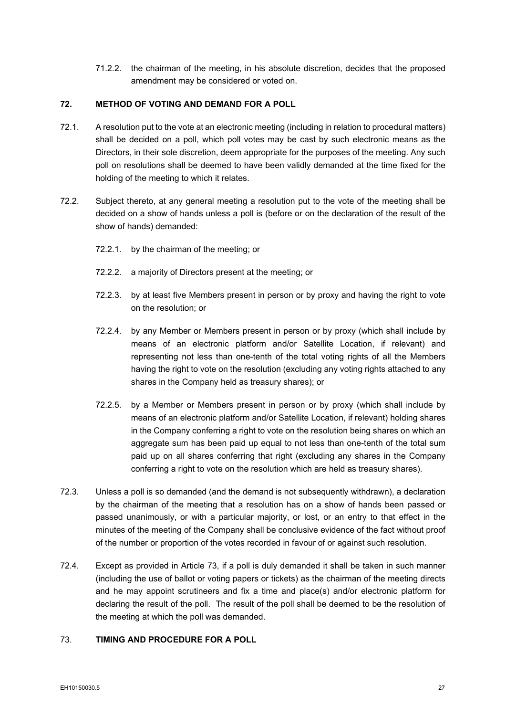71.2.2. the chairman of the meeting, in his absolute discretion, decides that the proposed amendment may be considered or voted on.

## <span id="page-35-0"></span>**72. METHOD OF VOTING AND DEMAND FOR A POLL**

- 72.1. A resolution put to the vote at an electronic meeting (including in relation to procedural matters) shall be decided on a poll, which poll votes may be cast by such electronic means as the Directors, in their sole discretion, deem appropriate for the purposes of the meeting. Any such poll on resolutions shall be deemed to have been validly demanded at the time fixed for the holding of the meeting to which it relates.
- 72.2. Subject thereto, at any general meeting a resolution put to the vote of the meeting shall be decided on a show of hands unless a poll is (before or on the declaration of the result of the show of hands) demanded:
	- 72.2.1. by the chairman of the meeting; or
	- 72.2.2. a majority of Directors present at the meeting; or
	- 72.2.3. by at least five Members present in person or by proxy and having the right to vote on the resolution; or
	- 72.2.4. by any Member or Members present in person or by proxy (which shall include by means of an electronic platform and/or Satellite Location, if relevant) and representing not less than one-tenth of the total voting rights of all the Members having the right to vote on the resolution (excluding any voting rights attached to any shares in the Company held as treasury shares); or
	- 72.2.5. by a Member or Members present in person or by proxy (which shall include by means of an electronic platform and/or Satellite Location, if relevant) holding shares in the Company conferring a right to vote on the resolution being shares on which an aggregate sum has been paid up equal to not less than one-tenth of the total sum paid up on all shares conferring that right (excluding any shares in the Company conferring a right to vote on the resolution which are held as treasury shares).
- 72.3. Unless a poll is so demanded (and the demand is not subsequently withdrawn), a declaration by the chairman of the meeting that a resolution has on a show of hands been passed or passed unanimously, or with a particular majority, or lost, or an entry to that effect in the minutes of the meeting of the Company shall be conclusive evidence of the fact without proof of the number or proportion of the votes recorded in favour of or against such resolution.
- 72.4. Except as provided in Article [73,](#page-35-1) if a poll is duly demanded it shall be taken in such manner (including the use of ballot or voting papers or tickets) as the chairman of the meeting directs and he may appoint scrutineers and fix a time and place(s) and/or electronic platform for declaring the result of the poll. The result of the poll shall be deemed to be the resolution of the meeting at which the poll was demanded.

## <span id="page-35-1"></span>73. **TIMING AND PROCEDURE FOR A POLL**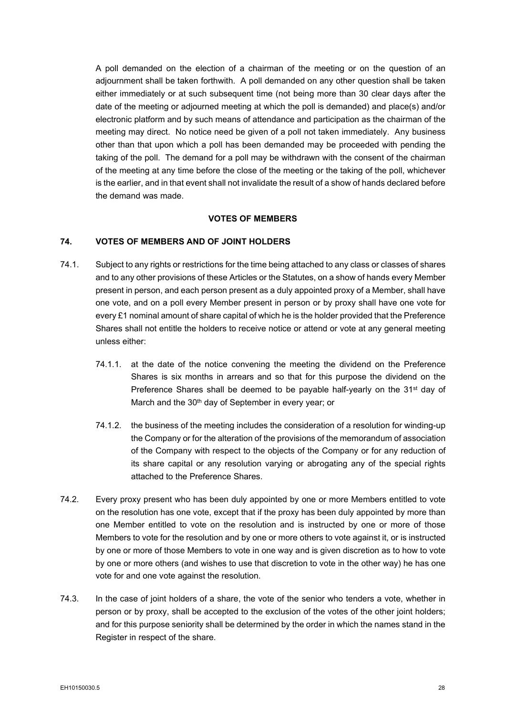A poll demanded on the election of a chairman of the meeting or on the question of an adjournment shall be taken forthwith. A poll demanded on any other question shall be taken either immediately or at such subsequent time (not being more than 30 clear days after the date of the meeting or adjourned meeting at which the poll is demanded) and place(s) and/or electronic platform and by such means of attendance and participation as the chairman of the meeting may direct. No notice need be given of a poll not taken immediately. Any business other than that upon which a poll has been demanded may be proceeded with pending the taking of the poll. The demand for a poll may be withdrawn with the consent of the chairman of the meeting at any time before the close of the meeting or the taking of the poll, whichever is the earlier, and in that event shall not invalidate the result of a show of hands declared before the demand was made.

# **VOTES OF MEMBERS**

# **74. VOTES OF MEMBERS AND OF JOINT HOLDERS**

- 74.1. Subject to any rights or restrictions for the time being attached to any class or classes of shares and to any other provisions of these Articles or the Statutes, on a show of hands every Member present in person, and each person present as a duly appointed proxy of a Member, shall have one vote, and on a poll every Member present in person or by proxy shall have one vote for every £1 nominal amount of share capital of which he is the holder provided that the Preference Shares shall not entitle the holders to receive notice or attend or vote at any general meeting unless either:
	- 74.1.1. at the date of the notice convening the meeting the dividend on the Preference Shares is six months in arrears and so that for this purpose the dividend on the Preference Shares shall be deemed to be payable half-yearly on the 31<sup>st</sup> day of March and the 30<sup>th</sup> day of September in every year; or
	- 74.1.2. the business of the meeting includes the consideration of a resolution for winding-up the Company or for the alteration of the provisions of the memorandum of association of the Company with respect to the objects of the Company or for any reduction of its share capital or any resolution varying or abrogating any of the special rights attached to the Preference Shares.
- 74.2. Every proxy present who has been duly appointed by one or more Members entitled to vote on the resolution has one vote, except that if the proxy has been duly appointed by more than one Member entitled to vote on the resolution and is instructed by one or more of those Members to vote for the resolution and by one or more others to vote against it, or is instructed by one or more of those Members to vote in one way and is given discretion as to how to vote by one or more others (and wishes to use that discretion to vote in the other way) he has one vote for and one vote against the resolution.
- 74.3. In the case of joint holders of a share, the vote of the senior who tenders a vote, whether in person or by proxy, shall be accepted to the exclusion of the votes of the other joint holders; and for this purpose seniority shall be determined by the order in which the names stand in the Register in respect of the share.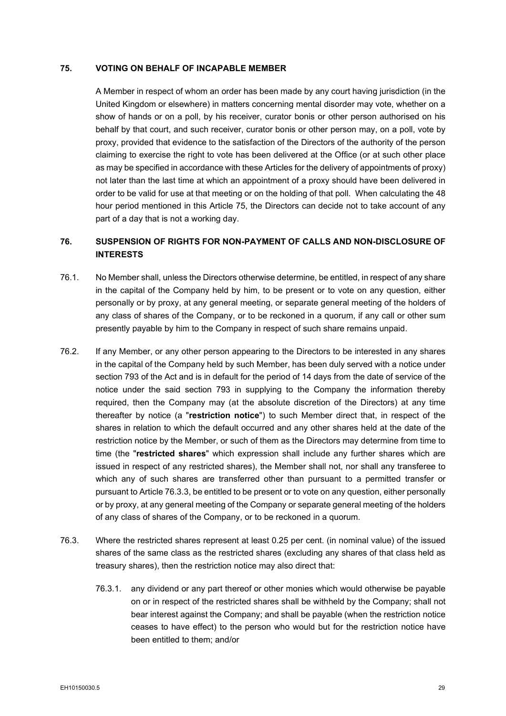# <span id="page-37-0"></span>**75. VOTING ON BEHALF OF INCAPABLE MEMBER**

A Member in respect of whom an order has been made by any court having jurisdiction (in the United Kingdom or elsewhere) in matters concerning mental disorder may vote, whether on a show of hands or on a poll, by his receiver, curator bonis or other person authorised on his behalf by that court, and such receiver, curator bonis or other person may, on a poll, vote by proxy, provided that evidence to the satisfaction of the Directors of the authority of the person claiming to exercise the right to vote has been delivered at the Office (or at such other place as may be specified in accordance with these Articles for the delivery of appointments of proxy) not later than the last time at which an appointment of a proxy should have been delivered in order to be valid for use at that meeting or on the holding of that poll. When calculating the 48 hour period mentioned in this Article [75,](#page-37-0) the Directors can decide not to take account of any part of a day that is not a working day.

# <span id="page-37-1"></span>**76. SUSPENSION OF RIGHTS FOR NON-PAYMENT OF CALLS AND NON-DISCLOSURE OF INTERESTS**

- 76.1. No Member shall, unless the Directors otherwise determine, be entitled, in respect of any share in the capital of the Company held by him, to be present or to vote on any question, either personally or by proxy, at any general meeting, or separate general meeting of the holders of any class of shares of the Company, or to be reckoned in a quorum, if any call or other sum presently payable by him to the Company in respect of such share remains unpaid.
- 76.2. If any Member, or any other person appearing to the Directors to be interested in any shares in the capital of the Company held by such Member, has been duly served with a notice under section 793 of the Act and is in default for the period of 14 days from the date of service of the notice under the said section 793 in supplying to the Company the information thereby required, then the Company may (at the absolute discretion of the Directors) at any time thereafter by notice (a "**restriction notice**") to such Member direct that, in respect of the shares in relation to which the default occurred and any other shares held at the date of the restriction notice by the Member, or such of them as the Directors may determine from time to time (the "**restricted shares**" which expression shall include any further shares which are issued in respect of any restricted shares), the Member shall not, nor shall any transferee to which any of such shares are transferred other than pursuant to a permitted transfer or pursuant to Article [76.3.3,](#page-38-0) be entitled to be present or to vote on any question, either personally or by proxy, at any general meeting of the Company or separate general meeting of the holders of any class of shares of the Company, or to be reckoned in a quorum.
- 76.3. Where the restricted shares represent at least 0.25 per cent. (in nominal value) of the issued shares of the same class as the restricted shares (excluding any shares of that class held as treasury shares), then the restriction notice may also direct that:
	- 76.3.1. any dividend or any part thereof or other monies which would otherwise be payable on or in respect of the restricted shares shall be withheld by the Company; shall not bear interest against the Company; and shall be payable (when the restriction notice ceases to have effect) to the person who would but for the restriction notice have been entitled to them; and/or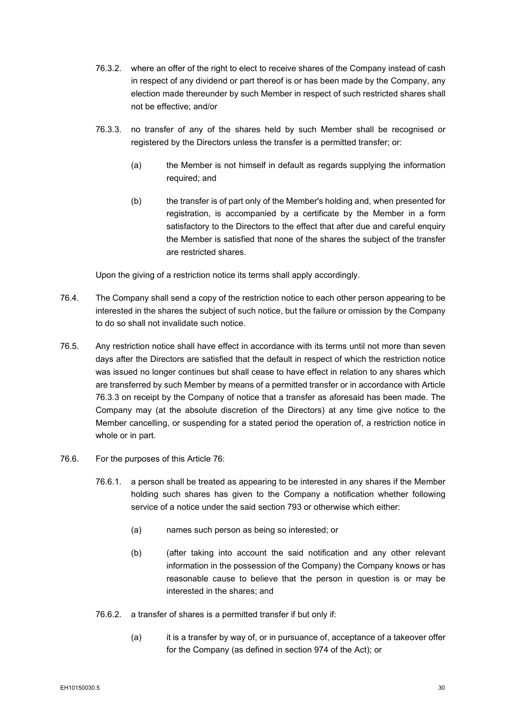- 76.3.2. where an offer of the right to elect to receive shares of the Company instead of cash in respect of any dividend or part thereof is or has been made by the Company, any election made thereunder by such Member in respect of such restricted shares shall not be effective; and/or
- <span id="page-38-0"></span>76.3.3. no transfer of any of the shares held by such Member shall be recognised or registered by the Directors unless the transfer is a permitted transfer; or:
	- (a) the Member is not himself in default as regards supplying the information required; and
	- (b) the transfer is of part only of the Member's holding and, when presented for registration, is accompanied by a certificate by the Member in a form satisfactory to the Directors to the effect that after due and careful enquiry the Member is satisfied that none of the shares the subject of the transfer are restricted shares.

Upon the giving of a restriction notice its terms shall apply accordingly.

- 76.4. The Company shall send a copy of the restriction notice to each other person appearing to be interested in the shares the subject of such notice, but the failure or omission by the Company to do so shall not invalidate such notice.
- 76.5. Any restriction notice shall have effect in accordance with its terms until not more than seven days after the Directors are satisfied that the default in respect of which the restriction notice was issued no longer continues but shall cease to have effect in relation to any shares which are transferred by such Member by means of a permitted transfer or in accordance with Article [76.3.3](#page-38-0) on receipt by the Company of notice that a transfer as aforesaid has been made. The Company may (at the absolute discretion of the Directors) at any time give notice to the Member cancelling, or suspending for a stated period the operation of, a restriction notice in whole or in part.
- 76.6. For the purposes of this Article [76:](#page-37-1)
	- 76.6.1. a person shall be treated as appearing to be interested in any shares if the Member holding such shares has given to the Company a notification whether following service of a notice under the said section 793 or otherwise which either:
		- (a) names such person as being so interested; or
		- (b) (after taking into account the said notification and any other relevant information in the possession of the Company) the Company knows or has reasonable cause to believe that the person in question is or may be interested in the shares; and
	- 76.6.2. a transfer of shares is a permitted transfer if but only if:
		- (a) it is a transfer by way of, or in pursuance of, acceptance of a takeover offer for the Company (as defined in section 974 of the Act); or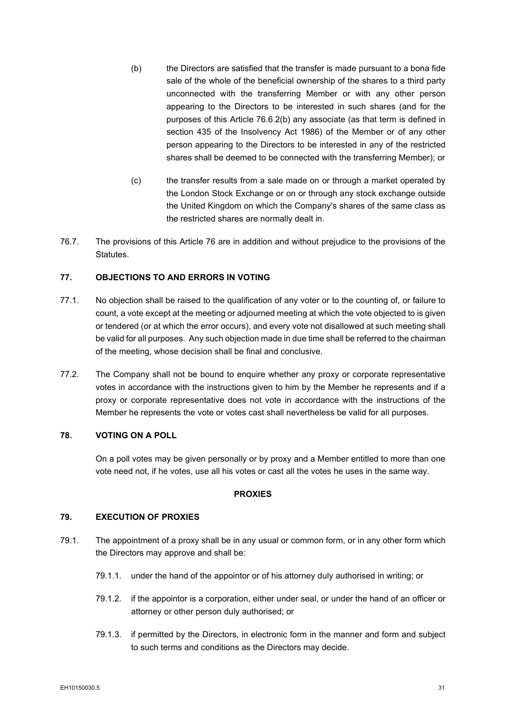- <span id="page-39-0"></span>(b) the Directors are satisfied that the transfer is made pursuant to a bona fide sale of the whole of the beneficial ownership of the shares to a third party unconnected with the transferring Member or with any other person appearing to the Directors to be interested in such shares (and for the purposes of this Article [76.6.2\(b\)](#page-39-0) any associate (as that term is defined in section 435 of the Insolvency Act 1986) of the Member or of any other person appearing to the Directors to be interested in any of the restricted shares shall be deemed to be connected with the transferring Member); or
- (c) the transfer results from a sale made on or through a market operated by the London Stock Exchange or on or through any stock exchange outside the United Kingdom on which the Company's shares of the same class as the restricted shares are normally dealt in.
- 76.7. The provisions of this Article [76](#page-37-1) are in addition and without prejudice to the provisions of the Statutes.

# **77. OBJECTIONS TO AND ERRORS IN VOTING**

- 77.1. No objection shall be raised to the qualification of any voter or to the counting of, or failure to count, a vote except at the meeting or adjourned meeting at which the vote objected to is given or tendered (or at which the error occurs), and every vote not disallowed at such meeting shall be valid for all purposes. Any such objection made in due time shall be referred to the chairman of the meeting, whose decision shall be final and conclusive.
- 77.2. The Company shall not be bound to enquire whether any proxy or corporate representative votes in accordance with the instructions given to him by the Member he represents and if a proxy or corporate representative does not vote in accordance with the instructions of the Member he represents the vote or votes cast shall nevertheless be valid for all purposes.

# **78. VOTING ON A POLL**

On a poll votes may be given personally or by proxy and a Member entitled to more than one vote need not, if he votes, use all his votes or cast all the votes he uses in the same way.

#### **PROXIES**

# **79. EXECUTION OF PROXIES**

- <span id="page-39-1"></span>79.1. The appointment of a proxy shall be in any usual or common form, or in any other form which the Directors may approve and shall be:
	- 79.1.1. under the hand of the appointor or of his attorney duly authorised in writing; or
	- 79.1.2. if the appointor is a corporation, either under seal, or under the hand of an officer or attorney or other person duly authorised; or
	- 79.1.3. if permitted by the Directors, in electronic form in the manner and form and subject to such terms and conditions as the Directors may decide.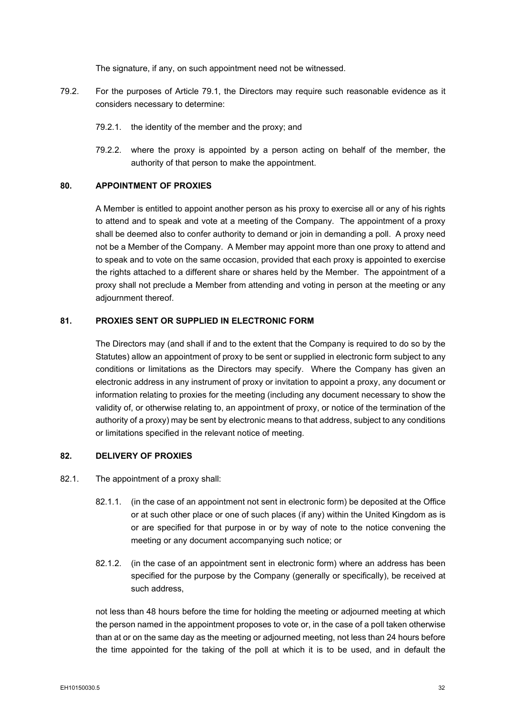The signature, if any, on such appointment need not be witnessed.

- 79.2. For the purposes of Article [79.1,](#page-39-1) the Directors may require such reasonable evidence as it considers necessary to determine:
	- 79.2.1. the identity of the member and the proxy; and
	- 79.2.2. where the proxy is appointed by a person acting on behalf of the member, the authority of that person to make the appointment.

# **80. APPOINTMENT OF PROXIES**

A Member is entitled to appoint another person as his proxy to exercise all or any of his rights to attend and to speak and vote at a meeting of the Company. The appointment of a proxy shall be deemed also to confer authority to demand or join in demanding a poll. A proxy need not be a Member of the Company. A Member may appoint more than one proxy to attend and to speak and to vote on the same occasion, provided that each proxy is appointed to exercise the rights attached to a different share or shares held by the Member. The appointment of a proxy shall not preclude a Member from attending and voting in person at the meeting or any adjournment thereof.

# <span id="page-40-3"></span>**81. PROXIES SENT OR SUPPLIED IN ELECTRONIC FORM**

The Directors may (and shall if and to the extent that the Company is required to do so by the Statutes) allow an appointment of proxy to be sent or supplied in electronic form subject to any conditions or limitations as the Directors may specify. Where the Company has given an electronic address in any instrument of proxy or invitation to appoint a proxy, any document or information relating to proxies for the meeting (including any document necessary to show the validity of, or otherwise relating to, an appointment of proxy, or notice of the termination of the authority of a proxy) may be sent by electronic means to that address, subject to any conditions or limitations specified in the relevant notice of meeting.

#### <span id="page-40-0"></span>**82. DELIVERY OF PROXIES**

- <span id="page-40-2"></span><span id="page-40-1"></span>82.1. The appointment of a proxy shall:
	- 82.1.1. (in the case of an appointment not sent in electronic form) be deposited at the Office or at such other place or one of such places (if any) within the United Kingdom as is or are specified for that purpose in or by way of note to the notice convening the meeting or any document accompanying such notice; or
	- 82.1.2. (in the case of an appointment sent in electronic form) where an address has been specified for the purpose by the Company (generally or specifically), be received at such address,

not less than 48 hours before the time for holding the meeting or adjourned meeting at which the person named in the appointment proposes to vote or, in the case of a poll taken otherwise than at or on the same day as the meeting or adjourned meeting, not less than 24 hours before the time appointed for the taking of the poll at which it is to be used, and in default the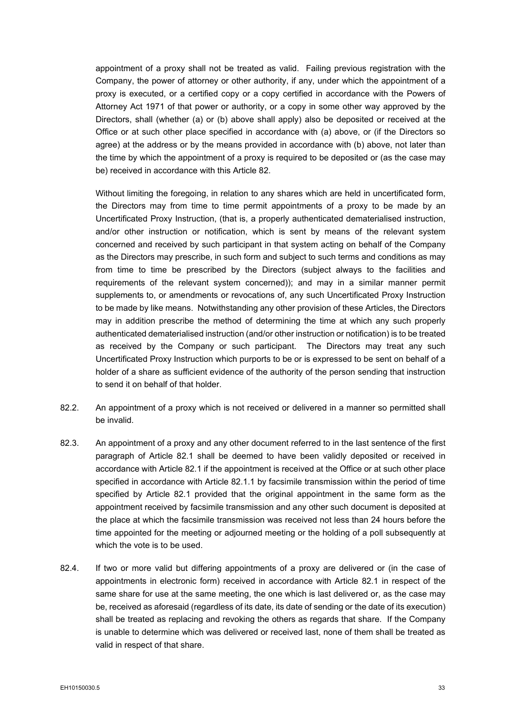appointment of a proxy shall not be treated as valid. Failing previous registration with the Company, the power of attorney or other authority, if any, under which the appointment of a proxy is executed, or a certified copy or a copy certified in accordance with the Powers of Attorney Act 1971 of that power or authority, or a copy in some other way approved by the Directors, shall (whether (a) or (b) above shall apply) also be deposited or received at the Office or at such other place specified in accordance with (a) above, or (if the Directors so agree) at the address or by the means provided in accordance with (b) above, not later than the time by which the appointment of a proxy is required to be deposited or (as the case may be) received in accordance with this Article [82.](#page-40-0)

Without limiting the foregoing, in relation to any shares which are held in uncertificated form, the Directors may from time to time permit appointments of a proxy to be made by an Uncertificated Proxy Instruction, (that is, a properly authenticated dematerialised instruction, and/or other instruction or notification, which is sent by means of the relevant system concerned and received by such participant in that system acting on behalf of the Company as the Directors may prescribe, in such form and subject to such terms and conditions as may from time to time be prescribed by the Directors (subject always to the facilities and requirements of the relevant system concerned)); and may in a similar manner permit supplements to, or amendments or revocations of, any such Uncertificated Proxy Instruction to be made by like means. Notwithstanding any other provision of these Articles, the Directors may in addition prescribe the method of determining the time at which any such properly authenticated dematerialised instruction (and/or other instruction or notification) is to be treated as received by the Company or such participant. The Directors may treat any such Uncertificated Proxy Instruction which purports to be or is expressed to be sent on behalf of a holder of a share as sufficient evidence of the authority of the person sending that instruction to send it on behalf of that holder.

- 82.2. An appointment of a proxy which is not received or delivered in a manner so permitted shall be invalid.
- 82.3. An appointment of a proxy and any other document referred to in the last sentence of the first paragraph of Article [82.1](#page-40-1) shall be deemed to have been validly deposited or received in accordance with Article [82.1](#page-40-1) if the appointment is received at the Office or at such other place specified in accordance with Article [82.1.1](#page-40-2) by facsimile transmission within the period of time specified by Article [82.1](#page-40-1) provided that the original appointment in the same form as the appointment received by facsimile transmission and any other such document is deposited at the place at which the facsimile transmission was received not less than 24 hours before the time appointed for the meeting or adjourned meeting or the holding of a poll subsequently at which the vote is to be used.
- 82.4. If two or more valid but differing appointments of a proxy are delivered or (in the case of appointments in electronic form) received in accordance with Article [82.1](#page-40-1) in respect of the same share for use at the same meeting, the one which is last delivered or, as the case may be, received as aforesaid (regardless of its date, its date of sending or the date of its execution) shall be treated as replacing and revoking the others as regards that share. If the Company is unable to determine which was delivered or received last, none of them shall be treated as valid in respect of that share.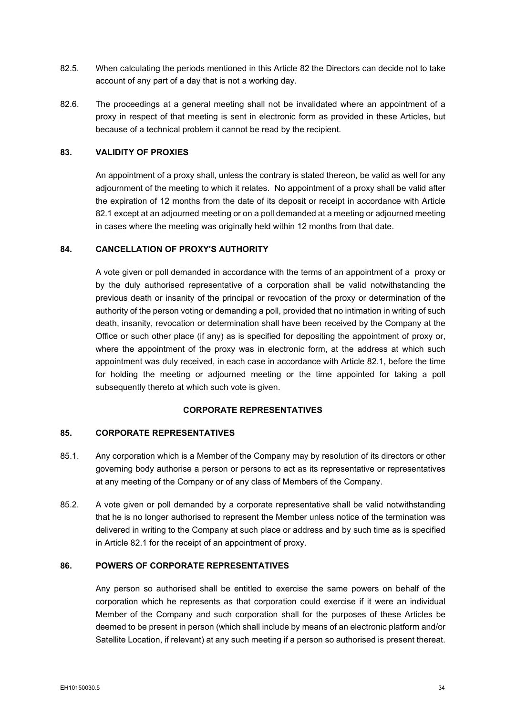- 82.5. When calculating the periods mentioned in this Article [82](#page-40-0) the Directors can decide not to take account of any part of a day that is not a working day.
- 82.6. The proceedings at a general meeting shall not be invalidated where an appointment of a proxy in respect of that meeting is sent in electronic form as provided in these Articles, but because of a technical problem it cannot be read by the recipient.

## **83. VALIDITY OF PROXIES**

An appointment of a proxy shall, unless the contrary is stated thereon, be valid as well for any adjournment of the meeting to which it relates. No appointment of a proxy shall be valid after the expiration of 12 months from the date of its deposit or receipt in accordance with Article [82.1](#page-40-1) except at an adjourned meeting or on a poll demanded at a meeting or adjourned meeting in cases where the meeting was originally held within 12 months from that date.

# **84. CANCELLATION OF PROXY'S AUTHORITY**

A vote given or poll demanded in accordance with the terms of an appointment of a proxy or by the duly authorised representative of a corporation shall be valid notwithstanding the previous death or insanity of the principal or revocation of the proxy or determination of the authority of the person voting or demanding a poll, provided that no intimation in writing of such death, insanity, revocation or determination shall have been received by the Company at the Office or such other place (if any) as is specified for depositing the appointment of proxy or, where the appointment of the proxy was in electronic form, at the address at which such appointment was duly received, in each case in accordance with Article [82.1,](#page-40-1) before the time for holding the meeting or adjourned meeting or the time appointed for taking a poll subsequently thereto at which such vote is given.

## **CORPORATE REPRESENTATIVES**

# **85. CORPORATE REPRESENTATIVES**

- 85.1. Any corporation which is a Member of the Company may by resolution of its directors or other governing body authorise a person or persons to act as its representative or representatives at any meeting of the Company or of any class of Members of the Company.
- 85.2. A vote given or poll demanded by a corporate representative shall be valid notwithstanding that he is no longer authorised to represent the Member unless notice of the termination was delivered in writing to the Company at such place or address and by such time as is specified in Article [82.1](#page-40-1) for the receipt of an appointment of proxy.

## **86. POWERS OF CORPORATE REPRESENTATIVES**

Any person so authorised shall be entitled to exercise the same powers on behalf of the corporation which he represents as that corporation could exercise if it were an individual Member of the Company and such corporation shall for the purposes of these Articles be deemed to be present in person (which shall include by means of an electronic platform and/or Satellite Location, if relevant) at any such meeting if a person so authorised is present thereat.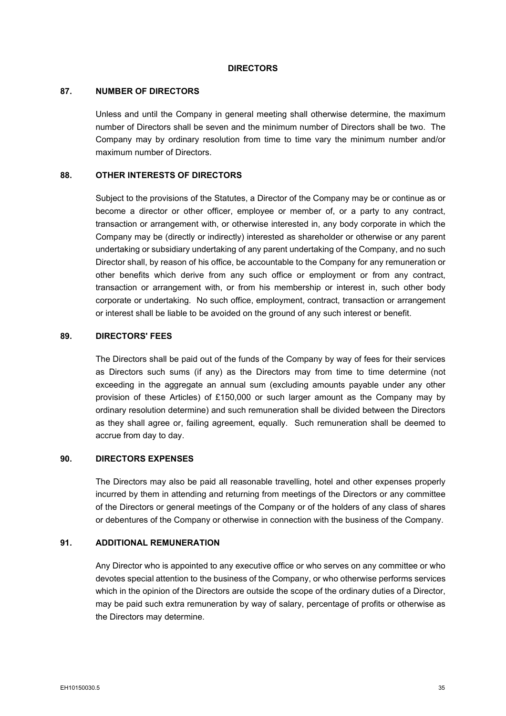#### **DIRECTORS**

#### <span id="page-43-0"></span>**87. NUMBER OF DIRECTORS**

Unless and until the Company in general meeting shall otherwise determine, the maximum number of Directors shall be seven and the minimum number of Directors shall be two. The Company may by ordinary resolution from time to time vary the minimum number and/or maximum number of Directors.

# **88. OTHER INTERESTS OF DIRECTORS**

Subject to the provisions of the Statutes, a Director of the Company may be or continue as or become a director or other officer, employee or member of, or a party to any contract, transaction or arrangement with, or otherwise interested in, any body corporate in which the Company may be (directly or indirectly) interested as shareholder or otherwise or any parent undertaking or subsidiary undertaking of any parent undertaking of the Company, and no such Director shall, by reason of his office, be accountable to the Company for any remuneration or other benefits which derive from any such office or employment or from any contract, transaction or arrangement with, or from his membership or interest in, such other body corporate or undertaking. No such office, employment, contract, transaction or arrangement or interest shall be liable to be avoided on the ground of any such interest or benefit.

# **89. DIRECTORS' FEES**

The Directors shall be paid out of the funds of the Company by way of fees for their services as Directors such sums (if any) as the Directors may from time to time determine (not exceeding in the aggregate an annual sum (excluding amounts payable under any other provision of these Articles) of £150,000 or such larger amount as the Company may by ordinary resolution determine) and such remuneration shall be divided between the Directors as they shall agree or, failing agreement, equally. Such remuneration shall be deemed to accrue from day to day.

#### **90. DIRECTORS EXPENSES**

The Directors may also be paid all reasonable travelling, hotel and other expenses properly incurred by them in attending and returning from meetings of the Directors or any committee of the Directors or general meetings of the Company or of the holders of any class of shares or debentures of the Company or otherwise in connection with the business of the Company.

# **91. ADDITIONAL REMUNERATION**

Any Director who is appointed to any executive office or who serves on any committee or who devotes special attention to the business of the Company, or who otherwise performs services which in the opinion of the Directors are outside the scope of the ordinary duties of a Director, may be paid such extra remuneration by way of salary, percentage of profits or otherwise as the Directors may determine.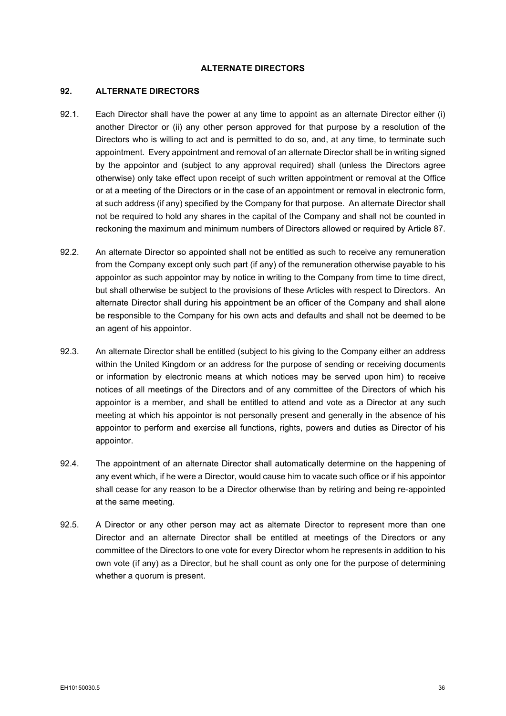# **ALTERNATE DIRECTORS**

#### **92. ALTERNATE DIRECTORS**

- 92.1. Each Director shall have the power at any time to appoint as an alternate Director either (i) another Director or (ii) any other person approved for that purpose by a resolution of the Directors who is willing to act and is permitted to do so, and, at any time, to terminate such appointment. Every appointment and removal of an alternate Director shall be in writing signed by the appointor and (subject to any approval required) shall (unless the Directors agree otherwise) only take effect upon receipt of such written appointment or removal at the Office or at a meeting of the Directors or in the case of an appointment or removal in electronic form, at such address (if any) specified by the Company for that purpose. An alternate Director shall not be required to hold any shares in the capital of the Company and shall not be counted in reckoning the maximum and minimum numbers of Directors allowed or required by Article [87.](#page-43-0)
- 92.2. An alternate Director so appointed shall not be entitled as such to receive any remuneration from the Company except only such part (if any) of the remuneration otherwise payable to his appointor as such appointor may by notice in writing to the Company from time to time direct, but shall otherwise be subject to the provisions of these Articles with respect to Directors. An alternate Director shall during his appointment be an officer of the Company and shall alone be responsible to the Company for his own acts and defaults and shall not be deemed to be an agent of his appointor.
- 92.3. An alternate Director shall be entitled (subject to his giving to the Company either an address within the United Kingdom or an address for the purpose of sending or receiving documents or information by electronic means at which notices may be served upon him) to receive notices of all meetings of the Directors and of any committee of the Directors of which his appointor is a member, and shall be entitled to attend and vote as a Director at any such meeting at which his appointor is not personally present and generally in the absence of his appointor to perform and exercise all functions, rights, powers and duties as Director of his appointor.
- 92.4. The appointment of an alternate Director shall automatically determine on the happening of any event which, if he were a Director, would cause him to vacate such office or if his appointor shall cease for any reason to be a Director otherwise than by retiring and being re-appointed at the same meeting.
- 92.5. A Director or any other person may act as alternate Director to represent more than one Director and an alternate Director shall be entitled at meetings of the Directors or any committee of the Directors to one vote for every Director whom he represents in addition to his own vote (if any) as a Director, but he shall count as only one for the purpose of determining whether a quorum is present.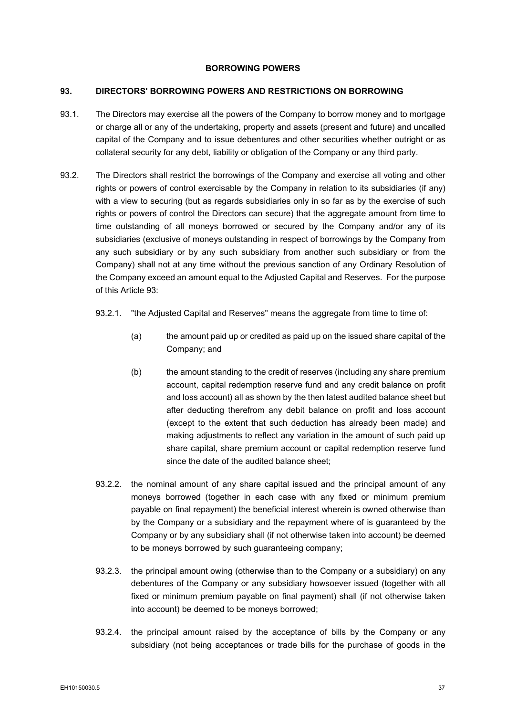# **BORROWING POWERS**

#### <span id="page-45-0"></span>**93. DIRECTORS' BORROWING POWERS AND RESTRICTIONS ON BORROWING**

- 93.1. The Directors may exercise all the powers of the Company to borrow money and to mortgage or charge all or any of the undertaking, property and assets (present and future) and uncalled capital of the Company and to issue debentures and other securities whether outright or as collateral security for any debt, liability or obligation of the Company or any third party.
- 93.2. The Directors shall restrict the borrowings of the Company and exercise all voting and other rights or powers of control exercisable by the Company in relation to its subsidiaries (if any) with a view to securing (but as regards subsidiaries only in so far as by the exercise of such rights or powers of control the Directors can secure) that the aggregate amount from time to time outstanding of all moneys borrowed or secured by the Company and/or any of its subsidiaries (exclusive of moneys outstanding in respect of borrowings by the Company from any such subsidiary or by any such subsidiary from another such subsidiary or from the Company) shall not at any time without the previous sanction of any Ordinary Resolution of the Company exceed an amount equal to the Adjusted Capital and Reserves. For the purpose of this Article [93:](#page-45-0)
	- 93.2.1. "the Adjusted Capital and Reserves" means the aggregate from time to time of:
		- (a) the amount paid up or credited as paid up on the issued share capital of the Company; and
		- (b) the amount standing to the credit of reserves (including any share premium account, capital redemption reserve fund and any credit balance on profit and loss account) all as shown by the then latest audited balance sheet but after deducting therefrom any debit balance on profit and loss account (except to the extent that such deduction has already been made) and making adjustments to reflect any variation in the amount of such paid up share capital, share premium account or capital redemption reserve fund since the date of the audited balance sheet;
	- 93.2.2. the nominal amount of any share capital issued and the principal amount of any moneys borrowed (together in each case with any fixed or minimum premium payable on final repayment) the beneficial interest wherein is owned otherwise than by the Company or a subsidiary and the repayment where of is guaranteed by the Company or by any subsidiary shall (if not otherwise taken into account) be deemed to be moneys borrowed by such guaranteeing company;
	- 93.2.3. the principal amount owing (otherwise than to the Company or a subsidiary) on any debentures of the Company or any subsidiary howsoever issued (together with all fixed or minimum premium payable on final payment) shall (if not otherwise taken into account) be deemed to be moneys borrowed;
	- 93.2.4. the principal amount raised by the acceptance of bills by the Company or any subsidiary (not being acceptances or trade bills for the purchase of goods in the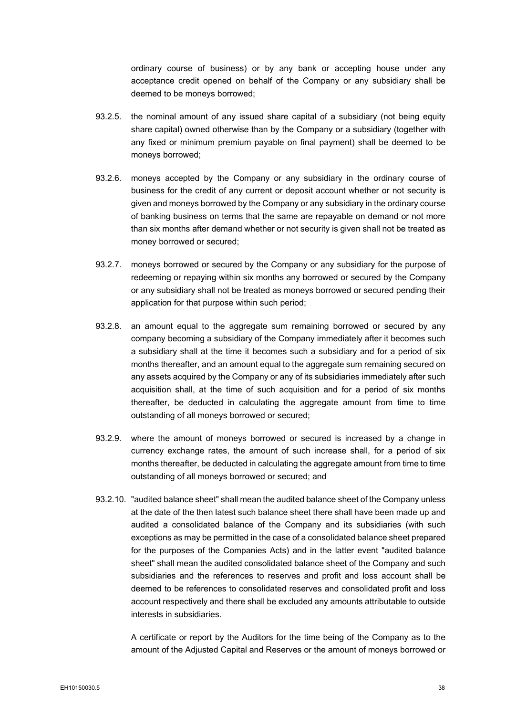ordinary course of business) or by any bank or accepting house under any acceptance credit opened on behalf of the Company or any subsidiary shall be deemed to be moneys borrowed;

- 93.2.5. the nominal amount of any issued share capital of a subsidiary (not being equity share capital) owned otherwise than by the Company or a subsidiary (together with any fixed or minimum premium payable on final payment) shall be deemed to be moneys borrowed;
- 93.2.6. moneys accepted by the Company or any subsidiary in the ordinary course of business for the credit of any current or deposit account whether or not security is given and moneys borrowed by the Company or any subsidiary in the ordinary course of banking business on terms that the same are repayable on demand or not more than six months after demand whether or not security is given shall not be treated as money borrowed or secured;
- 93.2.7. moneys borrowed or secured by the Company or any subsidiary for the purpose of redeeming or repaying within six months any borrowed or secured by the Company or any subsidiary shall not be treated as moneys borrowed or secured pending their application for that purpose within such period;
- 93.2.8. an amount equal to the aggregate sum remaining borrowed or secured by any company becoming a subsidiary of the Company immediately after it becomes such a subsidiary shall at the time it becomes such a subsidiary and for a period of six months thereafter, and an amount equal to the aggregate sum remaining secured on any assets acquired by the Company or any of its subsidiaries immediately after such acquisition shall, at the time of such acquisition and for a period of six months thereafter, be deducted in calculating the aggregate amount from time to time outstanding of all moneys borrowed or secured;
- 93.2.9. where the amount of moneys borrowed or secured is increased by a change in currency exchange rates, the amount of such increase shall, for a period of six months thereafter, be deducted in calculating the aggregate amount from time to time outstanding of all moneys borrowed or secured; and
- 93.2.10. "audited balance sheet" shall mean the audited balance sheet of the Company unless at the date of the then latest such balance sheet there shall have been made up and audited a consolidated balance of the Company and its subsidiaries (with such exceptions as may be permitted in the case of a consolidated balance sheet prepared for the purposes of the Companies Acts) and in the latter event "audited balance sheet" shall mean the audited consolidated balance sheet of the Company and such subsidiaries and the references to reserves and profit and loss account shall be deemed to be references to consolidated reserves and consolidated profit and loss account respectively and there shall be excluded any amounts attributable to outside interests in subsidiaries.

A certificate or report by the Auditors for the time being of the Company as to the amount of the Adjusted Capital and Reserves or the amount of moneys borrowed or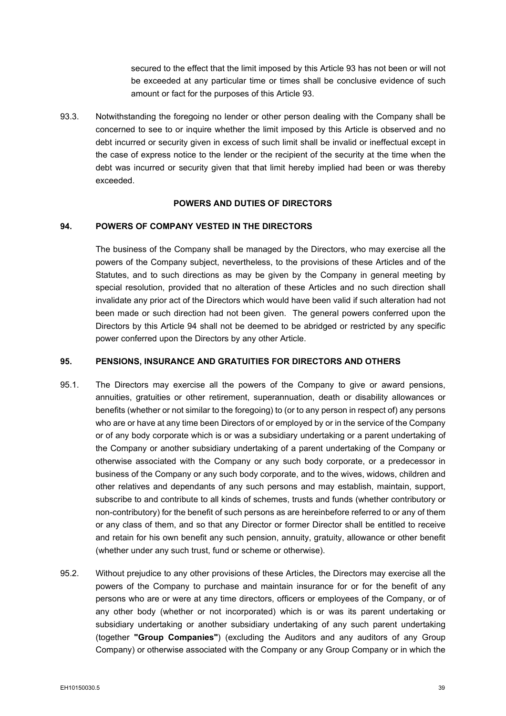secured to the effect that the limit imposed by this Article [93](#page-45-0) has not been or will not be exceeded at any particular time or times shall be conclusive evidence of such amount or fact for the purposes of this Article [93.](#page-45-0)

93.3. Notwithstanding the foregoing no lender or other person dealing with the Company shall be concerned to see to or inquire whether the limit imposed by this Article is observed and no debt incurred or security given in excess of such limit shall be invalid or ineffectual except in the case of express notice to the lender or the recipient of the security at the time when the debt was incurred or security given that that limit hereby implied had been or was thereby exceeded.

# **POWERS AND DUTIES OF DIRECTORS**

## <span id="page-47-0"></span>**94. POWERS OF COMPANY VESTED IN THE DIRECTORS**

The business of the Company shall be managed by the Directors, who may exercise all the powers of the Company subject, nevertheless, to the provisions of these Articles and of the Statutes, and to such directions as may be given by the Company in general meeting by special resolution, provided that no alteration of these Articles and no such direction shall invalidate any prior act of the Directors which would have been valid if such alteration had not been made or such direction had not been given. The general powers conferred upon the Directors by this Article [94](#page-47-0) shall not be deemed to be abridged or restricted by any specific power conferred upon the Directors by any other Article.

#### **95. PENSIONS, INSURANCE AND GRATUITIES FOR DIRECTORS AND OTHERS**

- 95.1. The Directors may exercise all the powers of the Company to give or award pensions, annuities, gratuities or other retirement, superannuation, death or disability allowances or benefits (whether or not similar to the foregoing) to (or to any person in respect of) any persons who are or have at any time been Directors of or employed by or in the service of the Company or of any body corporate which is or was a subsidiary undertaking or a parent undertaking of the Company or another subsidiary undertaking of a parent undertaking of the Company or otherwise associated with the Company or any such body corporate, or a predecessor in business of the Company or any such body corporate, and to the wives, widows, children and other relatives and dependants of any such persons and may establish, maintain, support, subscribe to and contribute to all kinds of schemes, trusts and funds (whether contributory or non-contributory) for the benefit of such persons as are hereinbefore referred to or any of them or any class of them, and so that any Director or former Director shall be entitled to receive and retain for his own benefit any such pension, annuity, gratuity, allowance or other benefit (whether under any such trust, fund or scheme or otherwise).
- <span id="page-47-1"></span>95.2. Without prejudice to any other provisions of these Articles, the Directors may exercise all the powers of the Company to purchase and maintain insurance for or for the benefit of any persons who are or were at any time directors, officers or employees of the Company, or of any other body (whether or not incorporated) which is or was its parent undertaking or subsidiary undertaking or another subsidiary undertaking of any such parent undertaking (together **"Group Companies"**) (excluding the Auditors and any auditors of any Group Company) or otherwise associated with the Company or any Group Company or in which the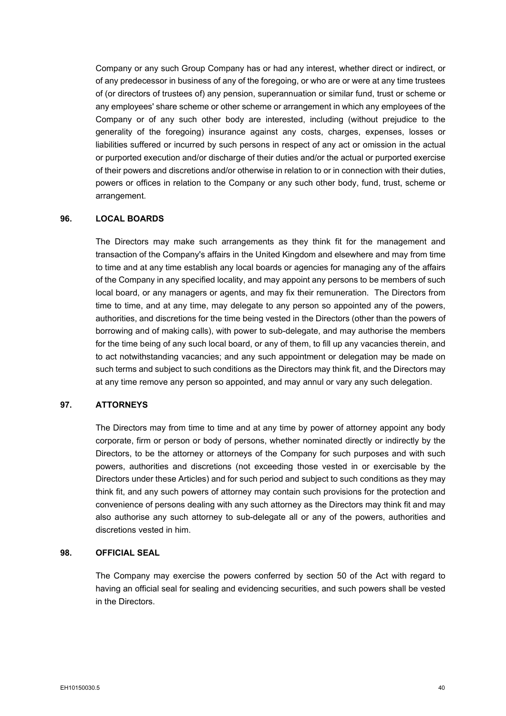Company or any such Group Company has or had any interest, whether direct or indirect, or of any predecessor in business of any of the foregoing, or who are or were at any time trustees of (or directors of trustees of) any pension, superannuation or similar fund, trust or scheme or any employees' share scheme or other scheme or arrangement in which any employees of the Company or of any such other body are interested, including (without prejudice to the generality of the foregoing) insurance against any costs, charges, expenses, losses or liabilities suffered or incurred by such persons in respect of any act or omission in the actual or purported execution and/or discharge of their duties and/or the actual or purported exercise of their powers and discretions and/or otherwise in relation to or in connection with their duties, powers or offices in relation to the Company or any such other body, fund, trust, scheme or arrangement.

# **96. LOCAL BOARDS**

The Directors may make such arrangements as they think fit for the management and transaction of the Company's affairs in the United Kingdom and elsewhere and may from time to time and at any time establish any local boards or agencies for managing any of the affairs of the Company in any specified locality, and may appoint any persons to be members of such local board, or any managers or agents, and may fix their remuneration. The Directors from time to time, and at any time, may delegate to any person so appointed any of the powers, authorities, and discretions for the time being vested in the Directors (other than the powers of borrowing and of making calls), with power to sub-delegate, and may authorise the members for the time being of any such local board, or any of them, to fill up any vacancies therein, and to act notwithstanding vacancies; and any such appointment or delegation may be made on such terms and subject to such conditions as the Directors may think fit, and the Directors may at any time remove any person so appointed, and may annul or vary any such delegation.

# **97. ATTORNEYS**

The Directors may from time to time and at any time by power of attorney appoint any body corporate, firm or person or body of persons, whether nominated directly or indirectly by the Directors, to be the attorney or attorneys of the Company for such purposes and with such powers, authorities and discretions (not exceeding those vested in or exercisable by the Directors under these Articles) and for such period and subject to such conditions as they may think fit, and any such powers of attorney may contain such provisions for the protection and convenience of persons dealing with any such attorney as the Directors may think fit and may also authorise any such attorney to sub-delegate all or any of the powers, authorities and discretions vested in him.

# **98. OFFICIAL SEAL**

The Company may exercise the powers conferred by section 50 of the Act with regard to having an official seal for sealing and evidencing securities, and such powers shall be vested in the Directors.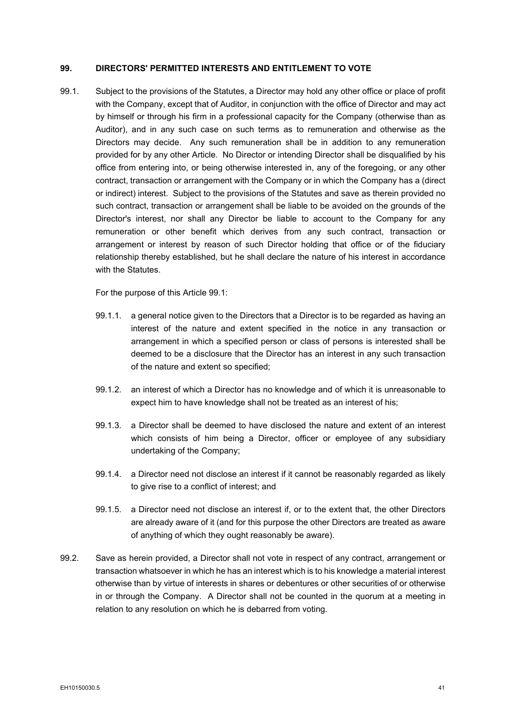# <span id="page-49-1"></span>**99. DIRECTORS' PERMITTED INTERESTS AND ENTITLEMENT TO VOTE**

<span id="page-49-0"></span>99.1. Subject to the provisions of the Statutes, a Director may hold any other office or place of profit with the Company, except that of Auditor, in conjunction with the office of Director and may act by himself or through his firm in a professional capacity for the Company (otherwise than as Auditor), and in any such case on such terms as to remuneration and otherwise as the Directors may decide. Any such remuneration shall be in addition to any remuneration provided for by any other Article. No Director or intending Director shall be disqualified by his office from entering into, or being otherwise interested in, any of the foregoing, or any other contract, transaction or arrangement with the Company or in which the Company has a (direct or indirect) interest. Subject to the provisions of the Statutes and save as therein provided no such contract, transaction or arrangement shall be liable to be avoided on the grounds of the Director's interest, nor shall any Director be liable to account to the Company for any remuneration or other benefit which derives from any such contract, transaction or arrangement or interest by reason of such Director holding that office or of the fiduciary relationship thereby established, but he shall declare the nature of his interest in accordance with the Statutes.

For the purpose of this Article [99.1:](#page-49-0)

- 99.1.1. a general notice given to the Directors that a Director is to be regarded as having an interest of the nature and extent specified in the notice in any transaction or arrangement in which a specified person or class of persons is interested shall be deemed to be a disclosure that the Director has an interest in any such transaction of the nature and extent so specified;
- 99.1.2. an interest of which a Director has no knowledge and of which it is unreasonable to expect him to have knowledge shall not be treated as an interest of his;
- 99.1.3. a Director shall be deemed to have disclosed the nature and extent of an interest which consists of him being a Director, officer or employee of any subsidiary undertaking of the Company;
- 99.1.4. a Director need not disclose an interest if it cannot be reasonably regarded as likely to give rise to a conflict of interest; and
- 99.1.5. a Director need not disclose an interest if, or to the extent that, the other Directors are already aware of it (and for this purpose the other Directors are treated as aware of anything of which they ought reasonably be aware).
- 99.2. Save as herein provided, a Director shall not vote in respect of any contract, arrangement or transaction whatsoever in which he has an interest which is to his knowledge a material interest otherwise than by virtue of interests in shares or debentures or other securities of or otherwise in or through the Company. A Director shall not be counted in the quorum at a meeting in relation to any resolution on which he is debarred from voting.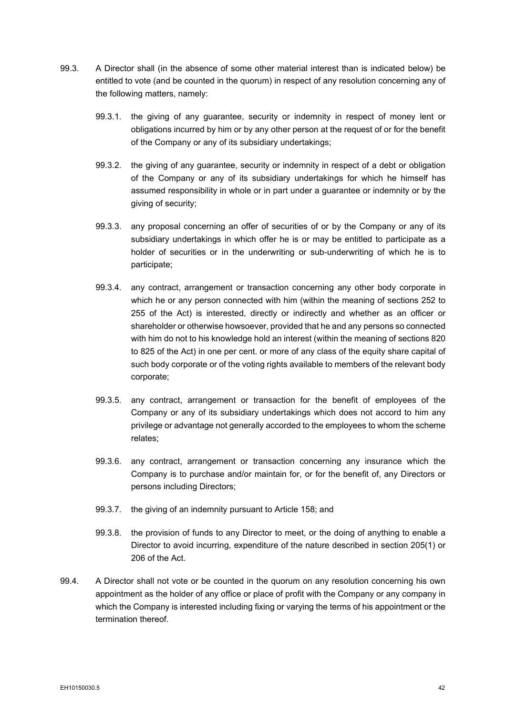- <span id="page-50-0"></span>99.3. A Director shall (in the absence of some other material interest than is indicated below) be entitled to vote (and be counted in the quorum) in respect of any resolution concerning any of the following matters, namely:
	- 99.3.1. the giving of any guarantee, security or indemnity in respect of money lent or obligations incurred by him or by any other person at the request of or for the benefit of the Company or any of its subsidiary undertakings;
	- 99.3.2. the giving of any guarantee, security or indemnity in respect of a debt or obligation of the Company or any of its subsidiary undertakings for which he himself has assumed responsibility in whole or in part under a guarantee or indemnity or by the giving of security;
	- 99.3.3. any proposal concerning an offer of securities of or by the Company or any of its subsidiary undertakings in which offer he is or may be entitled to participate as a holder of securities or in the underwriting or sub-underwriting of which he is to participate;
	- 99.3.4. any contract, arrangement or transaction concerning any other body corporate in which he or any person connected with him (within the meaning of sections 252 to 255 of the Act) is interested, directly or indirectly and whether as an officer or shareholder or otherwise howsoever, provided that he and any persons so connected with him do not to his knowledge hold an interest (within the meaning of sections 820 to 825 of the Act) in one per cent. or more of any class of the equity share capital of such body corporate or of the voting rights available to members of the relevant body corporate;
	- 99.3.5. any contract, arrangement or transaction for the benefit of employees of the Company or any of its subsidiary undertakings which does not accord to him any privilege or advantage not generally accorded to the employees to whom the scheme relates;
	- 99.3.6. any contract, arrangement or transaction concerning any insurance which the Company is to purchase and/or maintain for, or for the benefit of, any Directors or persons including Directors;
	- 99.3.7. the giving of an indemnity pursuant to Article [158;](#page-70-0) and
	- 99.3.8. the provision of funds to any Director to meet, or the doing of anything to enable a Director to avoid incurring, expenditure of the nature described in section 205(1) or 206 of the Act.
- 99.4. A Director shall not vote or be counted in the quorum on any resolution concerning his own appointment as the holder of any office or place of profit with the Company or any company in which the Company is interested including fixing or varying the terms of his appointment or the termination thereof.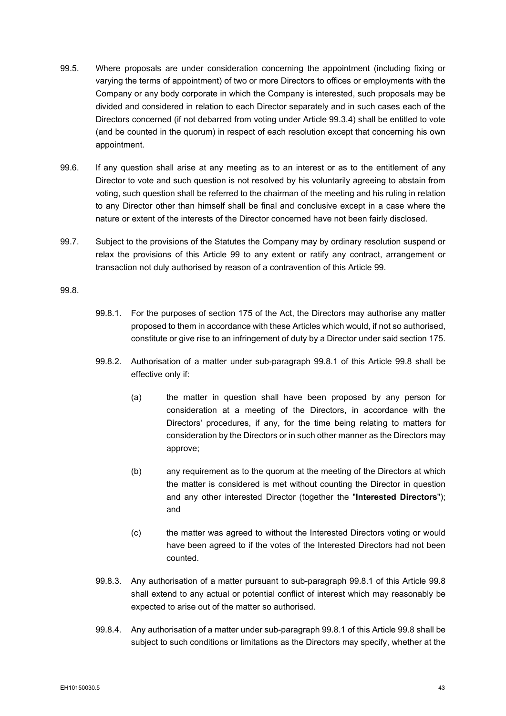- 99.5. Where proposals are under consideration concerning the appointment (including fixing or varying the terms of appointment) of two or more Directors to offices or employments with the Company or any body corporate in which the Company is interested, such proposals may be divided and considered in relation to each Director separately and in such cases each of the Directors concerned (if not debarred from voting under Article [99.3.4\)](#page-50-0) shall be entitled to vote (and be counted in the quorum) in respect of each resolution except that concerning his own appointment.
- 99.6. If any question shall arise at any meeting as to an interest or as to the entitlement of any Director to vote and such question is not resolved by his voluntarily agreeing to abstain from voting, such question shall be referred to the chairman of the meeting and his ruling in relation to any Director other than himself shall be final and conclusive except in a case where the nature or extent of the interests of the Director concerned have not been fairly disclosed.
- 99.7. Subject to the provisions of the Statutes the Company may by ordinary resolution suspend or relax the provisions of this Article [99](#page-49-1) to any extent or ratify any contract, arrangement or transaction not duly authorised by reason of a contravention of this Article [99.](#page-49-1)

# <span id="page-51-1"></span><span id="page-51-0"></span>99.8.

- 99.8.1. For the purposes of section 175 of the Act, the Directors may authorise any matter proposed to them in accordance with these Articles which would, if not so authorised, constitute or give rise to an infringement of duty by a Director under said section 175.
- 99.8.2. Authorisation of a matter under sub-paragraph [99.8.1](#page-51-0) of this Article [99.8](#page-51-1) shall be effective only if:
	- (a) the matter in question shall have been proposed by any person for consideration at a meeting of the Directors, in accordance with the Directors' procedures, if any, for the time being relating to matters for consideration by the Directors or in such other manner as the Directors may approve;
	- (b) any requirement as to the quorum at the meeting of the Directors at which the matter is considered is met without counting the Director in question and any other interested Director (together the "**Interested Directors**"); and
	- (c) the matter was agreed to without the Interested Directors voting or would have been agreed to if the votes of the Interested Directors had not been counted.
- 99.8.3. Any authorisation of a matter pursuant to sub-paragraph [99.8.1](#page-51-0) of this Article [99.8](#page-51-1) shall extend to any actual or potential conflict of interest which may reasonably be expected to arise out of the matter so authorised.
- 99.8.4. Any authorisation of a matter under sub-paragraph [99.8.1](#page-51-0) of this Article [99.8](#page-51-1) shall be subject to such conditions or limitations as the Directors may specify, whether at the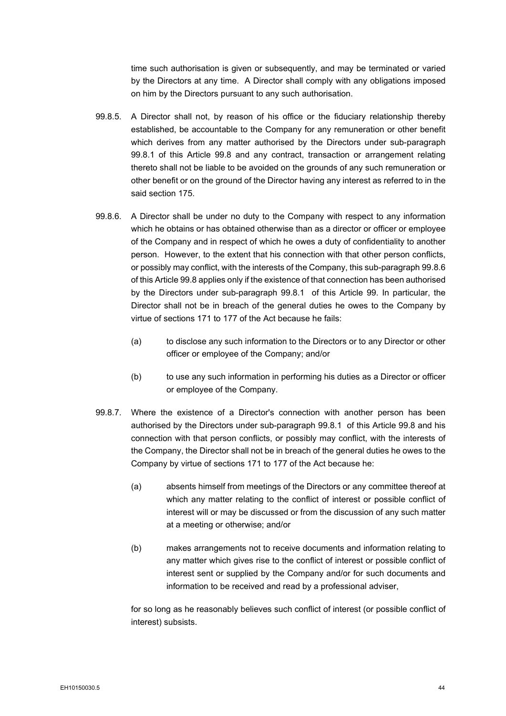time such authorisation is given or subsequently, and may be terminated or varied by the Directors at any time. A Director shall comply with any obligations imposed on him by the Directors pursuant to any such authorisation.

- 99.8.5. A Director shall not, by reason of his office or the fiduciary relationship thereby established, be accountable to the Company for any remuneration or other benefit which derives from any matter authorised by the Directors under sub-paragraph [99.8.1](#page-51-0) of this Article [99.8](#page-51-1) and any contract, transaction or arrangement relating thereto shall not be liable to be avoided on the grounds of any such remuneration or other benefit or on the ground of the Director having any interest as referred to in the said section 175.
- <span id="page-52-0"></span>99.8.6. A Director shall be under no duty to the Company with respect to any information which he obtains or has obtained otherwise than as a director or officer or employee of the Company and in respect of which he owes a duty of confidentiality to another person. However, to the extent that his connection with that other person conflicts, or possibly may conflict, with the interests of the Company, this sub-paragrap[h 99.8.6](#page-52-0) of this Articl[e 99.8](#page-51-1) applies only if the existence of that connection has been authorised by the Directors under sub-paragraph [99.8.1](#page-51-0) of this Article [99.](#page-49-1) In particular, the Director shall not be in breach of the general duties he owes to the Company by virtue of sections 171 to 177 of the Act because he fails:
	- (a) to disclose any such information to the Directors or to any Director or other officer or employee of the Company; and/or
	- (b) to use any such information in performing his duties as a Director or officer or employee of the Company.
- <span id="page-52-1"></span>99.8.7. Where the existence of a Director's connection with another person has been authorised by the Directors under sub-paragraph [99.8.1](#page-51-0) of this Article [99.8](#page-51-1) and his connection with that person conflicts, or possibly may conflict, with the interests of the Company, the Director shall not be in breach of the general duties he owes to the Company by virtue of sections 171 to 177 of the Act because he:
	- (a) absents himself from meetings of the Directors or any committee thereof at which any matter relating to the conflict of interest or possible conflict of interest will or may be discussed or from the discussion of any such matter at a meeting or otherwise; and/or
	- (b) makes arrangements not to receive documents and information relating to any matter which gives rise to the conflict of interest or possible conflict of interest sent or supplied by the Company and/or for such documents and information to be received and read by a professional adviser,

for so long as he reasonably believes such conflict of interest (or possible conflict of interest) subsists.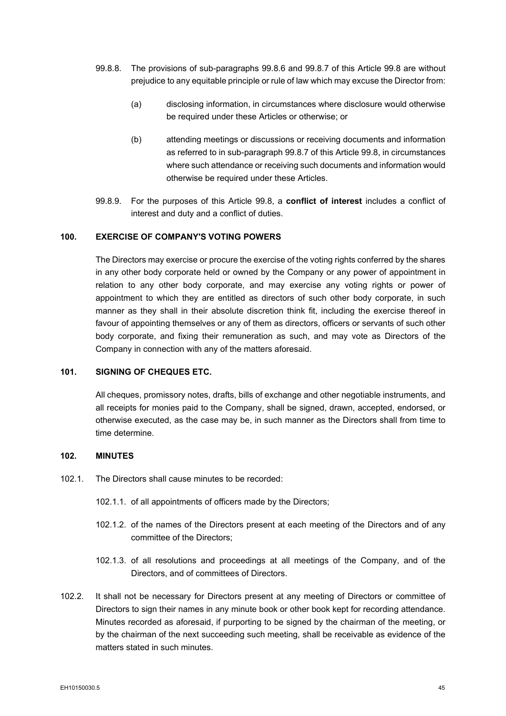- 99.8.8. The provisions of sub-paragraphs [99.8.6](#page-52-0) and [99.8.7](#page-52-1) of this Article [99.8](#page-51-1) are without prejudice to any equitable principle or rule of law which may excuse the Director from:
	- (a) disclosing information, in circumstances where disclosure would otherwise be required under these Articles or otherwise; or
	- (b) attending meetings or discussions or receiving documents and information as referred to in sub-paragraph [99.8.7](#page-52-1) of this Article [99.8,](#page-51-1) in circumstances where such attendance or receiving such documents and information would otherwise be required under these Articles.
- 99.8.9. For the purposes of this Article [99.8,](#page-51-1) a **conflict of interest** includes a conflict of interest and duty and a conflict of duties.

## **100. EXERCISE OF COMPANY'S VOTING POWERS**

The Directors may exercise or procure the exercise of the voting rights conferred by the shares in any other body corporate held or owned by the Company or any power of appointment in relation to any other body corporate, and may exercise any voting rights or power of appointment to which they are entitled as directors of such other body corporate, in such manner as they shall in their absolute discretion think fit, including the exercise thereof in favour of appointing themselves or any of them as directors, officers or servants of such other body corporate, and fixing their remuneration as such, and may vote as Directors of the Company in connection with any of the matters aforesaid.

# **101. SIGNING OF CHEQUES ETC.**

All cheques, promissory notes, drafts, bills of exchange and other negotiable instruments, and all receipts for monies paid to the Company, shall be signed, drawn, accepted, endorsed, or otherwise executed, as the case may be, in such manner as the Directors shall from time to time determine.

# **102. MINUTES**

- 102.1. The Directors shall cause minutes to be recorded:
	- 102.1.1. of all appointments of officers made by the Directors;
	- 102.1.2. of the names of the Directors present at each meeting of the Directors and of any committee of the Directors;
	- 102.1.3. of all resolutions and proceedings at all meetings of the Company, and of the Directors, and of committees of Directors.
- 102.2. It shall not be necessary for Directors present at any meeting of Directors or committee of Directors to sign their names in any minute book or other book kept for recording attendance. Minutes recorded as aforesaid, if purporting to be signed by the chairman of the meeting, or by the chairman of the next succeeding such meeting, shall be receivable as evidence of the matters stated in such minutes.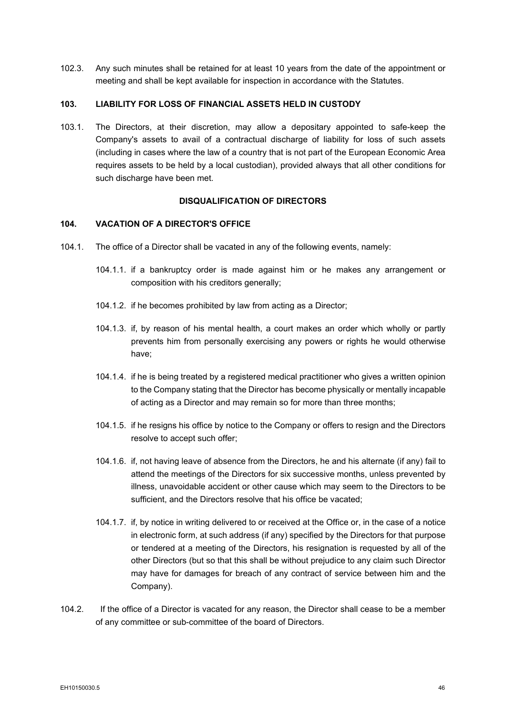102.3. Any such minutes shall be retained for at least 10 years from the date of the appointment or meeting and shall be kept available for inspection in accordance with the Statutes.

# **103. LIABILITY FOR LOSS OF FINANCIAL ASSETS HELD IN CUSTODY**

103.1. The Directors, at their discretion, may allow a depositary appointed to safe-keep the Company's assets to avail of a contractual discharge of liability for loss of such assets (including in cases where the law of a country that is not part of the European Economic Area requires assets to be held by a local custodian), provided always that all other conditions for such discharge have been met.

## **DISQUALIFICATION OF DIRECTORS**

#### **104. VACATION OF A DIRECTOR'S OFFICE**

- 104.1. The office of a Director shall be vacated in any of the following events, namely:
	- 104.1.1. if a bankruptcy order is made against him or he makes any arrangement or composition with his creditors generally;
	- 104.1.2. if he becomes prohibited by law from acting as a Director;
	- 104.1.3. if, by reason of his mental health, a court makes an order which wholly or partly prevents him from personally exercising any powers or rights he would otherwise have;
	- 104.1.4. if he is being treated by a registered medical practitioner who gives a written opinion to the Company stating that the Director has become physically or mentally incapable of acting as a Director and may remain so for more than three months;
	- 104.1.5. if he resigns his office by notice to the Company or offers to resign and the Directors resolve to accept such offer;
	- 104.1.6. if, not having leave of absence from the Directors, he and his alternate (if any) fail to attend the meetings of the Directors for six successive months, unless prevented by illness, unavoidable accident or other cause which may seem to the Directors to be sufficient, and the Directors resolve that his office be vacated;
	- 104.1.7. if, by notice in writing delivered to or received at the Office or, in the case of a notice in electronic form, at such address (if any) specified by the Directors for that purpose or tendered at a meeting of the Directors, his resignation is requested by all of the other Directors (but so that this shall be without prejudice to any claim such Director may have for damages for breach of any contract of service between him and the Company).
- 104.2. If the office of a Director is vacated for any reason, the Director shall cease to be a member of any committee or sub-committee of the board of Directors.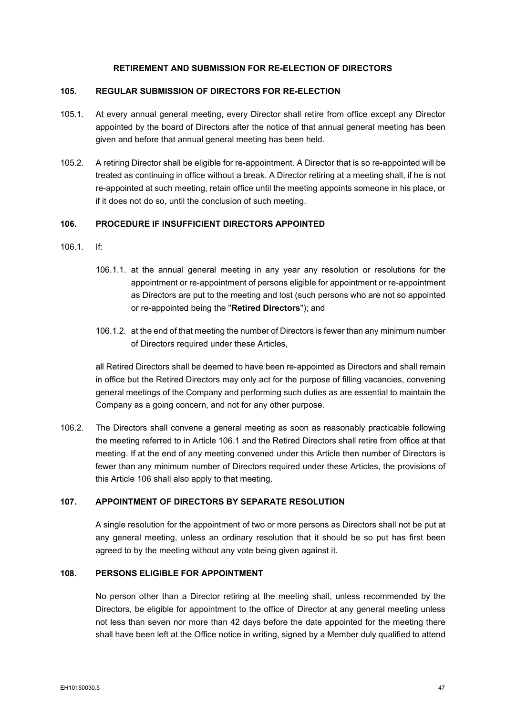# **RETIREMENT AND SUBMISSION FOR RE-ELECTION OF DIRECTORS**

#### **105. REGULAR SUBMISSION OF DIRECTORS FOR RE-ELECTION**

- 105.1. At every annual general meeting, every Director shall retire from office except any Director appointed by the board of Directors after the notice of that annual general meeting has been given and before that annual general meeting has been held.
- 105.2. A retiring Director shall be eligible for re-appointment. A Director that is so re-appointed will be treated as continuing in office without a break. A Director retiring at a meeting shall, if he is not re-appointed at such meeting, retain office until the meeting appoints someone in his place, or if it does not do so, until the conclusion of such meeting.

#### <span id="page-55-1"></span>**106. PROCEDURE IF INSUFFICIENT DIRECTORS APPOINTED**

- <span id="page-55-0"></span>106.1 If:
	- 106.1.1. at the annual general meeting in any year any resolution or resolutions for the appointment or re-appointment of persons eligible for appointment or re-appointment as Directors are put to the meeting and lost (such persons who are not so appointed or re-appointed being the "**Retired Directors**"); and
	- 106.1.2. at the end of that meeting the number of Directors is fewer than any minimum number of Directors required under these Articles,

all Retired Directors shall be deemed to have been re-appointed as Directors and shall remain in office but the Retired Directors may only act for the purpose of filling vacancies, convening general meetings of the Company and performing such duties as are essential to maintain the Company as a going concern, and not for any other purpose.

106.2. The Directors shall convene a general meeting as soon as reasonably practicable following the meeting referred to in Article [106.1](#page-55-0) and the Retired Directors shall retire from office at that meeting. If at the end of any meeting convened under this Article then number of Directors is fewer than any minimum number of Directors required under these Articles, the provisions of this Article [106](#page-55-1) shall also apply to that meeting.

# **107. APPOINTMENT OF DIRECTORS BY SEPARATE RESOLUTION**

A single resolution for the appointment of two or more persons as Directors shall not be put at any general meeting, unless an ordinary resolution that it should be so put has first been agreed to by the meeting without any vote being given against it.

## <span id="page-55-2"></span>**108. PERSONS ELIGIBLE FOR APPOINTMENT**

No person other than a Director retiring at the meeting shall, unless recommended by the Directors, be eligible for appointment to the office of Director at any general meeting unless not less than seven nor more than 42 days before the date appointed for the meeting there shall have been left at the Office notice in writing, signed by a Member duly qualified to attend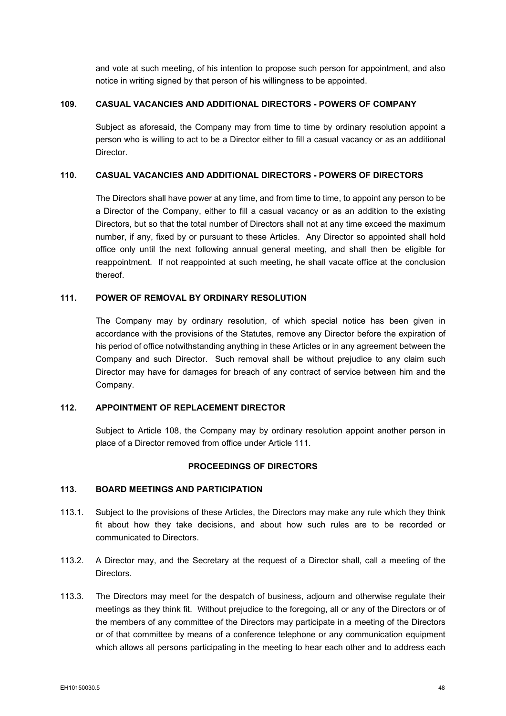and vote at such meeting, of his intention to propose such person for appointment, and also notice in writing signed by that person of his willingness to be appointed.

# **109. CASUAL VACANCIES AND ADDITIONAL DIRECTORS - POWERS OF COMPANY**

Subject as aforesaid, the Company may from time to time by ordinary resolution appoint a person who is willing to act to be a Director either to fill a casual vacancy or as an additional Director.

# **110. CASUAL VACANCIES AND ADDITIONAL DIRECTORS - POWERS OF DIRECTORS**

The Directors shall have power at any time, and from time to time, to appoint any person to be a Director of the Company, either to fill a casual vacancy or as an addition to the existing Directors, but so that the total number of Directors shall not at any time exceed the maximum number, if any, fixed by or pursuant to these Articles. Any Director so appointed shall hold office only until the next following annual general meeting, and shall then be eligible for reappointment. If not reappointed at such meeting, he shall vacate office at the conclusion thereof.

# <span id="page-56-0"></span>**111. POWER OF REMOVAL BY ORDINARY RESOLUTION**

The Company may by ordinary resolution, of which special notice has been given in accordance with the provisions of the Statutes, remove any Director before the expiration of his period of office notwithstanding anything in these Articles or in any agreement between the Company and such Director. Such removal shall be without prejudice to any claim such Director may have for damages for breach of any contract of service between him and the Company.

# **112. APPOINTMENT OF REPLACEMENT DIRECTOR**

Subject to Article [108,](#page-55-2) the Company may by ordinary resolution appoint another person in place of a Director removed from office under Article [111.](#page-56-0)

#### **PROCEEDINGS OF DIRECTORS**

# **113. BOARD MEETINGS AND PARTICIPATION**

- 113.1. Subject to the provisions of these Articles, the Directors may make any rule which they think fit about how they take decisions, and about how such rules are to be recorded or communicated to Directors.
- 113.2. A Director may, and the Secretary at the request of a Director shall, call a meeting of the Directors.
- 113.3. The Directors may meet for the despatch of business, adjourn and otherwise regulate their meetings as they think fit. Without prejudice to the foregoing, all or any of the Directors or of the members of any committee of the Directors may participate in a meeting of the Directors or of that committee by means of a conference telephone or any communication equipment which allows all persons participating in the meeting to hear each other and to address each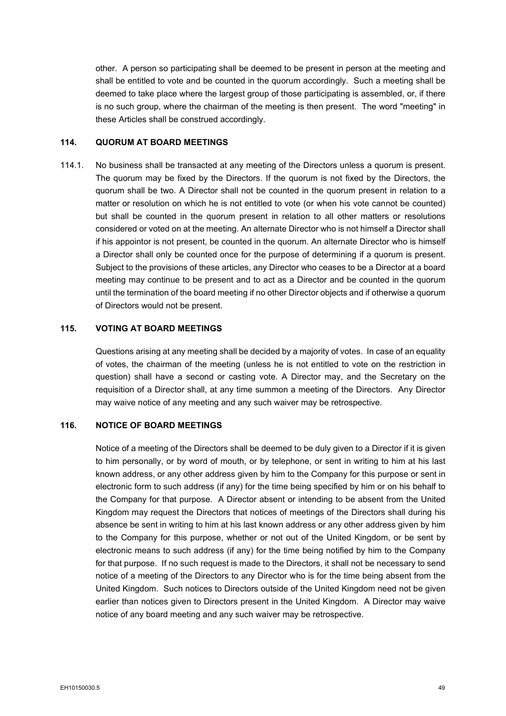other. A person so participating shall be deemed to be present in person at the meeting and shall be entitled to vote and be counted in the quorum accordingly. Such a meeting shall be deemed to take place where the largest group of those participating is assembled, or, if there is no such group, where the chairman of the meeting is then present. The word "meeting" in these Articles shall be construed accordingly.

# **114. QUORUM AT BOARD MEETINGS**

114.1. No business shall be transacted at any meeting of the Directors unless a quorum is present. The quorum may be fixed by the Directors. If the quorum is not fixed by the Directors, the quorum shall be two. A Director shall not be counted in the quorum present in relation to a matter or resolution on which he is not entitled to vote (or when his vote cannot be counted) but shall be counted in the quorum present in relation to all other matters or resolutions considered or voted on at the meeting. An alternate Director who is not himself a Director shall if his appointor is not present, be counted in the quorum. An alternate Director who is himself a Director shall only be counted once for the purpose of determining if a quorum is present. Subject to the provisions of these articles, any Director who ceases to be a Director at a board meeting may continue to be present and to act as a Director and be counted in the quorum until the termination of the board meeting if no other Director objects and if otherwise a quorum of Directors would not be present.

## **115. VOTING AT BOARD MEETINGS**

Questions arising at any meeting shall be decided by a majority of votes. In case of an equality of votes, the chairman of the meeting (unless he is not entitled to vote on the restriction in question) shall have a second or casting vote. A Director may, and the Secretary on the requisition of a Director shall, at any time summon a meeting of the Directors. Any Director may waive notice of any meeting and any such waiver may be retrospective.

## **116. NOTICE OF BOARD MEETINGS**

Notice of a meeting of the Directors shall be deemed to be duly given to a Director if it is given to him personally, or by word of mouth, or by telephone, or sent in writing to him at his last known address, or any other address given by him to the Company for this purpose or sent in electronic form to such address (if any) for the time being specified by him or on his behalf to the Company for that purpose. A Director absent or intending to be absent from the United Kingdom may request the Directors that notices of meetings of the Directors shall during his absence be sent in writing to him at his last known address or any other address given by him to the Company for this purpose, whether or not out of the United Kingdom, or be sent by electronic means to such address (if any) for the time being notified by him to the Company for that purpose. If no such request is made to the Directors, it shall not be necessary to send notice of a meeting of the Directors to any Director who is for the time being absent from the United Kingdom. Such notices to Directors outside of the United Kingdom need not be given earlier than notices given to Directors present in the United Kingdom. A Director may waive notice of any board meeting and any such waiver may be retrospective.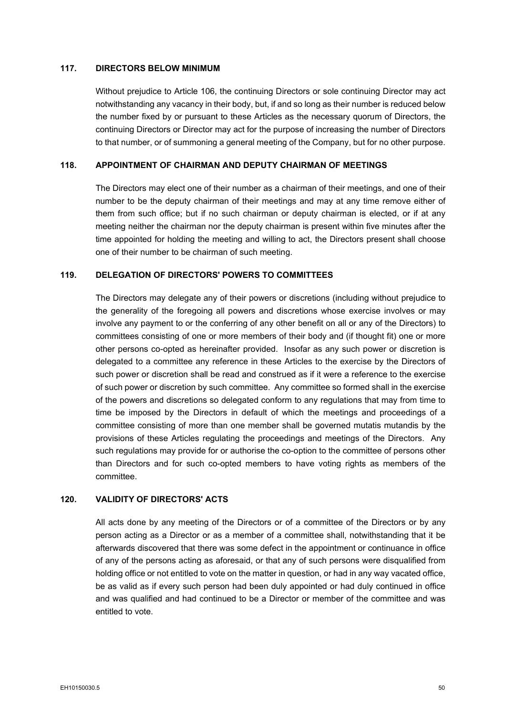# **117. DIRECTORS BELOW MINIMUM**

Without prejudice to Article [106,](#page-55-1) the continuing Directors or sole continuing Director may act notwithstanding any vacancy in their body, but, if and so long as their number is reduced below the number fixed by or pursuant to these Articles as the necessary quorum of Directors, the continuing Directors or Director may act for the purpose of increasing the number of Directors to that number, or of summoning a general meeting of the Company, but for no other purpose.

#### **118. APPOINTMENT OF CHAIRMAN AND DEPUTY CHAIRMAN OF MEETINGS**

The Directors may elect one of their number as a chairman of their meetings, and one of their number to be the deputy chairman of their meetings and may at any time remove either of them from such office; but if no such chairman or deputy chairman is elected, or if at any meeting neither the chairman nor the deputy chairman is present within five minutes after the time appointed for holding the meeting and willing to act, the Directors present shall choose one of their number to be chairman of such meeting.

## **119. DELEGATION OF DIRECTORS' POWERS TO COMMITTEES**

The Directors may delegate any of their powers or discretions (including without prejudice to the generality of the foregoing all powers and discretions whose exercise involves or may involve any payment to or the conferring of any other benefit on all or any of the Directors) to committees consisting of one or more members of their body and (if thought fit) one or more other persons co-opted as hereinafter provided. Insofar as any such power or discretion is delegated to a committee any reference in these Articles to the exercise by the Directors of such power or discretion shall be read and construed as if it were a reference to the exercise of such power or discretion by such committee. Any committee so formed shall in the exercise of the powers and discretions so delegated conform to any regulations that may from time to time be imposed by the Directors in default of which the meetings and proceedings of a committee consisting of more than one member shall be governed mutatis mutandis by the provisions of these Articles regulating the proceedings and meetings of the Directors. Any such regulations may provide for or authorise the co-option to the committee of persons other than Directors and for such co-opted members to have voting rights as members of the committee.

# **120. VALIDITY OF DIRECTORS' ACTS**

All acts done by any meeting of the Directors or of a committee of the Directors or by any person acting as a Director or as a member of a committee shall, notwithstanding that it be afterwards discovered that there was some defect in the appointment or continuance in office of any of the persons acting as aforesaid, or that any of such persons were disqualified from holding office or not entitled to vote on the matter in question, or had in any way vacated office, be as valid as if every such person had been duly appointed or had duly continued in office and was qualified and had continued to be a Director or member of the committee and was entitled to vote.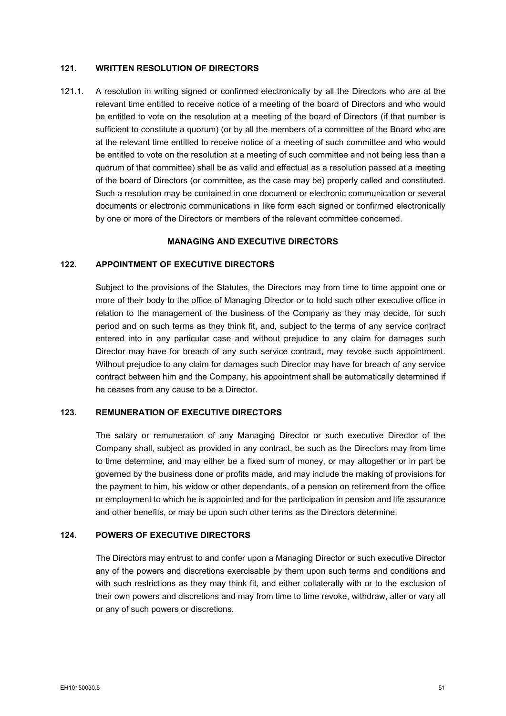# **121. WRITTEN RESOLUTION OF DIRECTORS**

121.1. A resolution in writing signed or confirmed electronically by all the Directors who are at the relevant time entitled to receive notice of a meeting of the board of Directors and who would be entitled to vote on the resolution at a meeting of the board of Directors (if that number is sufficient to constitute a quorum) (or by all the members of a committee of the Board who are at the relevant time entitled to receive notice of a meeting of such committee and who would be entitled to vote on the resolution at a meeting of such committee and not being less than a quorum of that committee) shall be as valid and effectual as a resolution passed at a meeting of the board of Directors (or committee, as the case may be) properly called and constituted. Such a resolution may be contained in one document or electronic communication or several documents or electronic communications in like form each signed or confirmed electronically by one or more of the Directors or members of the relevant committee concerned.

# **MANAGING AND EXECUTIVE DIRECTORS**

# **122. APPOINTMENT OF EXECUTIVE DIRECTORS**

Subject to the provisions of the Statutes, the Directors may from time to time appoint one or more of their body to the office of Managing Director or to hold such other executive office in relation to the management of the business of the Company as they may decide, for such period and on such terms as they think fit, and, subject to the terms of any service contract entered into in any particular case and without prejudice to any claim for damages such Director may have for breach of any such service contract, may revoke such appointment. Without prejudice to any claim for damages such Director may have for breach of any service contract between him and the Company, his appointment shall be automatically determined if he ceases from any cause to be a Director.

#### **123. REMUNERATION OF EXECUTIVE DIRECTORS**

The salary or remuneration of any Managing Director or such executive Director of the Company shall, subject as provided in any contract, be such as the Directors may from time to time determine, and may either be a fixed sum of money, or may altogether or in part be governed by the business done or profits made, and may include the making of provisions for the payment to him, his widow or other dependants, of a pension on retirement from the office or employment to which he is appointed and for the participation in pension and life assurance and other benefits, or may be upon such other terms as the Directors determine.

#### **124. POWERS OF EXECUTIVE DIRECTORS**

The Directors may entrust to and confer upon a Managing Director or such executive Director any of the powers and discretions exercisable by them upon such terms and conditions and with such restrictions as they may think fit, and either collaterally with or to the exclusion of their own powers and discretions and may from time to time revoke, withdraw, alter or vary all or any of such powers or discretions.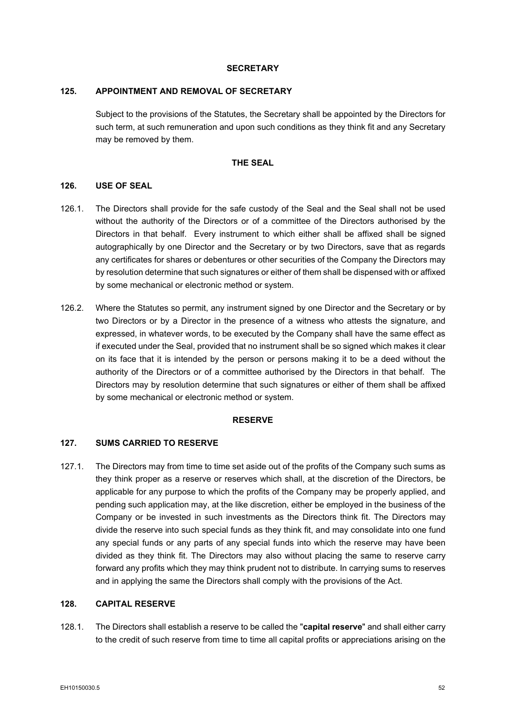#### **SECRETARY**

#### **125. APPOINTMENT AND REMOVAL OF SECRETARY**

Subject to the provisions of the Statutes, the Secretary shall be appointed by the Directors for such term, at such remuneration and upon such conditions as they think fit and any Secretary may be removed by them.

# **THE SEAL**

## **126. USE OF SEAL**

- 126.1. The Directors shall provide for the safe custody of the Seal and the Seal shall not be used without the authority of the Directors or of a committee of the Directors authorised by the Directors in that behalf. Every instrument to which either shall be affixed shall be signed autographically by one Director and the Secretary or by two Directors, save that as regards any certificates for shares or debentures or other securities of the Company the Directors may by resolution determine that such signatures or either of them shall be dispensed with or affixed by some mechanical or electronic method or system.
- 126.2. Where the Statutes so permit, any instrument signed by one Director and the Secretary or by two Directors or by a Director in the presence of a witness who attests the signature, and expressed, in whatever words, to be executed by the Company shall have the same effect as if executed under the Seal, provided that no instrument shall be so signed which makes it clear on its face that it is intended by the person or persons making it to be a deed without the authority of the Directors or of a committee authorised by the Directors in that behalf. The Directors may by resolution determine that such signatures or either of them shall be affixed by some mechanical or electronic method or system.

#### **RESERVE**

# <span id="page-60-0"></span>**127. SUMS CARRIED TO RESERVE**

127.1. The Directors may from time to time set aside out of the profits of the Company such sums as they think proper as a reserve or reserves which shall, at the discretion of the Directors, be applicable for any purpose to which the profits of the Company may be properly applied, and pending such application may, at the like discretion, either be employed in the business of the Company or be invested in such investments as the Directors think fit. The Directors may divide the reserve into such special funds as they think fit, and may consolidate into one fund any special funds or any parts of any special funds into which the reserve may have been divided as they think fit. The Directors may also without placing the same to reserve carry forward any profits which they may think prudent not to distribute. In carrying sums to reserves and in applying the same the Directors shall comply with the provisions of the Act.

#### **128. CAPITAL RESERVE**

128.1. The Directors shall establish a reserve to be called the "**capital reserve**" and shall either carry to the credit of such reserve from time to time all capital profits or appreciations arising on the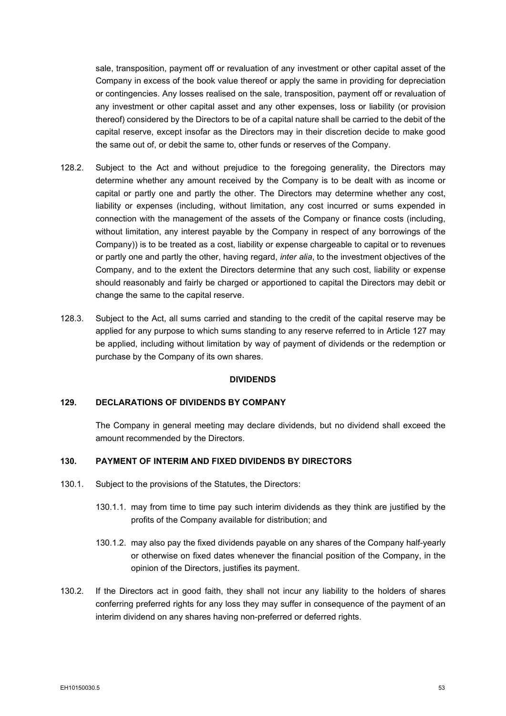sale, transposition, payment off or revaluation of any investment or other capital asset of the Company in excess of the book value thereof or apply the same in providing for depreciation or contingencies. Any losses realised on the sale, transposition, payment off or revaluation of any investment or other capital asset and any other expenses, loss or liability (or provision thereof) considered by the Directors to be of a capital nature shall be carried to the debit of the capital reserve, except insofar as the Directors may in their discretion decide to make good the same out of, or debit the same to, other funds or reserves of the Company.

- 128.2. Subject to the Act and without prejudice to the foregoing generality, the Directors may determine whether any amount received by the Company is to be dealt with as income or capital or partly one and partly the other. The Directors may determine whether any cost, liability or expenses (including, without limitation, any cost incurred or sums expended in connection with the management of the assets of the Company or finance costs (including, without limitation, any interest payable by the Company in respect of any borrowings of the Company)) is to be treated as a cost, liability or expense chargeable to capital or to revenues or partly one and partly the other, having regard, *inter alia*, to the investment objectives of the Company, and to the extent the Directors determine that any such cost, liability or expense should reasonably and fairly be charged or apportioned to capital the Directors may debit or change the same to the capital reserve.
- 128.3. Subject to the Act, all sums carried and standing to the credit of the capital reserve may be applied for any purpose to which sums standing to any reserve referred to in Article [127](#page-60-0) may be applied, including without limitation by way of payment of dividends or the redemption or purchase by the Company of its own shares.

#### **DIVIDENDS**

### **129. DECLARATIONS OF DIVIDENDS BY COMPANY**

The Company in general meeting may declare dividends, but no dividend shall exceed the amount recommended by the Directors.

## **130. PAYMENT OF INTERIM AND FIXED DIVIDENDS BY DIRECTORS**

- 130.1. Subject to the provisions of the Statutes, the Directors:
	- 130.1.1. may from time to time pay such interim dividends as they think are justified by the profits of the Company available for distribution; and
	- 130.1.2. may also pay the fixed dividends payable on any shares of the Company half-yearly or otherwise on fixed dates whenever the financial position of the Company, in the opinion of the Directors, justifies its payment.
- 130.2. If the Directors act in good faith, they shall not incur any liability to the holders of shares conferring preferred rights for any loss they may suffer in consequence of the payment of an interim dividend on any shares having non-preferred or deferred rights.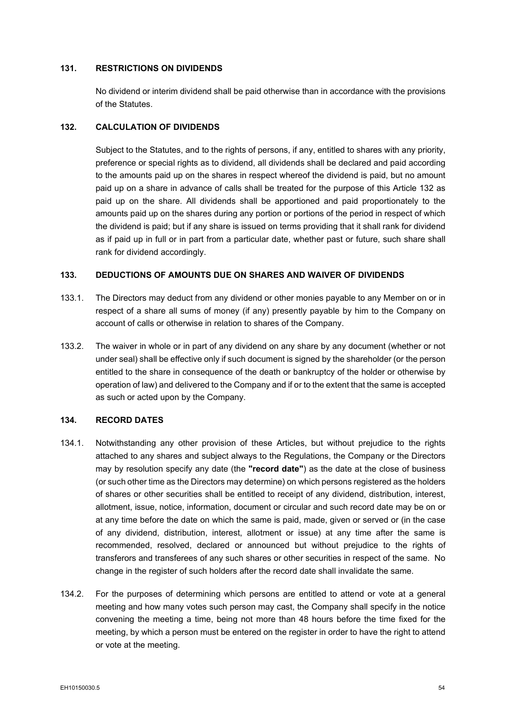# **131. RESTRICTIONS ON DIVIDENDS**

No dividend or interim dividend shall be paid otherwise than in accordance with the provisions of the Statutes.

## <span id="page-62-0"></span>**132. CALCULATION OF DIVIDENDS**

Subject to the Statutes, and to the rights of persons, if any, entitled to shares with any priority, preference or special rights as to dividend, all dividends shall be declared and paid according to the amounts paid up on the shares in respect whereof the dividend is paid, but no amount paid up on a share in advance of calls shall be treated for the purpose of this Article [132](#page-62-0) as paid up on the share. All dividends shall be apportioned and paid proportionately to the amounts paid up on the shares during any portion or portions of the period in respect of which the dividend is paid; but if any share is issued on terms providing that it shall rank for dividend as if paid up in full or in part from a particular date, whether past or future, such share shall rank for dividend accordingly.

#### **133. DEDUCTIONS OF AMOUNTS DUE ON SHARES AND WAIVER OF DIVIDENDS**

- 133.1. The Directors may deduct from any dividend or other monies payable to any Member on or in respect of a share all sums of money (if any) presently payable by him to the Company on account of calls or otherwise in relation to shares of the Company.
- 133.2. The waiver in whole or in part of any dividend on any share by any document (whether or not under seal) shall be effective only if such document is signed by the shareholder (or the person entitled to the share in consequence of the death or bankruptcy of the holder or otherwise by operation of law) and delivered to the Company and if or to the extent that the same is accepted as such or acted upon by the Company.

#### <span id="page-62-1"></span>**134. RECORD DATES**

- 134.1. Notwithstanding any other provision of these Articles, but without prejudice to the rights attached to any shares and subject always to the Regulations, the Company or the Directors may by resolution specify any date (the **"record date"**) as the date at the close of business (or such other time as the Directors may determine) on which persons registered as the holders of shares or other securities shall be entitled to receipt of any dividend, distribution, interest, allotment, issue, notice, information, document or circular and such record date may be on or at any time before the date on which the same is paid, made, given or served or (in the case of any dividend, distribution, interest, allotment or issue) at any time after the same is recommended, resolved, declared or announced but without prejudice to the rights of transferors and transferees of any such shares or other securities in respect of the same. No change in the register of such holders after the record date shall invalidate the same.
- 134.2. For the purposes of determining which persons are entitled to attend or vote at a general meeting and how many votes such person may cast, the Company shall specify in the notice convening the meeting a time, being not more than 48 hours before the time fixed for the meeting, by which a person must be entered on the register in order to have the right to attend or vote at the meeting.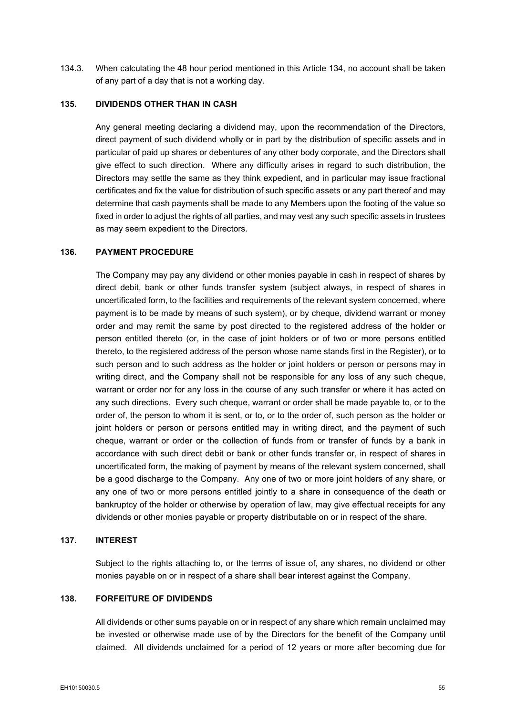134.3. When calculating the 48 hour period mentioned in this Article [134,](#page-62-1) no account shall be taken of any part of a day that is not a working day.

# **135. DIVIDENDS OTHER THAN IN CASH**

Any general meeting declaring a dividend may, upon the recommendation of the Directors, direct payment of such dividend wholly or in part by the distribution of specific assets and in particular of paid up shares or debentures of any other body corporate, and the Directors shall give effect to such direction. Where any difficulty arises in regard to such distribution, the Directors may settle the same as they think expedient, and in particular may issue fractional certificates and fix the value for distribution of such specific assets or any part thereof and may determine that cash payments shall be made to any Members upon the footing of the value so fixed in order to adjust the rights of all parties, and may vest any such specific assets in trustees as may seem expedient to the Directors.

# **136. PAYMENT PROCEDURE**

The Company may pay any dividend or other monies payable in cash in respect of shares by direct debit, bank or other funds transfer system (subject always, in respect of shares in uncertificated form, to the facilities and requirements of the relevant system concerned, where payment is to be made by means of such system), or by cheque, dividend warrant or money order and may remit the same by post directed to the registered address of the holder or person entitled thereto (or, in the case of joint holders or of two or more persons entitled thereto, to the registered address of the person whose name stands first in the Register), or to such person and to such address as the holder or joint holders or person or persons may in writing direct, and the Company shall not be responsible for any loss of any such cheque, warrant or order nor for any loss in the course of any such transfer or where it has acted on any such directions. Every such cheque, warrant or order shall be made payable to, or to the order of, the person to whom it is sent, or to, or to the order of, such person as the holder or joint holders or person or persons entitled may in writing direct, and the payment of such cheque, warrant or order or the collection of funds from or transfer of funds by a bank in accordance with such direct debit or bank or other funds transfer or, in respect of shares in uncertificated form, the making of payment by means of the relevant system concerned, shall be a good discharge to the Company. Any one of two or more joint holders of any share, or any one of two or more persons entitled jointly to a share in consequence of the death or bankruptcy of the holder or otherwise by operation of law, may give effectual receipts for any dividends or other monies payable or property distributable on or in respect of the share.

## **137. INTEREST**

Subject to the rights attaching to, or the terms of issue of, any shares, no dividend or other monies payable on or in respect of a share shall bear interest against the Company.

#### **138. FORFEITURE OF DIVIDENDS**

All dividends or other sums payable on or in respect of any share which remain unclaimed may be invested or otherwise made use of by the Directors for the benefit of the Company until claimed. All dividends unclaimed for a period of 12 years or more after becoming due for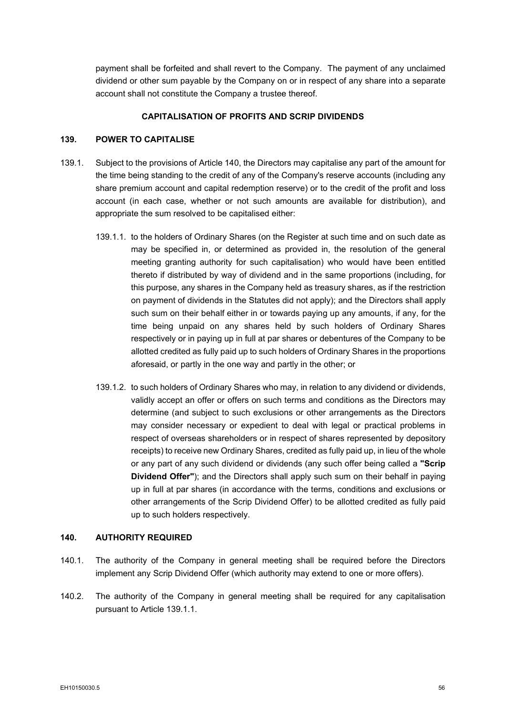payment shall be forfeited and shall revert to the Company. The payment of any unclaimed dividend or other sum payable by the Company on or in respect of any share into a separate account shall not constitute the Company a trustee thereof.

## **CAPITALISATION OF PROFITS AND SCRIP DIVIDENDS**

#### **139. POWER TO CAPITALISE**

- <span id="page-64-1"></span>139.1. Subject to the provisions of Article [140,](#page-64-0) the Directors may capitalise any part of the amount for the time being standing to the credit of any of the Company's reserve accounts (including any share premium account and capital redemption reserve) or to the credit of the profit and loss account (in each case, whether or not such amounts are available for distribution), and appropriate the sum resolved to be capitalised either:
	- 139.1.1. to the holders of Ordinary Shares (on the Register at such time and on such date as may be specified in, or determined as provided in, the resolution of the general meeting granting authority for such capitalisation) who would have been entitled thereto if distributed by way of dividend and in the same proportions (including, for this purpose, any shares in the Company held as treasury shares, as if the restriction on payment of dividends in the Statutes did not apply); and the Directors shall apply such sum on their behalf either in or towards paying up any amounts, if any, for the time being unpaid on any shares held by such holders of Ordinary Shares respectively or in paying up in full at par shares or debentures of the Company to be allotted credited as fully paid up to such holders of Ordinary Shares in the proportions aforesaid, or partly in the one way and partly in the other; or
	- 139.1.2. to such holders of Ordinary Shares who may, in relation to any dividend or dividends, validly accept an offer or offers on such terms and conditions as the Directors may determine (and subject to such exclusions or other arrangements as the Directors may consider necessary or expedient to deal with legal or practical problems in respect of overseas shareholders or in respect of shares represented by depository receipts) to receive new Ordinary Shares, credited as fully paid up, in lieu of the whole or any part of any such dividend or dividends (any such offer being called a **"Scrip Dividend Offer"**); and the Directors shall apply such sum on their behalf in paying up in full at par shares (in accordance with the terms, conditions and exclusions or other arrangements of the Scrip Dividend Offer) to be allotted credited as fully paid up to such holders respectively.

# <span id="page-64-0"></span>**140. AUTHORITY REQUIRED**

- 140.1. The authority of the Company in general meeting shall be required before the Directors implement any Scrip Dividend Offer (which authority may extend to one or more offers).
- 140.2. The authority of the Company in general meeting shall be required for any capitalisation pursuant to Article [139.1.1.](#page-64-1)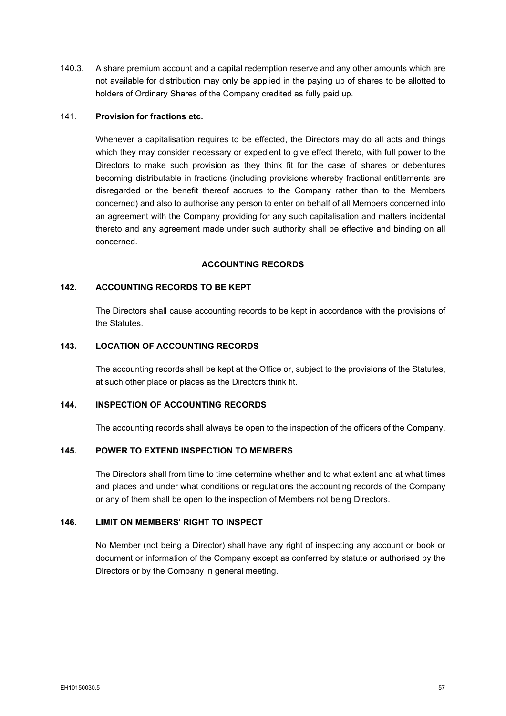140.3. A share premium account and a capital redemption reserve and any other amounts which are not available for distribution may only be applied in the paying up of shares to be allotted to holders of Ordinary Shares of the Company credited as fully paid up.

# 141. **Provision for fractions etc.**

Whenever a capitalisation requires to be effected, the Directors may do all acts and things which they may consider necessary or expedient to give effect thereto, with full power to the Directors to make such provision as they think fit for the case of shares or debentures becoming distributable in fractions (including provisions whereby fractional entitlements are disregarded or the benefit thereof accrues to the Company rather than to the Members concerned) and also to authorise any person to enter on behalf of all Members concerned into an agreement with the Company providing for any such capitalisation and matters incidental thereto and any agreement made under such authority shall be effective and binding on all concerned.

## **ACCOUNTING RECORDS**

## **142. ACCOUNTING RECORDS TO BE KEPT**

The Directors shall cause accounting records to be kept in accordance with the provisions of the Statutes.

# **143. LOCATION OF ACCOUNTING RECORDS**

The accounting records shall be kept at the Office or, subject to the provisions of the Statutes, at such other place or places as the Directors think fit.

# **144. INSPECTION OF ACCOUNTING RECORDS**

The accounting records shall always be open to the inspection of the officers of the Company.

# **145. POWER TO EXTEND INSPECTION TO MEMBERS**

The Directors shall from time to time determine whether and to what extent and at what times and places and under what conditions or regulations the accounting records of the Company or any of them shall be open to the inspection of Members not being Directors.

## **146. LIMIT ON MEMBERS' RIGHT TO INSPECT**

No Member (not being a Director) shall have any right of inspecting any account or book or document or information of the Company except as conferred by statute or authorised by the Directors or by the Company in general meeting.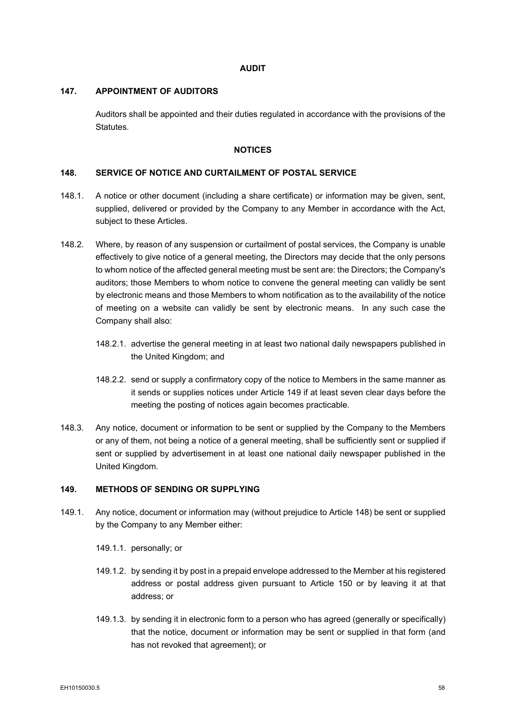# **AUDIT**

#### **147. APPOINTMENT OF AUDITORS**

Auditors shall be appointed and their duties regulated in accordance with the provisions of the Statutes.

# **NOTICES**

# <span id="page-66-1"></span>**148. SERVICE OF NOTICE AND CURTAILMENT OF POSTAL SERVICE**

- 148.1. A notice or other document (including a share certificate) or information may be given, sent, supplied, delivered or provided by the Company to any Member in accordance with the Act, subject to these Articles.
- 148.2. Where, by reason of any suspension or curtailment of postal services, the Company is unable effectively to give notice of a general meeting, the Directors may decide that the only persons to whom notice of the affected general meeting must be sent are: the Directors; the Company's auditors; those Members to whom notice to convene the general meeting can validly be sent by electronic means and those Members to whom notification as to the availability of the notice of meeting on a website can validly be sent by electronic means. In any such case the Company shall also:
	- 148.2.1. advertise the general meeting in at least two national daily newspapers published in the United Kingdom; and
	- 148.2.2. send or supply a confirmatory copy of the notice to Members in the same manner as it sends or supplies notices under Article [149](#page-66-0) if at least seven clear days before the meeting the posting of notices again becomes practicable.
- 148.3. Any notice, document or information to be sent or supplied by the Company to the Members or any of them, not being a notice of a general meeting, shall be sufficiently sent or supplied if sent or supplied by advertisement in at least one national daily newspaper published in the United Kingdom.

# <span id="page-66-0"></span>**149. METHODS OF SENDING OR SUPPLYING**

- 149.1. Any notice, document or information may (without prejudice to Article [148\)](#page-66-1) be sent or supplied by the Company to any Member either:
	- 149.1.1. personally; or
	- 149.1.2. by sending it by post in a prepaid envelope addressed to the Member at his registered address or postal address given pursuant to Article [150](#page-67-0) or by leaving it at that address; or
	- 149.1.3. by sending it in electronic form to a person who has agreed (generally or specifically) that the notice, document or information may be sent or supplied in that form (and has not revoked that agreement); or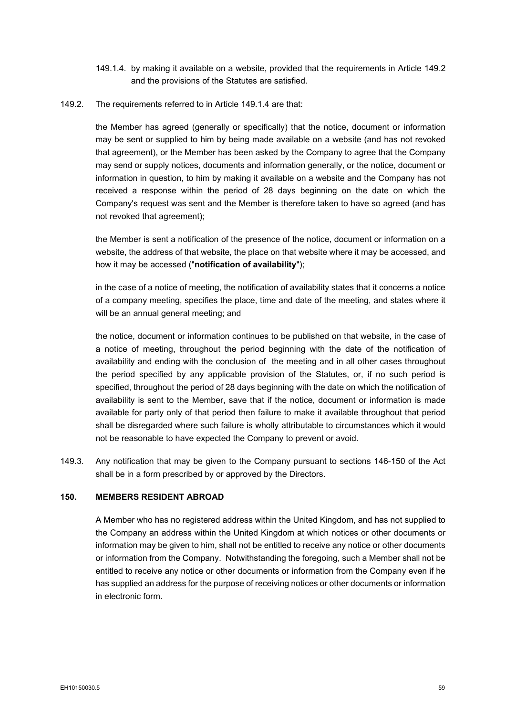- <span id="page-67-2"></span>149.1.4. by making it available on a website, provided that the requirements in Article [149.2](#page-67-1) and the provisions of the Statutes are satisfied.
- <span id="page-67-1"></span>149.2. The requirements referred to in Article [149.1.4](#page-67-2) are that:

the Member has agreed (generally or specifically) that the notice, document or information may be sent or supplied to him by being made available on a website (and has not revoked that agreement), or the Member has been asked by the Company to agree that the Company may send or supply notices, documents and information generally, or the notice, document or information in question, to him by making it available on a website and the Company has not received a response within the period of 28 days beginning on the date on which the Company's request was sent and the Member is therefore taken to have so agreed (and has not revoked that agreement);

the Member is sent a notification of the presence of the notice, document or information on a website, the address of that website, the place on that website where it may be accessed, and how it may be accessed ("**notification of availability**");

in the case of a notice of meeting, the notification of availability states that it concerns a notice of a company meeting, specifies the place, time and date of the meeting, and states where it will be an annual general meeting; and

the notice, document or information continues to be published on that website, in the case of a notice of meeting, throughout the period beginning with the date of the notification of availability and ending with the conclusion of the meeting and in all other cases throughout the period specified by any applicable provision of the Statutes, or, if no such period is specified, throughout the period of 28 days beginning with the date on which the notification of availability is sent to the Member, save that if the notice, document or information is made available for party only of that period then failure to make it available throughout that period shall be disregarded where such failure is wholly attributable to circumstances which it would not be reasonable to have expected the Company to prevent or avoid.

149.3. Any notification that may be given to the Company pursuant to sections 146-150 of the Act shall be in a form prescribed by or approved by the Directors.

# <span id="page-67-0"></span>**150. MEMBERS RESIDENT ABROAD**

A Member who has no registered address within the United Kingdom, and has not supplied to the Company an address within the United Kingdom at which notices or other documents or information may be given to him, shall not be entitled to receive any notice or other documents or information from the Company. Notwithstanding the foregoing, such a Member shall not be entitled to receive any notice or other documents or information from the Company even if he has supplied an address for the purpose of receiving notices or other documents or information in electronic form.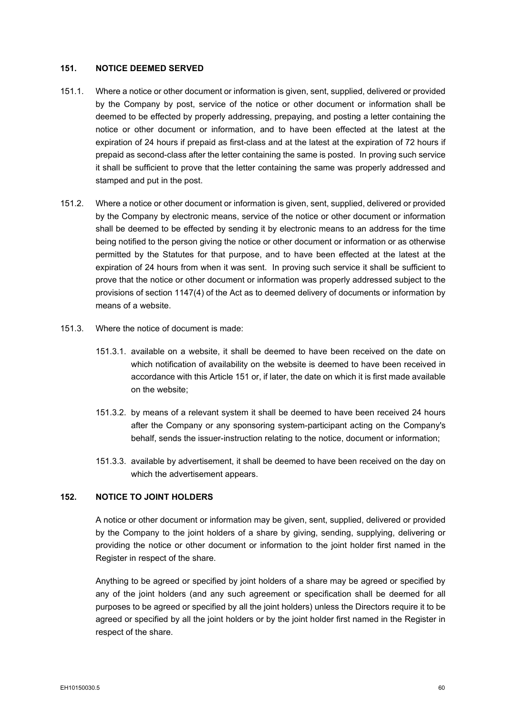#### <span id="page-68-0"></span>**151. NOTICE DEEMED SERVED**

- 151.1. Where a notice or other document or information is given, sent, supplied, delivered or provided by the Company by post, service of the notice or other document or information shall be deemed to be effected by properly addressing, prepaying, and posting a letter containing the notice or other document or information, and to have been effected at the latest at the expiration of 24 hours if prepaid as first-class and at the latest at the expiration of 72 hours if prepaid as second-class after the letter containing the same is posted. In proving such service it shall be sufficient to prove that the letter containing the same was properly addressed and stamped and put in the post.
- 151.2. Where a notice or other document or information is given, sent, supplied, delivered or provided by the Company by electronic means, service of the notice or other document or information shall be deemed to be effected by sending it by electronic means to an address for the time being notified to the person giving the notice or other document or information or as otherwise permitted by the Statutes for that purpose, and to have been effected at the latest at the expiration of 24 hours from when it was sent. In proving such service it shall be sufficient to prove that the notice or other document or information was properly addressed subject to the provisions of section 1147(4) of the Act as to deemed delivery of documents or information by means of a website.
- 151.3. Where the notice of document is made:
	- 151.3.1. available on a website, it shall be deemed to have been received on the date on which notification of availability on the website is deemed to have been received in accordance with this Article [151](#page-68-0) or, if later, the date on which it is first made available on the website;
	- 151.3.2. by means of a relevant system it shall be deemed to have been received 24 hours after the Company or any sponsoring system-participant acting on the Company's behalf, sends the issuer-instruction relating to the notice, document or information;
	- 151.3.3. available by advertisement, it shall be deemed to have been received on the day on which the advertisement appears.

# **152. NOTICE TO JOINT HOLDERS**

A notice or other document or information may be given, sent, supplied, delivered or provided by the Company to the joint holders of a share by giving, sending, supplying, delivering or providing the notice or other document or information to the joint holder first named in the Register in respect of the share.

Anything to be agreed or specified by joint holders of a share may be agreed or specified by any of the joint holders (and any such agreement or specification shall be deemed for all purposes to be agreed or specified by all the joint holders) unless the Directors require it to be agreed or specified by all the joint holders or by the joint holder first named in the Register in respect of the share.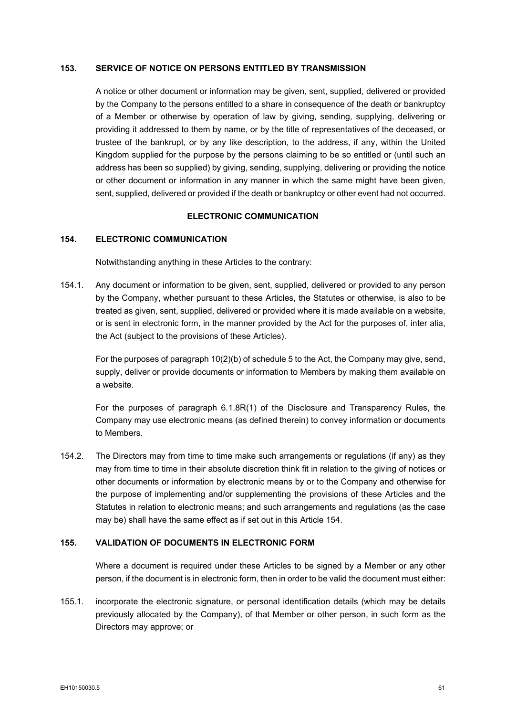# **153. SERVICE OF NOTICE ON PERSONS ENTITLED BY TRANSMISSION**

A notice or other document or information may be given, sent, supplied, delivered or provided by the Company to the persons entitled to a share in consequence of the death or bankruptcy of a Member or otherwise by operation of law by giving, sending, supplying, delivering or providing it addressed to them by name, or by the title of representatives of the deceased, or trustee of the bankrupt, or by any like description, to the address, if any, within the United Kingdom supplied for the purpose by the persons claiming to be so entitled or (until such an address has been so supplied) by giving, sending, supplying, delivering or providing the notice or other document or information in any manner in which the same might have been given, sent, supplied, delivered or provided if the death or bankruptcy or other event had not occurred.

### **ELECTRONIC COMMUNICATION**

# <span id="page-69-0"></span>**154. ELECTRONIC COMMUNICATION**

Notwithstanding anything in these Articles to the contrary:

154.1. Any document or information to be given, sent, supplied, delivered or provided to any person by the Company, whether pursuant to these Articles, the Statutes or otherwise, is also to be treated as given, sent, supplied, delivered or provided where it is made available on a website, or is sent in electronic form, in the manner provided by the Act for the purposes of, inter alia, the Act (subject to the provisions of these Articles).

For the purposes of paragraph 10(2)(b) of schedule 5 to the Act, the Company may give, send, supply, deliver or provide documents or information to Members by making them available on a website.

For the purposes of paragraph 6.1.8R(1) of the Disclosure and Transparency Rules, the Company may use electronic means (as defined therein) to convey information or documents to Members.

154.2. The Directors may from time to time make such arrangements or regulations (if any) as they may from time to time in their absolute discretion think fit in relation to the giving of notices or other documents or information by electronic means by or to the Company and otherwise for the purpose of implementing and/or supplementing the provisions of these Articles and the Statutes in relation to electronic means; and such arrangements and regulations (as the case may be) shall have the same effect as if set out in this Article [154.](#page-69-0)

#### **155. VALIDATION OF DOCUMENTS IN ELECTRONIC FORM**

Where a document is required under these Articles to be signed by a Member or any other person, if the document is in electronic form, then in order to be valid the document must either:

155.1. incorporate the electronic signature, or personal identification details (which may be details previously allocated by the Company), of that Member or other person, in such form as the Directors may approve; or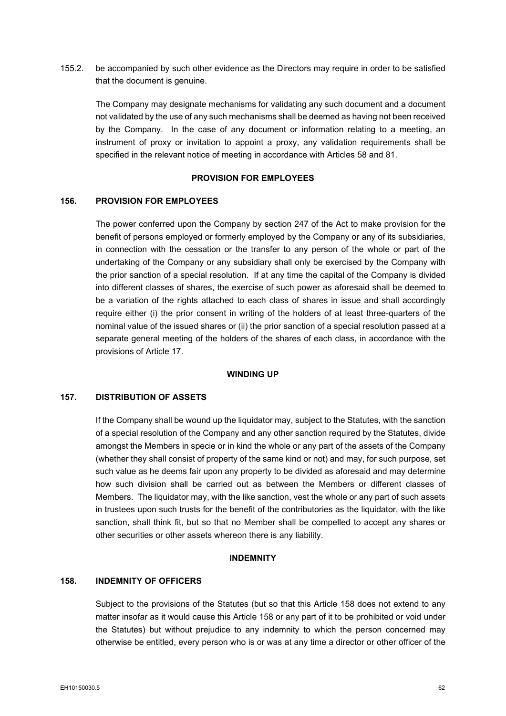155.2. be accompanied by such other evidence as the Directors may require in order to be satisfied that the document is genuine.

The Company may designate mechanisms for validating any such document and a document not validated by the use of any such mechanisms shall be deemed as having not been received by the Company. In the case of any document or information relating to a meeting, an instrument of proxy or invitation to appoint a proxy, any validation requirements shall be specified in the relevant notice of meeting in accordance with Articles [58](#page-27-0) and [81.](#page-40-3)

# **PROVISION FOR EMPLOYEES**

## **156. PROVISION FOR EMPLOYEES**

The power conferred upon the Company by section 247 of the Act to make provision for the benefit of persons employed or formerly employed by the Company or any of its subsidiaries, in connection with the cessation or the transfer to any person of the whole or part of the undertaking of the Company or any subsidiary shall only be exercised by the Company with the prior sanction of a special resolution. If at any time the capital of the Company is divided into different classes of shares, the exercise of such power as aforesaid shall be deemed to be a variation of the rights attached to each class of shares in issue and shall accordingly require either (i) the prior consent in writing of the holders of at least three-quarters of the nominal value of the issued shares or (ii) the prior sanction of a special resolution passed at a separate general meeting of the holders of the shares of each class, in accordance with the provisions of Article [17.](#page-16-0)

#### **WINDING UP**

# **157. DISTRIBUTION OF ASSETS**

If the Company shall be wound up the liquidator may, subject to the Statutes, with the sanction of a special resolution of the Company and any other sanction required by the Statutes, divide amongst the Members in specie or in kind the whole or any part of the assets of the Company (whether they shall consist of property of the same kind or not) and may, for such purpose, set such value as he deems fair upon any property to be divided as aforesaid and may determine how such division shall be carried out as between the Members or different classes of Members. The liquidator may, with the like sanction, vest the whole or any part of such assets in trustees upon such trusts for the benefit of the contributories as the liquidator, with the like sanction, shall think fit, but so that no Member shall be compelled to accept any shares or other securities or other assets whereon there is any liability.

### **INDEMNITY**

# <span id="page-70-0"></span>**158. INDEMNITY OF OFFICERS**

Subject to the provisions of the Statutes (but so that this Article [158](#page-70-0) does not extend to any matter insofar as it would cause this Article [158](#page-70-0) or any part of it to be prohibited or void under the Statutes) but without prejudice to any indemnity to which the person concerned may otherwise be entitled, every person who is or was at any time a director or other officer of the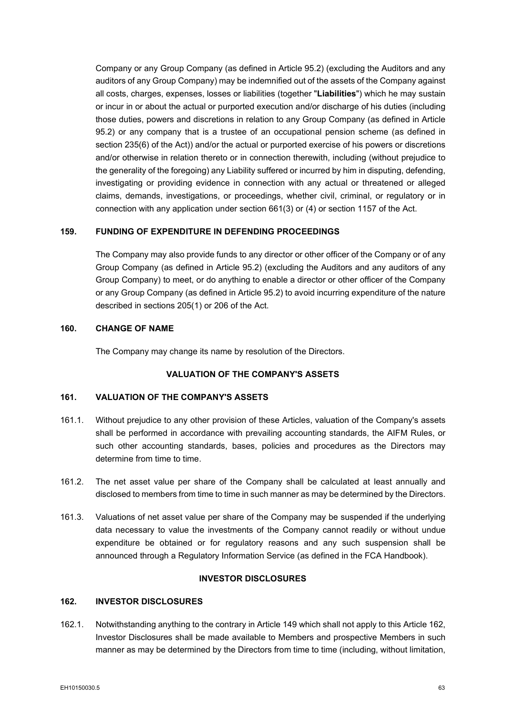Company or any Group Company (as defined in Article [95.2\)](#page-47-1) (excluding the Auditors and any auditors of any Group Company) may be indemnified out of the assets of the Company against all costs, charges, expenses, losses or liabilities (together "**Liabilities**") which he may sustain or incur in or about the actual or purported execution and/or discharge of his duties (including those duties, powers and discretions in relation to any Group Company (as defined in Article [95.2\)](#page-47-1) or any company that is a trustee of an occupational pension scheme (as defined in section 235(6) of the Act)) and/or the actual or purported exercise of his powers or discretions and/or otherwise in relation thereto or in connection therewith, including (without prejudice to the generality of the foregoing) any Liability suffered or incurred by him in disputing, defending, investigating or providing evidence in connection with any actual or threatened or alleged claims, demands, investigations, or proceedings, whether civil, criminal, or regulatory or in connection with any application under section 661(3) or (4) or section 1157 of the Act.

# **159. FUNDING OF EXPENDITURE IN DEFENDING PROCEEDINGS**

The Company may also provide funds to any director or other officer of the Company or of any Group Company (as defined in Article [95.2\)](#page-47-1) (excluding the Auditors and any auditors of any Group Company) to meet, or do anything to enable a director or other officer of the Company or any Group Company (as defined in Article [95.2\)](#page-47-1) to avoid incurring expenditure of the nature described in sections 205(1) or 206 of the Act.

# **160. CHANGE OF NAME**

The Company may change its name by resolution of the Directors.

# **VALUATION OF THE COMPANY'S ASSETS**

# **161. VALUATION OF THE COMPANY'S ASSETS**

- 161.1. Without prejudice to any other provision of these Articles, valuation of the Company's assets shall be performed in accordance with prevailing accounting standards, the AIFM Rules, or such other accounting standards, bases, policies and procedures as the Directors may determine from time to time.
- 161.2. The net asset value per share of the Company shall be calculated at least annually and disclosed to members from time to time in such manner as may be determined by the Directors.
- 161.3. Valuations of net asset value per share of the Company may be suspended if the underlying data necessary to value the investments of the Company cannot readily or without undue expenditure be obtained or for regulatory reasons and any such suspension shall be announced through a Regulatory Information Service (as defined in the FCA Handbook).

# **INVESTOR DISCLOSURES**

# <span id="page-71-0"></span>**162. INVESTOR DISCLOSURES**

162.1. Notwithstanding anything to the contrary in Article [149](#page-66-0) which shall not apply to this Article [162,](#page-71-0) Investor Disclosures shall be made available to Members and prospective Members in such manner as may be determined by the Directors from time to time (including, without limitation,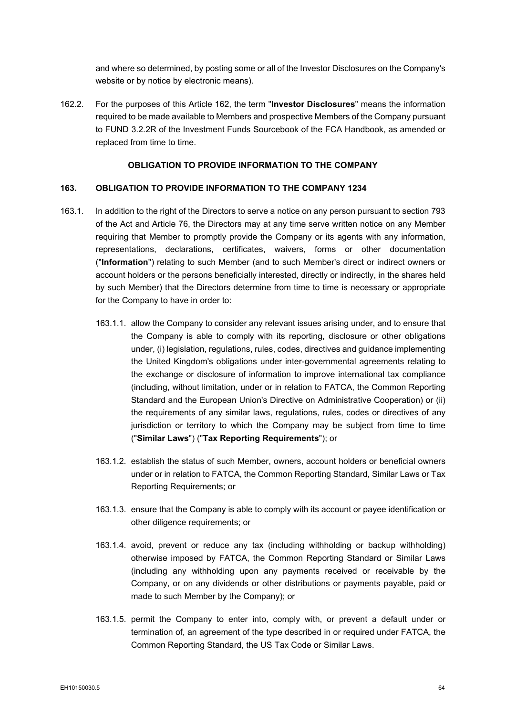and where so determined, by posting some or all of the Investor Disclosures on the Company's website or by notice by electronic means).

162.2. For the purposes of this Article [162,](#page-71-0) the term "**Investor Disclosures**" means the information required to be made available to Members and prospective Members of the Company pursuant to FUND 3.2.2R of the Investment Funds Sourcebook of the FCA Handbook, as amended or replaced from time to time.

## **OBLIGATION TO PROVIDE INFORMATION TO THE COMPANY**

## <span id="page-72-1"></span>**163. OBLIGATION TO PROVIDE INFORMATION TO THE COMPANY 1234**

- <span id="page-72-0"></span>163.1. In addition to the right of the Directors to serve a notice on any person pursuant to section 793 of the Act and Article [76,](#page-37-0) the Directors may at any time serve written notice on any Member requiring that Member to promptly provide the Company or its agents with any information, representations, declarations, certificates, waivers, forms or other documentation ("**Information**") relating to such Member (and to such Member's direct or indirect owners or account holders or the persons beneficially interested, directly or indirectly, in the shares held by such Member) that the Directors determine from time to time is necessary or appropriate for the Company to have in order to:
	- 163.1.1. allow the Company to consider any relevant issues arising under, and to ensure that the Company is able to comply with its reporting, disclosure or other obligations under, (i) legislation, regulations, rules, codes, directives and guidance implementing the United Kingdom's obligations under inter-governmental agreements relating to the exchange or disclosure of information to improve international tax compliance (including, without limitation, under or in relation to FATCA, the Common Reporting Standard and the European Union's Directive on Administrative Cooperation) or (ii) the requirements of any similar laws, regulations, rules, codes or directives of any jurisdiction or territory to which the Company may be subject from time to time ("**Similar Laws**") ("**Tax Reporting Requirements**"); or
	- 163.1.2. establish the status of such Member, owners, account holders or beneficial owners under or in relation to FATCA, the Common Reporting Standard, Similar Laws or Tax Reporting Requirements; or
	- 163.1.3. ensure that the Company is able to comply with its account or payee identification or other diligence requirements; or
	- 163.1.4. avoid, prevent or reduce any tax (including withholding or backup withholding) otherwise imposed by FATCA, the Common Reporting Standard or Similar Laws (including any withholding upon any payments received or receivable by the Company, or on any dividends or other distributions or payments payable, paid or made to such Member by the Company); or
	- 163.1.5. permit the Company to enter into, comply with, or prevent a default under or termination of, an agreement of the type described in or required under FATCA, the Common Reporting Standard, the US Tax Code or Similar Laws.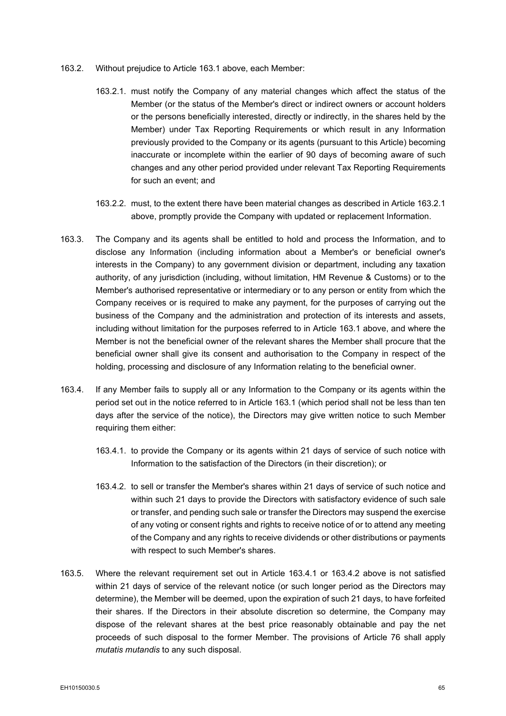- <span id="page-73-0"></span>163.2. Without prejudice to Article [163.1](#page-72-0) above, each Member:
	- 163.2.1. must notify the Company of any material changes which affect the status of the Member (or the status of the Member's direct or indirect owners or account holders or the persons beneficially interested, directly or indirectly, in the shares held by the Member) under Tax Reporting Requirements or which result in any Information previously provided to the Company or its agents (pursuant to this Article) becoming inaccurate or incomplete within the earlier of 90 days of becoming aware of such changes and any other period provided under relevant Tax Reporting Requirements for such an event; and
	- 163.2.2. must, to the extent there have been material changes as described in Article [163.2.1](#page-73-0) above, promptly provide the Company with updated or replacement Information.
- 163.3. The Company and its agents shall be entitled to hold and process the Information, and to disclose any Information (including information about a Member's or beneficial owner's interests in the Company) to any government division or department, including any taxation authority, of any jurisdiction (including, without limitation, HM Revenue & Customs) or to the Member's authorised representative or intermediary or to any person or entity from which the Company receives or is required to make any payment, for the purposes of carrying out the business of the Company and the administration and protection of its interests and assets, including without limitation for the purposes referred to in Article [163.1](#page-72-0) above, and where the Member is not the beneficial owner of the relevant shares the Member shall procure that the beneficial owner shall give its consent and authorisation to the Company in respect of the holding, processing and disclosure of any Information relating to the beneficial owner.
- <span id="page-73-1"></span>163.4. If any Member fails to supply all or any Information to the Company or its agents within the period set out in the notice referred to in Article [163.1](#page-72-0) (which period shall not be less than ten days after the service of the notice), the Directors may give written notice to such Member requiring them either:
	- 163.4.1. to provide the Company or its agents within 21 days of service of such notice with Information to the satisfaction of the Directors (in their discretion); or
	- 163.4.2. to sell or transfer the Member's shares within 21 days of service of such notice and within such 21 days to provide the Directors with satisfactory evidence of such sale or transfer, and pending such sale or transfer the Directors may suspend the exercise of any voting or consent rights and rights to receive notice of or to attend any meeting of the Company and any rights to receive dividends or other distributions or payments with respect to such Member's shares.
- <span id="page-73-2"></span>163.5. Where the relevant requirement set out in Article [163.4.1](#page-73-1) or [163.4.2](#page-73-2) above is not satisfied within 21 days of service of the relevant notice (or such longer period as the Directors may determine), the Member will be deemed, upon the expiration of such 21 days, to have forfeited their shares. If the Directors in their absolute discretion so determine, the Company may dispose of the relevant shares at the best price reasonably obtainable and pay the net proceeds of such disposal to the former Member. The provisions of Article [76](#page-37-0) shall apply *mutatis mutandis* to any such disposal.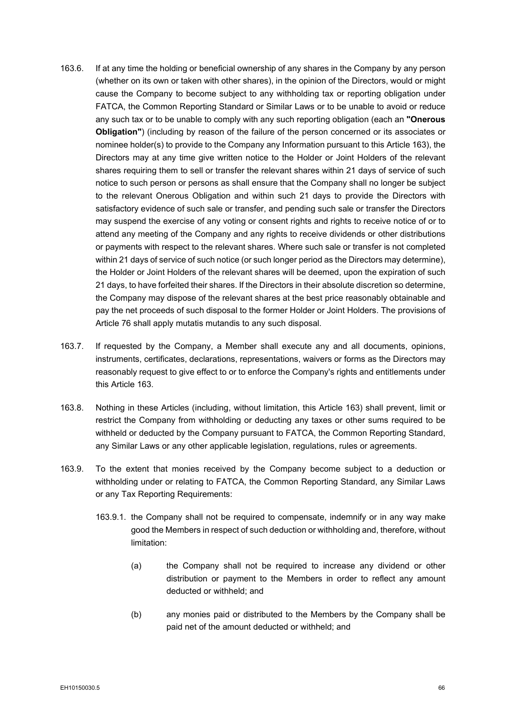- 163.6. If at any time the holding or beneficial ownership of any shares in the Company by any person (whether on its own or taken with other shares), in the opinion of the Directors, would or might cause the Company to become subject to any withholding tax or reporting obligation under FATCA, the Common Reporting Standard or Similar Laws or to be unable to avoid or reduce any such tax or to be unable to comply with any such reporting obligation (each an **"Onerous Obligation"**) (including by reason of the failure of the person concerned or its associates or nominee holder(s) to provide to the Company any Information pursuant to this Article [163\)](#page-72-1), the Directors may at any time give written notice to the Holder or Joint Holders of the relevant shares requiring them to sell or transfer the relevant shares within 21 days of service of such notice to such person or persons as shall ensure that the Company shall no longer be subject to the relevant Onerous Obligation and within such 21 days to provide the Directors with satisfactory evidence of such sale or transfer, and pending such sale or transfer the Directors may suspend the exercise of any voting or consent rights and rights to receive notice of or to attend any meeting of the Company and any rights to receive dividends or other distributions or payments with respect to the relevant shares. Where such sale or transfer is not completed within 21 days of service of such notice (or such longer period as the Directors may determine), the Holder or Joint Holders of the relevant shares will be deemed, upon the expiration of such 21 days, to have forfeited their shares. If the Directors in their absolute discretion so determine, the Company may dispose of the relevant shares at the best price reasonably obtainable and pay the net proceeds of such disposal to the former Holder or Joint Holders. The provisions of Article [76](#page-37-0) shall apply mutatis mutandis to any such disposal.
- 163.7. If requested by the Company, a Member shall execute any and all documents, opinions, instruments, certificates, declarations, representations, waivers or forms as the Directors may reasonably request to give effect to or to enforce the Company's rights and entitlements under this Article [163.](#page-72-1)
- 163.8. Nothing in these Articles (including, without limitation, this Article [163\)](#page-72-1) shall prevent, limit or restrict the Company from withholding or deducting any taxes or other sums required to be withheld or deducted by the Company pursuant to FATCA, the Common Reporting Standard, any Similar Laws or any other applicable legislation, regulations, rules or agreements.
- 163.9. To the extent that monies received by the Company become subject to a deduction or withholding under or relating to FATCA, the Common Reporting Standard, any Similar Laws or any Tax Reporting Requirements:
	- 163.9.1. the Company shall not be required to compensate, indemnify or in any way make good the Members in respect of such deduction or withholding and, therefore, without limitation:
		- (a) the Company shall not be required to increase any dividend or other distribution or payment to the Members in order to reflect any amount deducted or withheld; and
		- (b) any monies paid or distributed to the Members by the Company shall be paid net of the amount deducted or withheld; and